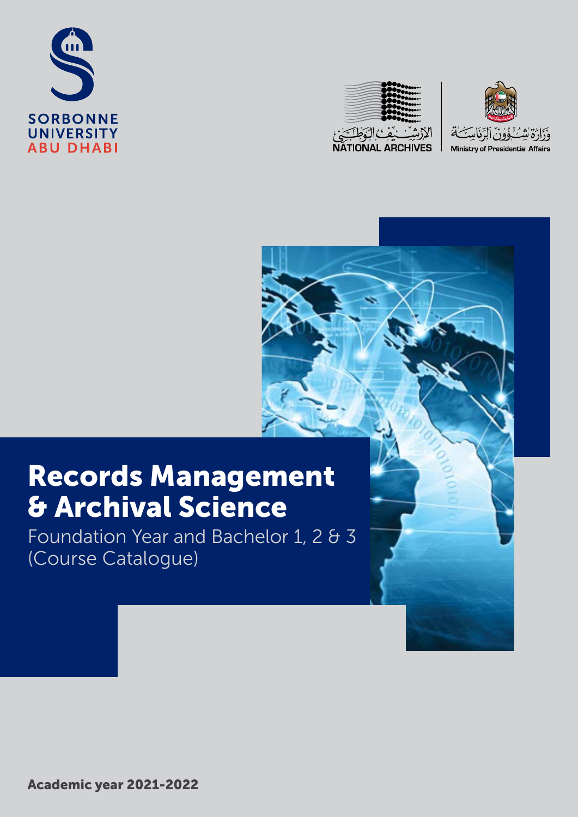





# Records Management & Archival Science

Foundation Year and Bachelor 1, 2 & 3 (Course Catalogue)

Academic year 2021-2022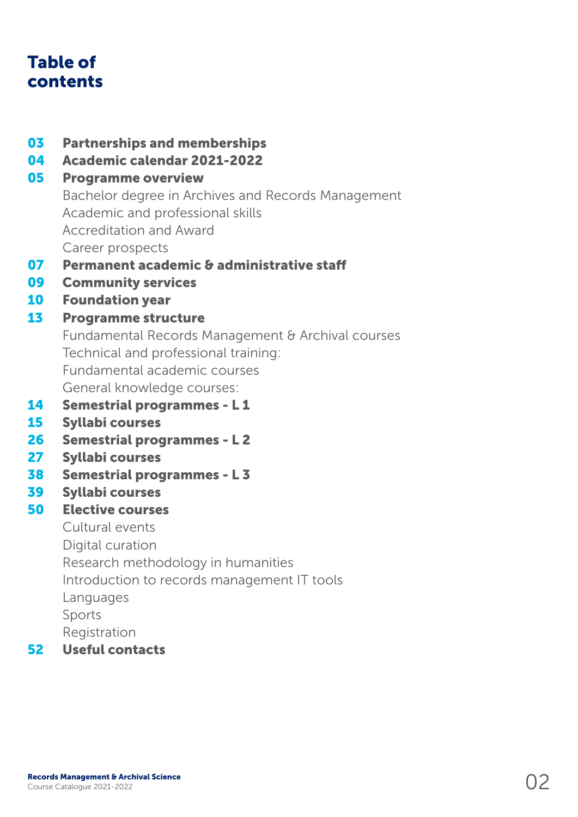## Table of contents

- 03 Partnerships and memberships
- 04 Academic calendar 2021-2022

### 05 Programme overview

Bachelor degree in Archives and Records Management Academic and professional skills Accreditation and Award Career prospects

- 07 Permanent academic & administrative staff
- 09 Community services
- 10 Foundation year

### 13 Programme structure

Fundamental Records Management & Archival courses Technical and professional training: Fundamental academic courses General knowledge courses:

- 14 Semestrial programmes L 1
- 15 Syllabi courses
- 26 Semestrial programmes L 2
- 27 Syllabi courses
- 38 Semestrial programmes L 3
- 39 Syllabi courses

### 50 Elective courses

Cultural events

Digital curation

Research methodology in humanities

Introduction to records management IT tools

Languages

Sports

Registration

52 Useful contacts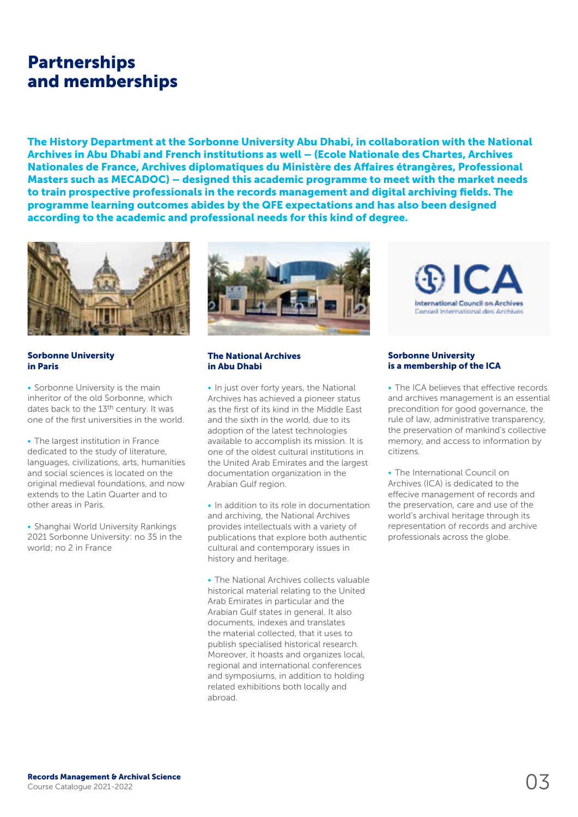### Partnerships and memberships

The History Department at the Sorbonne University Abu Dhabi, in collaboration with the National Archives in Abu Dhabi and French institutions as well – (Ecole Nationale des Chartes, Archives Nationales de France, Archives diplomatiques du Ministère des Affaires étrangères, Professional Masters such as MECADOC) – designed this academic programme to meet with the market needs to train prospective professionals in the records management and digital archiving fields. The programme learning outcomes abides by the QFE expectations and has also been designed according to the academic and professional needs for this kind of degree.



Sorbonne University in Paris

• Sorbonne University is the main inheritor of the old Sorbonne, which dates back to the 13th century. It was one of the first universities in the world.

• The largest institution in France dedicated to the study of literature, languages, civilizations, arts, humanities and social sciences is located on the original medieval foundations, and now extends to the Latin Quarter and to other areas in Paris.

• Shanghai World University Rankings 2021 Sorbonne University: no 35 in the world; no 2 in France



#### The National Archives in Abu Dhabi

• In just over forty years, the National Archives has achieved a pioneer status as the first of its kind in the Middle East and the sixth in the world, due to its adoption of the latest technologies available to accomplish its mission. It is one of the oldest cultural institutions in the United Arab Emirates and the largest documentation organization in the Arabian Gulf region.

• In addition to its role in documentation and archiving, the National Archives provides intellectuals with a variety of publications that explore both authentic cultural and contemporary issues in history and heritage.

• The National Archives collects valuable historical material relating to the United Arab Emirates in particular and the Arabian Gulf states in general. It also documents, indexes and translates the material collected, that it uses to publish specialised historical research. Moreover, it hoasts and organizes local, regional and international conferences and symposiums, in addition to holding related exhibitions both locally and abroad.



#### Sorbonne University is a membership of the ICA

• The ICA believes that effective records and archives management is an essential precondition for good governance, the rule of law, administrative transparency, the preservation of mankind's collective memory, and access to information by citizens.

• The International Council on Archives (ICA) is dedicated to the effecive management of records and the preservation, care and use of the world's archival heritage through its representation of records and archive professionals across the globe.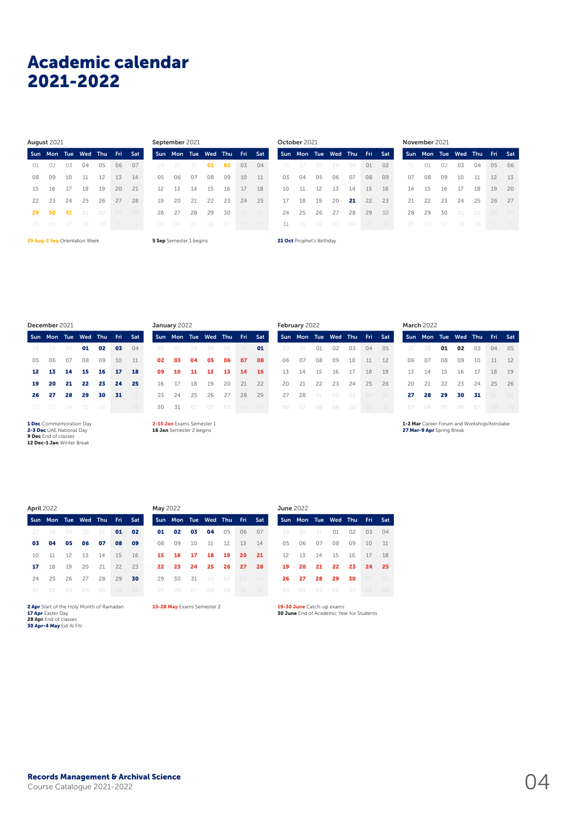## Academic calendar Academic Calendar 2021-2022

**Sun Mon Tue Wed Thu Fri Sat**  02 03 04 05 06 07 09 10 11 12 13 14 16 17 18 19 20 21 23 24 25 26 27 28 29 30 31 01 02 03 04 August 2021

|    | <b>Septemper COLL</b>       |                        |  |  |
|----|-----------------------------|------------------------|--|--|
|    | Sun Mon Tue Wed Thu Fri Sat |                        |  |  |
|    | 29 30 31 <b>01 02 03 04</b> |                        |  |  |
| 05 |                             | 06  07  08  09  10  11 |  |  |
|    | 12  13  14  15  16  17  18  |                        |  |  |
|    | 19  20  21  22  23  24  25  |                        |  |  |
| 26 | 27 28 29 30 01 02           |                        |  |  |
|    | 03  04  05  06  07  08  09  |                        |  |  |
|    |                             |                        |  |  |

 $S$ 

29 Aug-2 Sep Orientation Week 5 Sep Semester 1 begins 21 Oct Prophet's Birthday

| the contract of the contract of the contract of the contract of the contract of |  |  |  |
|---------------------------------------------------------------------------------|--|--|--|
|                                                                                 |  |  |  |

|    | October 2021        |    |    |    |     |     |    | November 2021       |    |    |    |                |    |
|----|---------------------|----|----|----|-----|-----|----|---------------------|----|----|----|----------------|----|
|    | Sun Mon Tue Wed Thu |    |    |    | Fri | Sat |    | Sun Mon Tue Wed Thu |    |    |    | Fri.           | Sa |
| 26 |                     | 28 | 29 | 30 | 01  | 02  | 31 | O <sub>1</sub>      | 02 | 03 | 04 | 0 <sub>5</sub> | 06 |
| 03 | 04                  | 05 | 06 | 07 | 08  | 09  | 07 | 08                  | 09 | 10 | 11 | 12             | 13 |
| 10 | 11                  | 12 | 13 | 14 | 15  | 16  | 14 | 15                  | 16 | 17 | 18 | 19             | 20 |
| 17 | 18                  | 19 | 20 | 21 | 22  | 23  | 21 | 22                  | 23 | 24 | 25 | 26             | 27 |
| 24 | 25                  | 26 | 27 | 28 | 29  | 30  | 28 | 29                  | 30 | 01 | 02 | 0 <sub>3</sub> | 04 |
| 31 | 01                  | 02 | 03 | 04 | 05  | 06  | 05 | 06                  | 07 | 08 | 09 | 10             |    |

February 2022

|    | Sun Mon Tue Wed Thu Fri Sat |                        |  |  |
|----|-----------------------------|------------------------|--|--|
|    | 28 29 30 <b>01 02 03</b> 04 |                        |  |  |
|    | 05  06  07  08  09  10  11  |                        |  |  |
|    | 12  13  14  15  16  17  18  |                        |  |  |
| 19 |                             | 20 21 22 23 24 25      |  |  |
| 26 |                             | 27  28  29  30  31  11 |  |  |
|    | 02  03  04  05  06  07  08  |                        |  |  |
|    |                             |                        |  |  |

1 Dec Commemoration Day **2-3 Dec** UAE National Day<br>**9 Dec** End of classes<br>**12 Dec-1 Jan** Winter Break

2-15 Jan Evams Semester 1 17 18 19 20 21 22 24 25 26 27 28 29 31 01 02 03 04 05

January 2022

16 Jan Semester 2 begins

Sun Mon Tue Wed Thu Fri Sat 26 27 28 29 30 31 **01**  03 04 05 06 07 08 10 11 12 13 14 15 Sun Mon Tue Wed Thu Fri Sat 31 01 02 03 04 05 07 08 09 10 11 12 14 15 16 17 18 19 21 22 23 24 25 26 28 01 02 03 04 05

Sun Mon Tue Wed Thu Fri Sat 28 01 02 03 04 05 07 08 09 10 11 12 14 15 16 17 18 19 21 22 23 24 25 26 28 29 30 31 01 02 March 2022

Thu Fri Sat

1-2 Mar Career Forum and Workshop/Astrolabe 27 Mar-9 Apr Spring Break

|  | 27 28 29 30 31 01 02       |  |  |  |
|--|----------------------------|--|--|--|
|  | 03  04  05  06  07  08  09 |  |  |  |
|  | 10  11  12  13  14  15  16 |  |  |  |
|  | 17 18 19 20 21 22 23       |  |  |  |
|  | 24  25  26  27  28  29  30 |  |  |  |
|  | 01 02 03 04 05 06 07       |  |  |  |
|  |                            |  |  |  |

Sun Mon Tue Wed Thu Fri Sat

**2 Apr** Start of the Holy Month of Ramadan<br>**17 Apr** Easter Day<br>**28 Apr E**nd of classes<br>**30 Apr-4 May** Eid Al Fitr

April 2022 June 2022 May 2022 Sun Mon Tue Wed Thu Fri Sat 02 03 04 05 06 07 09 10 11 12 13 14 16 17 18 19 20 21 23 24 25 26 27 28 30 31 01 02 03 04

15-28 May Exams Semester 2

| June $2022$ |                            |                   |  |     |
|-------------|----------------------------|-------------------|--|-----|
|             | Sun Mon Tue Wed Thu Fri    |                   |  | Sat |
|             | 29 30 31 01 02 03 04       |                   |  |     |
| 05          | 06 07 08 09 10 11          |                   |  |     |
|             | 12  13  14  15  16  17  18 |                   |  |     |
| 19          | 20                         | 21 22 23 24 25    |  |     |
| 26          |                            | 27 28 29 30 01 02 |  |     |
|             | 03  04  05  06  07  08  09 |                   |  |     |

19-30 June Catch-up exams **30 June** End of Academic Year for Students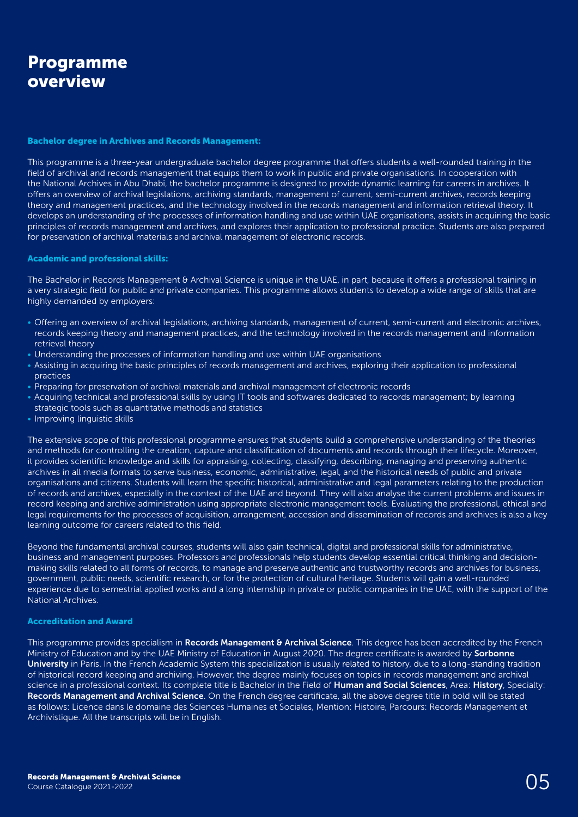### Programme overview

#### Bachelor degree in Archives and Records Management:

This programme is a three-year undergraduate bachelor degree programme that offers students a well-rounded training in the field of archival and records management that equips them to work in public and private organisations. In cooperation with the National Archives in Abu Dhabi, the bachelor programme is designed to provide dynamic learning for careers in archives. It offers an overview of archival legislations, archiving standards, management of current, semi-current archives, records keeping theory and management practices, and the technology involved in the records management and information retrieval theory. It develops an understanding of the processes of information handling and use within UAE organisations, assists in acquiring the basic principles of records management and archives, and explores their application to professional practice. Students are also prepared for preservation of archival materials and archival management of electronic records.

#### Academic and professional skills:

The Bachelor in Records Management & Archival Science is unique in the UAE, in part, because it offers a professional training in a very strategic field for public and private companies. This programme allows students to develop a wide range of skills that are highly demanded by employers:

- Offering an overview of archival legislations, archiving standards, management of current, semi-current and electronic archives, records keeping theory and management practices, and the technology involved in the records management and information retrieval theory
- Understanding the processes of information handling and use within UAE organisations
- Assisting in acquiring the basic principles of records management and archives, exploring their application to professional practices
- Preparing for preservation of archival materials and archival management of electronic records
- Acquiring technical and professional skills by using IT tools and softwares dedicated to records management; by learning strategic tools such as quantitative methods and statistics
- Improving linguistic skills

The extensive scope of this professional programme ensures that students build a comprehensive understanding of the theories and methods for controlling the creation, capture and classification of documents and records through their lifecycle. Moreover, it provides scientific knowledge and skills for appraising, collecting, classifying, describing, managing and preserving authentic archives in all media formats to serve business, economic, administrative, legal, and the historical needs of public and private organisations and citizens. Students will learn the specific historical, administrative and legal parameters relating to the production of records and archives, especially in the context of the UAE and beyond. They will also analyse the current problems and issues in record keeping and archive administration using appropriate electronic management tools. Evaluating the professional, ethical and legal requirements for the processes of acquisition, arrangement, accession and dissemination of records and archives is also a key learning outcome for careers related to this field.

Beyond the fundamental archival courses, students will also gain technical, digital and professional skills for administrative, business and management purposes. Professors and professionals help students develop essential critical thinking and decisionmaking skills related to all forms of records, to manage and preserve authentic and trustworthy records and archives for business, government, public needs, scientific research, or for the protection of cultural heritage. Students will gain a well-rounded experience due to semestrial applied works and a long internship in private or public companies in the UAE, with the support of the National Archives.

#### Accreditation and Award

This programme provides specialism in Records Management & Archival Science. This degree has been accredited by the French Ministry of Education and by the UAE Ministry of Education in August 2020. The degree certificate is awarded by **Sorbonne** University in Paris. In the French Academic System this specialization is usually related to history, due to a long-standing tradition of historical record keeping and archiving. However, the degree mainly focuses on topics in records management and archival science in a professional context. Its complete title is Bachelor in the Field of Human and Social Sciences, Area: History, Specialty: Records Management and Archival Science. On the French degree certificate, all the above degree title in bold will be stated as follows: Licence dans le domaine des Sciences Humaines et Sociales, Mention: Histoire, Parcours: Records Management et Archivistique. All the transcripts will be in English.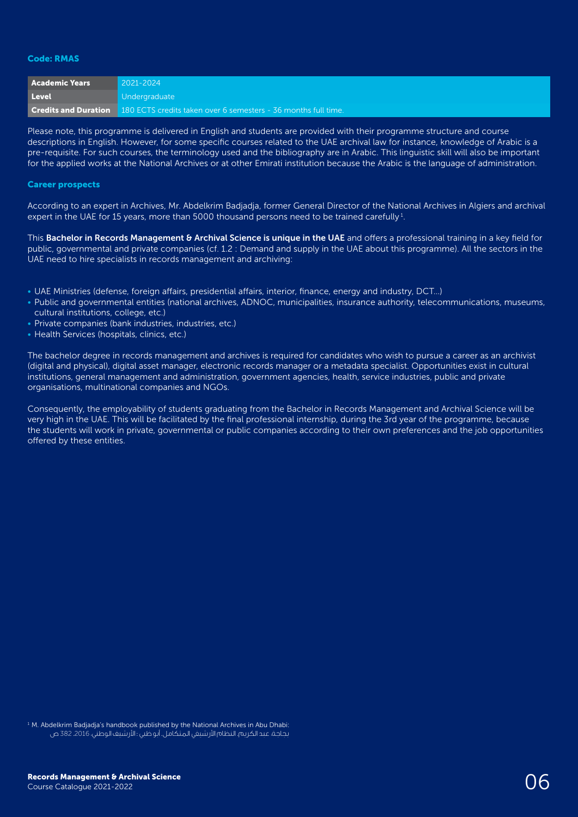#### Code: RMAS

| <b>Academic Years</b> | $2021 - 2024$                                                                              |
|-----------------------|--------------------------------------------------------------------------------------------|
| Level                 | Undergraduate                                                                              |
|                       | <b>Credits and Duration</b> 180 ECTS credits taken over 6 semesters - 36 months full time. |

Please note, this programme is delivered in English and students are provided with their programme structure and course descriptions in English. However, for some specific courses related to the UAE archival law for instance, knowledge of Arabic is a pre-requisite. For such courses, the terminology used and the bibliography are in Arabic. This linguistic skill will also be important for the applied works at the National Archives or at other Emirati institution because the Arabic is the language of administration.

#### Career prospects

According to an expert in Archives, Mr. Abdelkrim Badjadja, former General Director of the National Archives in Algiers and archival expert in the UAE for 15 years, more than 5000 thousand persons need to be trained carefully  $^1$ .

This Bachelor in Records Management & Archival Science is unique in the UAE and offers a professional training in a key field for public, governmental and private companies (cf. 1.2 : Demand and supply in the UAE about this programme). All the sectors in the UAE need to hire specialists in records management and archiving:

- UAE Ministries (defense, foreign affairs, presidential affairs, interior, finance, energy and industry, DCT…)
- Public and governmental entities (national archives, ADNOC, municipalities, insurance authority, telecommunications, museums, cultural institutions, college, etc.)
- Private companies (bank industries, industries, etc.)
- Health Services (hospitals, clinics, etc.)

The bachelor degree in records management and archives is required for candidates who wish to pursue a career as an archivist (digital and physical), digital asset manager, electronic records manager or a metadata specialist. Opportunities exist in cultural institutions, general management and administration, government agencies, health, service industries, public and private organisations, multinational companies and NGOs.

Consequently, the employability of students graduating from the Bachelor in Records Management and Archival Science will be very high in the UAE. This will be facilitated by the final professional internship, during the 3rd year of the programme, because the students will work in private, governmental or public companies according to their own preferences and the job opportunities offered by these entities.

<sup>1</sup> M. Abdelkrim Badjadja's handbook published by the National Archives in Abu Dhabi: بجاجة، عبد الكريم. النظام األرشيفي المتكامل. أبو ظبي : األرشيف الوطني، .2016 382 ص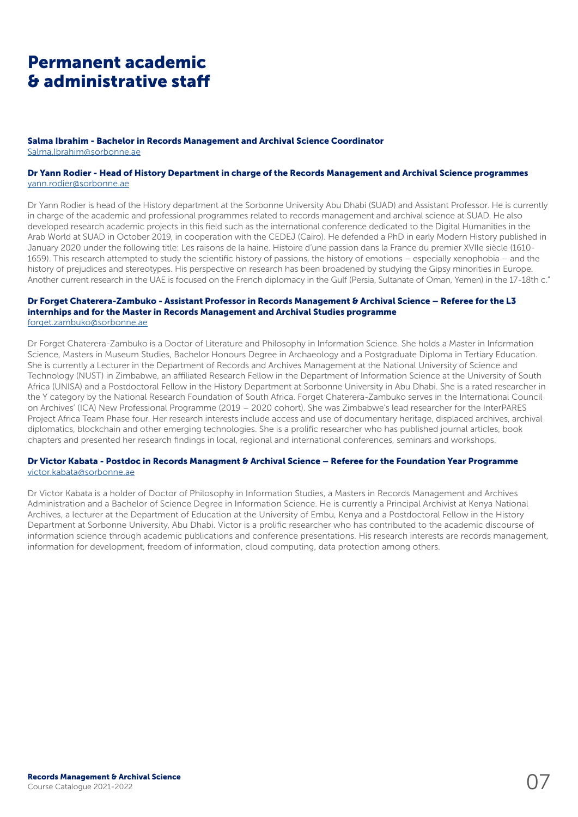## Permanent academic & administrative staff

#### Salma Ibrahim - Bachelor in Records Management and Archival Science Coordinator

[Salma.Ibrahim@sorbonne.ae](mailto:Salma.Ibrahim@sorbonne.ae)

#### Dr Yann Rodier - Head of History Department in charge of the Records Management and Archival Science programmes [yann.rodier@sorbonne.ae](mailto:yann.rodier@sorbonne.ae)

Dr Yann Rodier is head of the History department at the Sorbonne University Abu Dhabi (SUAD) and Assistant Professor. He is currently in charge of the academic and professional programmes related to records management and archival science at SUAD. He also developed research academic projects in this field such as the international conference dedicated to the Digital Humanities in the Arab World at SUAD in October 2019, in cooperation with the CEDEJ (Cairo). He defended a PhD in early Modern History published in January 2020 under the following title: Les raisons de la haine. Histoire d'une passion dans la France du premier XVIIe siècle (1610- 1659). This research attempted to study the scientific history of passions, the history of emotions – especially xenophobia – and the history of prejudices and stereotypes. His perspective on research has been broadened by studying the Gipsy minorities in Europe. Another current research in the UAE is focused on the French diplomacy in the Gulf (Persia, Sultanate of Oman, Yemen) in the 17-18th c."

#### Dr Forget Chaterera-Zambuko - Assistant Professor in Records Management & Archival Science – Referee for the L3 internhips and for the Master in Records Management and Archival Studies programme [forget.zambuko@sorbonne.ae](mailto:forget.zambuko@sorbonne.ae)

Dr Forget Chaterera-Zambuko is a Doctor of Literature and Philosophy in Information Science. She holds a Master in Information Science, Masters in Museum Studies, Bachelor Honours Degree in Archaeology and a Postgraduate Diploma in Tertiary Education. She is currently a Lecturer in the Department of Records and Archives Management at the National University of Science and Technology (NUST) in Zimbabwe, an affiliated Research Fellow in the Department of Information Science at the University of South Africa (UNISA) and a Postdoctoral Fellow in the History Department at Sorbonne University in Abu Dhabi. She is a rated researcher in the Y category by the National Research Foundation of South Africa. Forget Chaterera-Zambuko serves in the International Council on Archives' (ICA) New Professional Programme (2019 – 2020 cohort). She was Zimbabwe's lead researcher for the InterPARES Project Africa Team Phase four. Her research interests include access and use of documentary heritage, displaced archives, archival diplomatics, blockchain and other emerging technologies. She is a prolific researcher who has published journal articles, book chapters and presented her research findings in local, regional and international conferences, seminars and workshops.

#### Dr Victor Kabata - Postdoc in Records Managment & Archival Science – Referee for the Foundation Year Programme [victor.kabata@sorbonne.ae](mailto:victor.kabata@sorbonne.ae)

Dr Victor Kabata is a holder of Doctor of Philosophy in Information Studies, a Masters in Records Management and Archives Administration and a Bachelor of Science Degree in Information Science. He is currently a Principal Archivist at Kenya National Archives, a lecturer at the Department of Education at the University of Embu, Kenya and a Postdoctoral Fellow in the History Department at Sorbonne University, Abu Dhabi. Victor is a prolific researcher who has contributed to the academic discourse of information science through academic publications and conference presentations. His research interests are records management, information for development, freedom of information, cloud computing, data protection among others.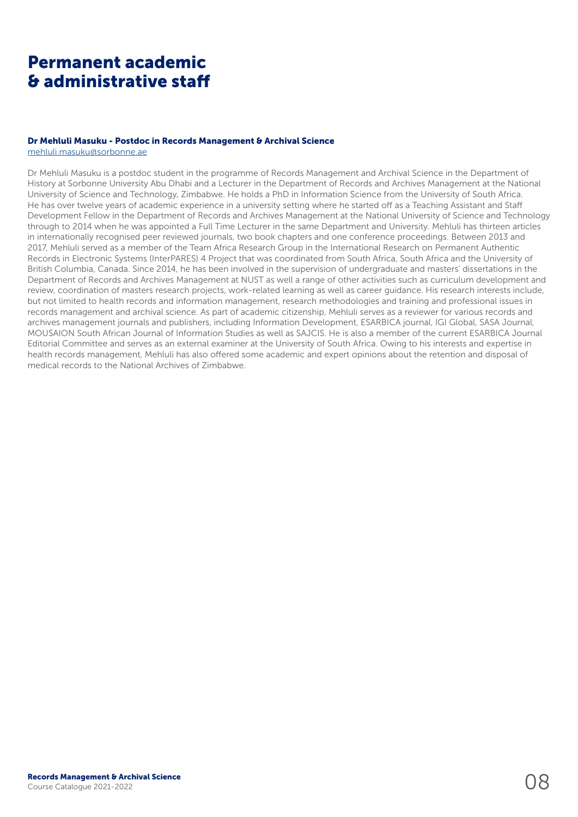## Permanent academic & administrative staff

#### Dr Mehluli Masuku - Postdoc in Records Management & Archival Science

mehluli.masuku@sorbonne.ae

Dr Mehluli Masuku is a postdoc student in the programme of Records Management and Archival Science in the Department of History at Sorbonne University Abu Dhabi and a Lecturer in the Department of Records and Archives Management at the National University of Science and Technology, Zimbabwe. He holds a PhD in Information Science from the University of South Africa. He has over twelve years of academic experience in a university setting where he started off as a Teaching Assistant and Staff Development Fellow in the Department of Records and Archives Management at the National University of Science and Technology through to 2014 when he was appointed a Full Time Lecturer in the same Department and University. Mehluli has thirteen articles in internationally recognised peer reviewed journals, two book chapters and one conference proceedings. Between 2013 and 2017, Mehluli served as a member of the Team Africa Research Group in the International Research on Permanent Authentic Records in Electronic Systems (InterPARES) 4 Project that was coordinated from South Africa, South Africa and the University of British Columbia, Canada. Since 2014, he has been involved in the supervision of undergraduate and masters' dissertations in the Department of Records and Archives Management at NUST as well a range of other activities such as curriculum development and review, coordination of masters research projects, work-related learning as well as career guidance. His research interests include, but not limited to health records and information management, research methodologies and training and professional issues in records management and archival science. As part of academic citizenship, Mehluli serves as a reviewer for various records and archives management journals and publishers, including Information Development, ESARBICA journal, IGI Global, SASA Journal, MOUSAION South African Journal of Information Studies as well as SAJCIS. He is also a member of the current ESARBICA Journal Editorial Committee and serves as an external examiner at the University of South Africa. Owing to his interests and expertise in health records management, Mehluli has also offered some academic and expert opinions about the retention and disposal of medical records to the National Archives of Zimbabwe.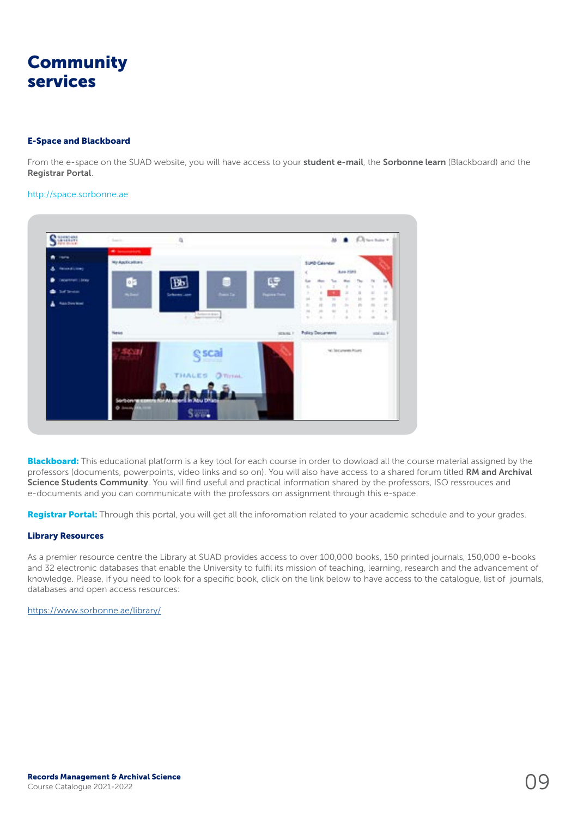## **Community** services

#### E-Space and Blackboard

From the e-space on the SUAD website, you will have access to your student e-mail, the Sorbonne learn (Blackboard) and the Registrar Portal.

#### http://space.sorbonne.ae



Blackboard: This educational platform is a key tool for each course in order to dowload all the course material assigned by the professors (documents, powerpoints, video links and so on). You will also have access to a shared forum titled RM and Archival Science Students Community. You will find useful and practical information shared by the professors, ISO ressrouces and e-documents and you can communicate with the professors on assignment through this e-space.

Registrar Portal: Through this portal, you will get all the inforomation related to your academic schedule and to your grades.

#### Library Resources

As a premier resource centre the Library at SUAD provides access to over 100,000 books, 150 printed journals, 150,000 e-books and 32 electronic databases that enable the University to fulfil its mission of teaching, learning, research and the advancement of knowledge. Please, if you need to look for a specific book, click on the link below to have access to the catalogue, list of journals, databases and open access resources:

<https://www.sorbonne.ae/library/>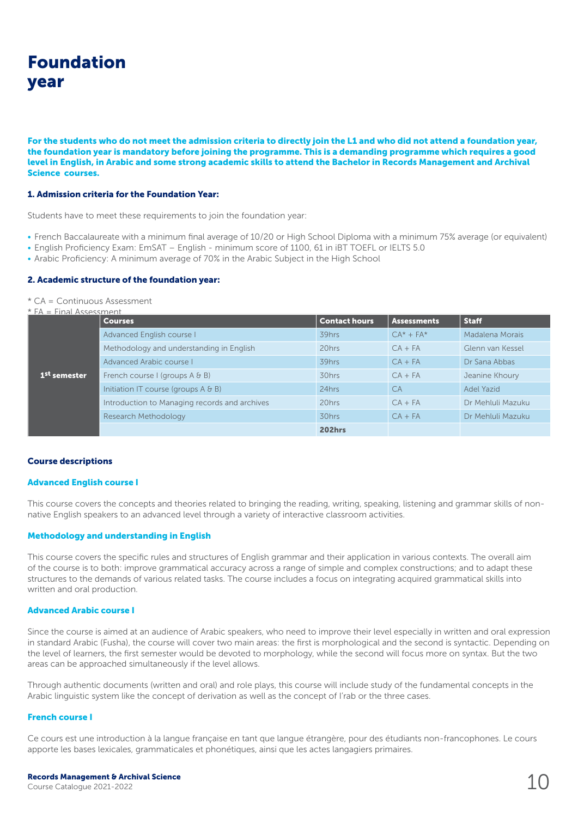## Foundation year

For the students who do not meet the admission criteria to directly join the L1 and who did not attend a foundation year, the foundation year is mandatory before joining the programme. This is a demanding programme which requires a good level in English, in Arabic and some strong academic skills to attend the Bachelor in Records Management and Archival Science courses.

#### 1. Admission criteria for the Foundation Year:

Students have to meet these requirements to join the foundation year:

- French Baccalaureate with a minimum final average of 10/20 or High School Diploma with a minimum 75% average (or equivalent)
- English Proficiency Exam: EmSAT English minimum score of 1100, 61 in iBT TOEFL or IELTS 5.0
- Arabic Proficiency: A minimum average of 70% in the Arabic Subject in the High School

#### 2. Academic structure of the foundation year:

\* CA = Continuous Assessment

 $*$  FA  $\Box$  Final Assessment

| $PA = FII1A1 A15 S1 S111 PIII$ | <b>Courses</b>                                | <b>Contact hours</b> | <b>Assessments</b> | <b>Staff</b>      |
|--------------------------------|-----------------------------------------------|----------------------|--------------------|-------------------|
| '1 <sup>st</sup> semester .    | Advanced English course I                     | 39hrs                | $CA^* + FA^*$      | Madalena Morais   |
|                                | Methodology and understanding in English      | 20hrs                | $CA + FA$          | Glenn van Kessel  |
|                                | Advanced Arabic course L                      | 39hrs                | $CA + FA$          | Dr Sana Abbas     |
|                                | French course I (groups $A \& B$ )            | 30hrs                | $CA + FA$          | Jeanine Khoury    |
|                                | Initiation IT course (groups $A \& B$ )       | 24hrs                | <b>CA</b>          | Adel Yazid        |
|                                | Introduction to Managing records and archives | 20hrs                | $CA + FA$          | Dr Mehluli Mazuku |
|                                | Research Methodology                          | 30hrs                | $CA + FA$          | Dr Mehluli Mazuku |
|                                |                                               | <b>202hrs</b>        |                    |                   |

#### Course descriptions

#### Advanced English course I

This course covers the concepts and theories related to bringing the reading, writing, speaking, listening and grammar skills of nonnative English speakers to an advanced level through a variety of interactive classroom activities.

#### Methodology and understanding in English

This course covers the specific rules and structures of English grammar and their application in various contexts. The overall aim of the course is to both: improve grammatical accuracy across a range of simple and complex constructions; and to adapt these structures to the demands of various related tasks. The course includes a focus on integrating acquired grammatical skills into written and oral production.

#### Advanced Arabic course I

Since the course is aimed at an audience of Arabic speakers, who need to improve their level especially in written and oral expression in standard Arabic (Fusha), the course will cover two main areas: the first is morphological and the second is syntactic. Depending on the level of learners, the first semester would be devoted to morphology, while the second will focus more on syntax. But the two areas can be approached simultaneously if the level allows.

Through authentic documents (written and oral) and role plays, this course will include study of the fundamental concepts in the Arabic linguistic system like the concept of derivation as well as the concept of I'rab or the three cases.

#### French course I

Ce cours est une introduction à la langue française en tant que langue étrangère, pour des étudiants non-francophones. Le cours apporte les bases lexicales, grammaticales et phonétiques, ainsi que les actes langagiers primaires.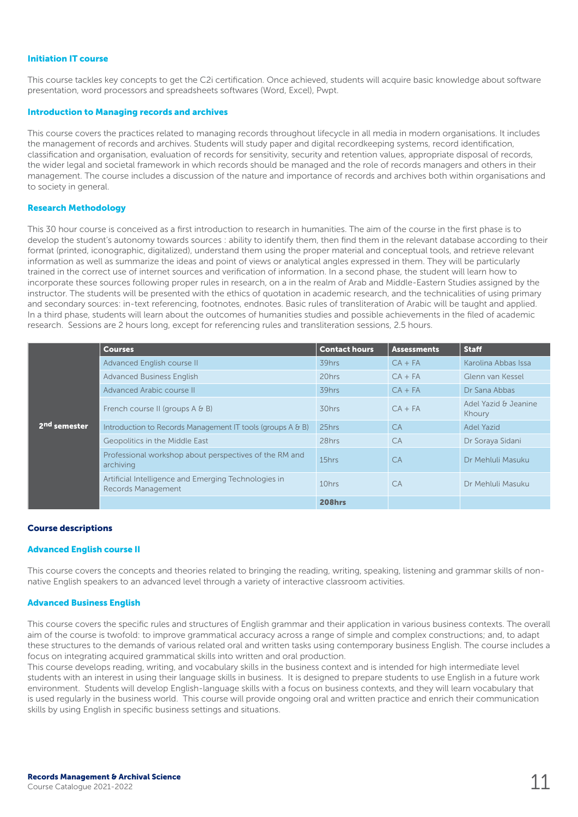#### Initiation IT course

This course tackles key concepts to get the C2i certification. Once achieved, students will acquire basic knowledge about software presentation, word processors and spreadsheets softwares (Word, Excel), Pwpt.

#### Introduction to Managing records and archives

This course covers the practices related to managing records throughout lifecycle in all media in modern organisations. It includes the management of records and archives. Students will study paper and digital recordkeeping systems, record identification, classification and organisation, evaluation of records for sensitivity, security and retention values, appropriate disposal of records, the wider legal and societal framework in which records should be managed and the role of records managers and others in their management. The course includes a discussion of the nature and importance of records and archives both within organisations and to society in general.

#### Research Methodology

This 30 hour course is conceived as a first introduction to research in humanities. The aim of the course in the first phase is to develop the student's autonomy towards sources : ability to identify them, then find them in the relevant database according to their format (printed, iconographic, digitalized), understand them using the proper material and conceptual tools, and retrieve relevant information as well as summarize the ideas and point of views or analytical angles expressed in them. They will be particularly trained in the correct use of internet sources and verification of information. In a second phase, the student will learn how to incorporate these sources following proper rules in research, on a in the realm of Arab and Middle-Eastern Studies assigned by the instructor. The students will be presented with the ethics of quotation in academic research, and the technicalities of using primary and secondary sources: in-text referencing, footnotes, endnotes. Basic rules of transliteration of Arabic will be taught and applied. In a third phase, students will learn about the outcomes of humanities studies and possible achievements in the filed of academic research. Sessions are 2 hours long, except for referencing rules and transliteration sessions, 2.5 hours.

|                          | <b>Courses</b>                                                             | <b>Contact hours</b> | <b>Assessments</b> | <b>Staff</b>                   |
|--------------------------|----------------------------------------------------------------------------|----------------------|--------------------|--------------------------------|
|                          | Advanced English course II                                                 | 39hrs                | $CA + FA$          | Karolina Abbas Issa            |
|                          | <b>Advanced Business English</b>                                           | 20hrs                | $CA + FA$          | Glenn van Kessel               |
|                          | Advanced Arabic course II                                                  | 39hrs                | $CA + FA$          | Dr Sana Abbas                  |
|                          | French course II (groups $A \oplus B$ )                                    | 30hrs                | $CA + FA$          | Adel Yazid & Jeanine<br>Khoury |
| 2 <sup>nd</sup> semester | Introduction to Records Management IT tools (groups A & B)                 | 25hrs                | CA                 | Adel Yazid                     |
|                          | Geopolitics in the Middle East                                             | 28hrs                | <b>CA</b>          | Dr Soraya Sidani               |
|                          | Professional workshop about perspectives of the RM and<br>archiving        | 15hrs                | <b>CA</b>          | Dr Mehluli Masuku              |
|                          | Artificial Intelligence and Emerging Technologies in<br>Records Management | 10hrs                | <b>CA</b>          | Dr Mehluli Masuku              |
|                          |                                                                            | 208hrs               |                    |                                |

#### Course descriptions

#### Advanced English course II

This course covers the concepts and theories related to bringing the reading, writing, speaking, listening and grammar skills of nonnative English speakers to an advanced level through a variety of interactive classroom activities.

#### Advanced Business English

This course covers the specific rules and structures of English grammar and their application in various business contexts. The overall aim of the course is twofold: to improve grammatical accuracy across a range of simple and complex constructions; and, to adapt these structures to the demands of various related oral and written tasks using contemporary business English. The course includes a focus on integrating acquired grammatical skills into written and oral production.

This course develops reading, writing, and vocabulary skills in the business context and is intended for high intermediate level students with an interest in using their language skills in business. It is designed to prepare students to use English in a future work environment. Students will develop English-language skills with a focus on business contexts, and they will learn vocabulary that is used regularly in the business world. This course will provide ongoing oral and written practice and enrich their communication skills by using English in specific business settings and situations.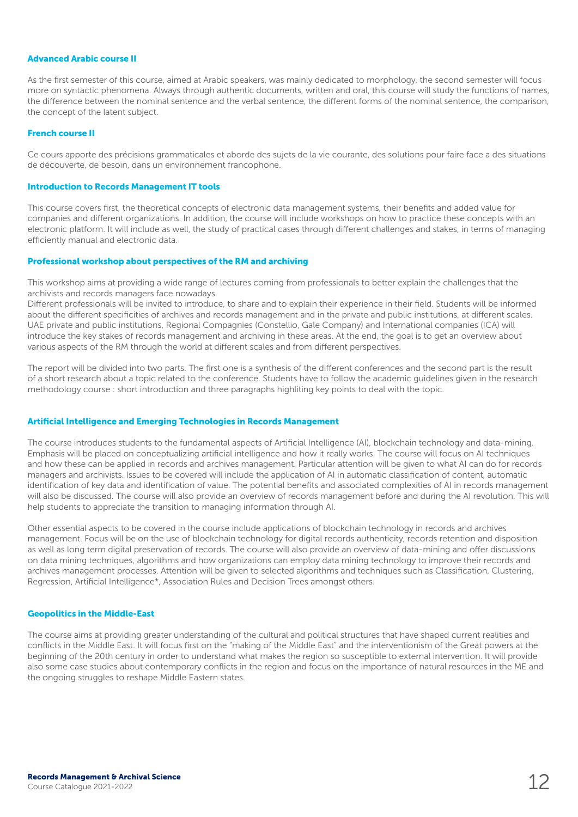#### Advanced Arabic course II

As the first semester of this course, aimed at Arabic speakers, was mainly dedicated to morphology, the second semester will focus more on syntactic phenomena. Always through authentic documents, written and oral, this course will study the functions of names, the difference between the nominal sentence and the verbal sentence, the different forms of the nominal sentence, the comparison, the concept of the latent subject.

#### French course II

Ce cours apporte des précisions grammaticales et aborde des sujets de la vie courante, des solutions pour faire face a des situations de découverte, de besoin, dans un environnement francophone.

#### Introduction to Records Management IT tools

This course covers first, the theoretical concepts of electronic data management systems, their benefits and added value for companies and different organizations. In addition, the course will include workshops on how to practice these concepts with an electronic platform. It will include as well, the study of practical cases through different challenges and stakes, in terms of managing efficiently manual and electronic data.

#### Professional workshop about perspectives of the RM and archiving

This workshop aims at providing a wide range of lectures coming from professionals to better explain the challenges that the archivists and records managers face nowadays.

Different professionals will be invited to introduce, to share and to explain their experience in their field. Students will be informed about the different specificities of archives and records management and in the private and public institutions, at different scales. UAE private and public institutions, Regional Compagnies (Constellio, Gale Company) and International companies (ICA) will introduce the key stakes of records management and archiving in these areas. At the end, the goal is to get an overview about various aspects of the RM through the world at different scales and from different perspectives.

The report will be divided into two parts. The first one is a synthesis of the different conferences and the second part is the result of a short research about a topic related to the conference. Students have to follow the academic guidelines given in the research methodology course : short introduction and three paragraphs highliting key points to deal with the topic.

#### Artificial Intelligence and Emerging Technologies in Records Management

The course introduces students to the fundamental aspects of Artificial Intelligence (AI), blockchain technology and data-mining. Emphasis will be placed on conceptualizing artificial intelligence and how it really works. The course will focus on AI techniques and how these can be applied in records and archives management. Particular attention will be given to what AI can do for records managers and archivists. Issues to be covered will include the application of AI in automatic classification of content, automatic identification of key data and identification of value. The potential benefits and associated complexities of AI in records management will also be discussed. The course will also provide an overview of records management before and during the AI revolution. This will help students to appreciate the transition to managing information through AI.

Other essential aspects to be covered in the course include applications of blockchain technology in records and archives management. Focus will be on the use of blockchain technology for digital records authenticity, records retention and disposition as well as long term digital preservation of records. The course will also provide an overview of data-mining and offer discussions on data mining techniques, algorithms and how organizations can employ data mining technology to improve their records and archives management processes. Attention will be given to selected algorithms and techniques such as Classification, Clustering, Regression, Artificial Intelligence\*, Association Rules and Decision Trees amongst others.

#### Geopolitics in the Middle-East

The course aims at providing greater understanding of the cultural and political structures that have shaped current realities and conflicts in the Middle East. It will focus first on the "making of the Middle East" and the interventionism of the Great powers at the beginning of the 20th century in order to understand what makes the region so susceptible to external intervention. It will provide also some case studies about contemporary conflicts in the region and focus on the importance of natural resources in the ME and the ongoing struggles to reshape Middle Eastern states.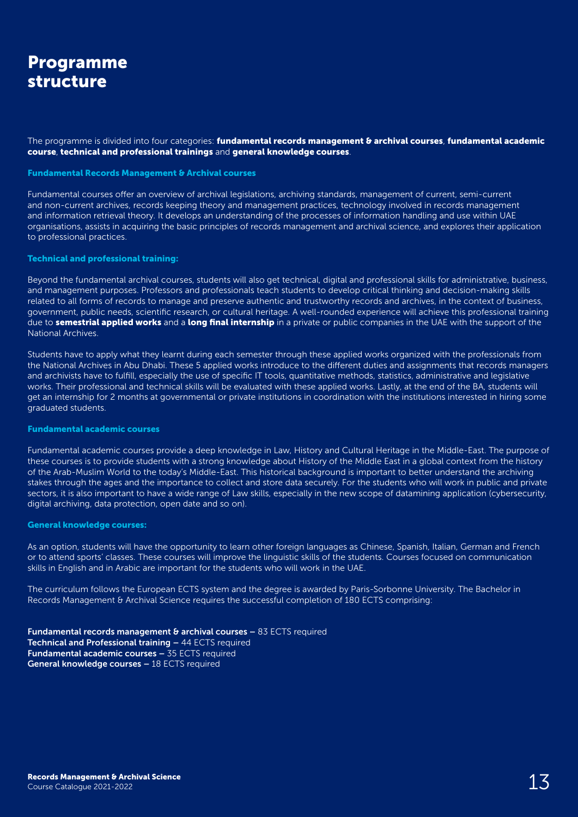### Programme structure

The programme is divided into four categories: fundamental records management & archival courses, fundamental academic course, technical and professional trainings and general knowledge courses.

#### Fundamental Records Management & Archival courses

Fundamental courses offer an overview of archival legislations, archiving standards, management of current, semi-current and non-current archives, records keeping theory and management practices, technology involved in records management and information retrieval theory. It develops an understanding of the processes of information handling and use within UAE organisations, assists in acquiring the basic principles of records management and archival science, and explores their application to professional practices.

#### Technical and professional training:

Beyond the fundamental archival courses, students will also get technical, digital and professional skills for administrative, business, and management purposes. Professors and professionals teach students to develop critical thinking and decision-making skills related to all forms of records to manage and preserve authentic and trustworthy records and archives, in the context of business, government, public needs, scientific research, or cultural heritage. A well-rounded experience will achieve this professional training due to semestrial applied works and a long final internship in a private or public companies in the UAE with the support of the National Archives.

Students have to apply what they learnt during each semester through these applied works organized with the professionals from the National Archives in Abu Dhabi. These 5 applied works introduce to the different duties and assignments that records managers and archivists have to fulfill, especially the use of specific IT tools, quantitative methods, statistics, administrative and legislative works. Their professional and technical skills will be evaluated with these applied works. Lastly, at the end of the BA, students will get an internship for 2 months at governmental or private institutions in coordination with the institutions interested in hiring some graduated students.

#### Fundamental academic courses

Fundamental academic courses provide a deep knowledge in Law, History and Cultural Heritage in the Middle-East. The purpose of these courses is to provide students with a strong knowledge about History of the Middle East in a global context from the history of the Arab-Muslim World to the today's Middle-East. This historical background is important to better understand the archiving stakes through the ages and the importance to collect and store data securely. For the students who will work in public and private sectors, it is also important to have a wide range of Law skills, especially in the new scope of datamining application (cybersecurity, digital archiving, data protection, open date and so on).

#### General knowledge courses:

As an option, students will have the opportunity to learn other foreign languages as Chinese, Spanish, Italian, German and French or to attend sports' classes. These courses will improve the linguistic skills of the students. Courses focused on communication skills in English and in Arabic are important for the students who will work in the UAE.

The curriculum follows the European ECTS system and the degree is awarded by Paris-Sorbonne University. The Bachelor in Records Management & Archival Science requires the successful completion of 180 ECTS comprising:

**Fundamental records management & archival courses – 83 ECTS required** Technical and Professional training – 44 ECTS required Fundamental academic courses – 35 ECTS required General knowledge courses – 18 ECTS required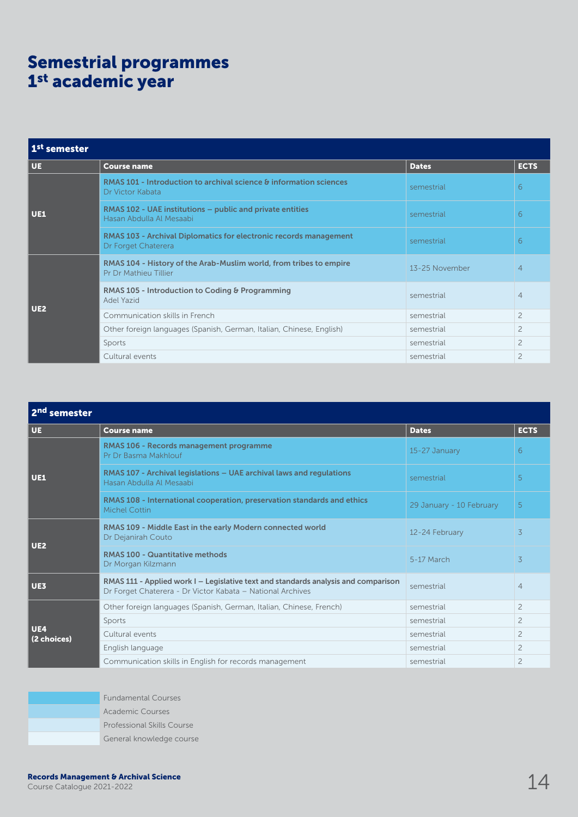## Semestrial programmes 1st academic year

| 1 <sup>st</sup> semester |                                                                                             |                |                |
|--------------------------|---------------------------------------------------------------------------------------------|----------------|----------------|
| UE.                      | <b>Course name</b>                                                                          | <b>Dates</b>   | <b>ECTS</b>    |
| <b>UE1</b>               | RMAS 101 - Introduction to archival science & information sciences<br>Dr Victor Kabata      | semestrial     | 6              |
|                          | RMAS 102 - UAE institutions – public and private entities<br>Hasan Abdulla Al Mesaabi       | semestrial     | 6              |
|                          | RMAS 103 - Archival Diplomatics for electronic records management<br>Dr Forget Chaterera    | semestrial     | 6              |
|                          | RMAS 104 - History of the Arab-Muslim world, from tribes to empire<br>Pr Dr Mathieu Tillier | 13-25 November | $\overline{4}$ |
| <b>UE2</b>               | RMAS 105 - Introduction to Coding & Programming<br>Adel Yazid                               | semestrial     | $\overline{4}$ |
|                          | Communication skills in French                                                              | semestrial     | $\overline{c}$ |
|                          | Other foreign languages (Spanish, German, Italian, Chinese, English)                        | semestrial     | $\overline{c}$ |
|                          | Sports                                                                                      | semestrial     | $\overline{c}$ |
|                          | Cultural events                                                                             | semestrial     | $\overline{c}$ |

| 2 <sup>nd</sup> semester  |                                                                                                                                                  |                          |                |  |  |
|---------------------------|--------------------------------------------------------------------------------------------------------------------------------------------------|--------------------------|----------------|--|--|
| <b>UE</b>                 | <b>Course name</b>                                                                                                                               | <b>Dates</b>             | <b>ECTS</b>    |  |  |
| <b>UE1</b>                | RMAS 106 - Records management programme<br>Pr Dr Basma Makhlouf                                                                                  | 15-27 January            | 6              |  |  |
|                           | RMAS 107 - Archival legislations - UAE archival laws and regulations<br>Hasan Abdulla Al Mesaabi                                                 | semestrial               | 5              |  |  |
|                           | RMAS 108 - International cooperation, preservation standards and ethics<br><b>Michel Cottin</b>                                                  | 29 January - 10 February | 5              |  |  |
| UE2                       | RMAS 109 - Middle East in the early Modern connected world<br>Dr Dejanirah Couto                                                                 | 12-24 February           | 3              |  |  |
|                           | <b>RMAS 100 - Quantitative methods</b><br>Dr Morgan Kilzmann                                                                                     | 5-17 March               | 3              |  |  |
| <b>UE3</b>                | RMAS 111 - Applied work I - Legislative text and standards analysis and comparison<br>Dr Forget Chaterera - Dr Victor Kabata - National Archives | semestrial               | $\overline{4}$ |  |  |
|                           | Other foreign languages (Spanish, German, Italian, Chinese, French)                                                                              | semestrial               | $\overline{c}$ |  |  |
|                           | Sports                                                                                                                                           | semestrial               | $\overline{c}$ |  |  |
| <b>UE4</b><br>(2 choices) | Cultural events                                                                                                                                  | semestrial               | $\overline{c}$ |  |  |
|                           | English language                                                                                                                                 | semestrial               | $\overline{2}$ |  |  |
|                           | Communication skills in English for records management                                                                                           | semestrial               | $\overline{c}$ |  |  |

Fundamental Courses Academic Courses Professional Skills Course General knowledge course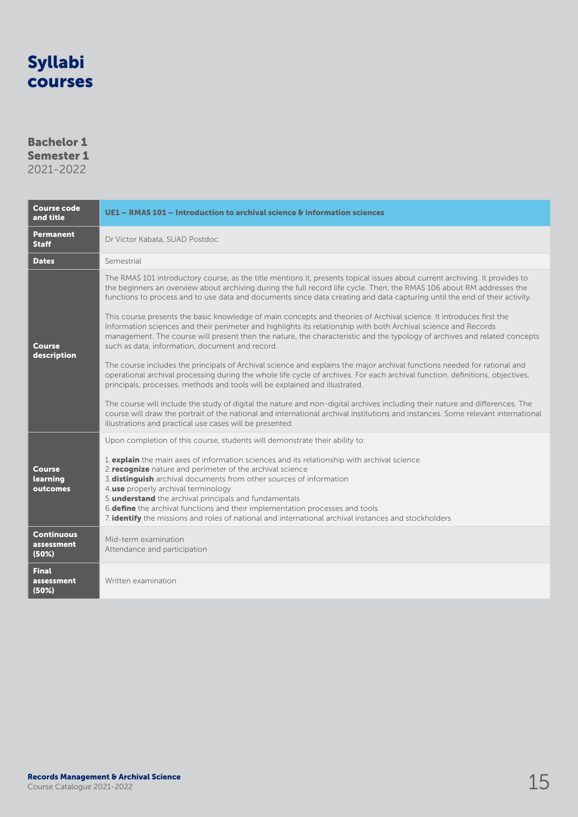### Bachelor 1 Semester 1 2021-2022

| <b>Course code</b><br>and title          | UE1 – RMAS 101 – Introduction to archival science & information sciences                                                                                                                                                                                                                                                                                                                                                                                                                                                                                                                                                                                                                                                                                                                                                                                                                                                                                                                                                                                                                                                                                                                                                                                                                                                                                                                                                                                                                  |
|------------------------------------------|-------------------------------------------------------------------------------------------------------------------------------------------------------------------------------------------------------------------------------------------------------------------------------------------------------------------------------------------------------------------------------------------------------------------------------------------------------------------------------------------------------------------------------------------------------------------------------------------------------------------------------------------------------------------------------------------------------------------------------------------------------------------------------------------------------------------------------------------------------------------------------------------------------------------------------------------------------------------------------------------------------------------------------------------------------------------------------------------------------------------------------------------------------------------------------------------------------------------------------------------------------------------------------------------------------------------------------------------------------------------------------------------------------------------------------------------------------------------------------------------|
| Permanent<br><b>Staff</b>                | Dr Victor Kabata, SUAD Postdoc                                                                                                                                                                                                                                                                                                                                                                                                                                                                                                                                                                                                                                                                                                                                                                                                                                                                                                                                                                                                                                                                                                                                                                                                                                                                                                                                                                                                                                                            |
| <b>Dates</b>                             | Semestrial                                                                                                                                                                                                                                                                                                                                                                                                                                                                                                                                                                                                                                                                                                                                                                                                                                                                                                                                                                                                                                                                                                                                                                                                                                                                                                                                                                                                                                                                                |
| Course<br>description                    | The RMAS 101 introductory course, as the title mentions it, presents topical issues about current archiving. It provides to<br>the beginners an overview about archiving during the full record life cycle. Then, the RMAS 106 about RM addresses the<br>functions to process and to use data and documents since data creating and data capturing until the end of their activity.<br>This course presents the basic knowledge of main concepts and theories of Archival science. It introduces first the<br>Information sciences and their perimeter and highlights its relationship with both Archival science and Records<br>management. The course will present then the nature, the characteristic and the typology of archives and related concepts<br>such as data, information, document and record.<br>The course includes the principals of Archival science and explains the major archival functions needed for rational and<br>operational archival processing during the whole life cycle of archives. For each archival function, definitions, objectives,<br>principals, processes, methods and tools will be explained and illustrated.<br>The course will include the study of digital the nature and non-digital archives including their nature and differences. The<br>course will draw the portrait of the national and international archival institutions and instances. Some relevant international<br>illustrations and practical use cases will be presented. |
| <b>Course</b><br>learning<br>outcomes    | Upon completion of this course, students will demonstrate their ability to:<br>1. <b>explain</b> the main axes of information sciences and its relationship with archival science<br>2. recognize nature and perimeter of the archival science<br>3. distinguish archival documents from other sources of information<br>4. use properly archival terminology<br>5. <b>understand</b> the archival principals and fundamentals<br>6. <b>define</b> the archival functions and their implementation processes and tools<br>7. <b>identify</b> the missions and roles of national and international archival instances and stockholders                                                                                                                                                                                                                                                                                                                                                                                                                                                                                                                                                                                                                                                                                                                                                                                                                                                     |
| <b>Continuous</b><br>assessment<br>(50%) | Mid-term examination<br>Attendance and participation                                                                                                                                                                                                                                                                                                                                                                                                                                                                                                                                                                                                                                                                                                                                                                                                                                                                                                                                                                                                                                                                                                                                                                                                                                                                                                                                                                                                                                      |
| <b>Final</b><br>assessment<br>(50%)      | Written examination                                                                                                                                                                                                                                                                                                                                                                                                                                                                                                                                                                                                                                                                                                                                                                                                                                                                                                                                                                                                                                                                                                                                                                                                                                                                                                                                                                                                                                                                       |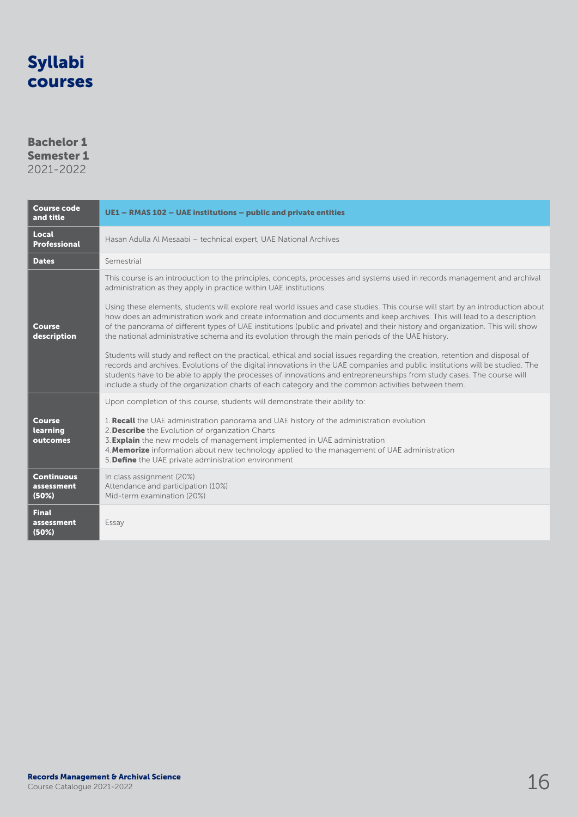### Bachelor 1 Semester 1

| <b>Course code</b><br>and title          | UE1 - RMAS 102 - UAE institutions - public and private entities                                                                                                                                                                                                                                                                                                                                                                                                                                                                                                                                                                                                                                                                                                                                                                                                                                                                                                                                                                                                                                                                                                                                        |  |  |
|------------------------------------------|--------------------------------------------------------------------------------------------------------------------------------------------------------------------------------------------------------------------------------------------------------------------------------------------------------------------------------------------------------------------------------------------------------------------------------------------------------------------------------------------------------------------------------------------------------------------------------------------------------------------------------------------------------------------------------------------------------------------------------------------------------------------------------------------------------------------------------------------------------------------------------------------------------------------------------------------------------------------------------------------------------------------------------------------------------------------------------------------------------------------------------------------------------------------------------------------------------|--|--|
| Local<br><b>Professional</b>             | Hasan Adulla Al Mesaabi - technical expert, UAE National Archives                                                                                                                                                                                                                                                                                                                                                                                                                                                                                                                                                                                                                                                                                                                                                                                                                                                                                                                                                                                                                                                                                                                                      |  |  |
| <b>Dates</b>                             | Semestrial                                                                                                                                                                                                                                                                                                                                                                                                                                                                                                                                                                                                                                                                                                                                                                                                                                                                                                                                                                                                                                                                                                                                                                                             |  |  |
| <b>Course</b><br>description             | This course is an introduction to the principles, concepts, processes and systems used in records management and archival<br>administration as they apply in practice within UAE institutions.<br>Using these elements, students will explore real world issues and case studies. This course will start by an introduction about<br>how does an administration work and create information and documents and keep archives. This will lead to a description<br>of the panorama of different types of UAE institutions (public and private) and their history and organization. This will show<br>the national administrative schema and its evolution through the main periods of the UAE history.<br>Students will study and reflect on the practical, ethical and social issues regarding the creation, retention and disposal of<br>records and archives. Evolutions of the digital innovations in the UAE companies and public institutions will be studied. The<br>students have to be able to apply the processes of innovations and entrepreneurships from study cases. The course will<br>include a study of the organization charts of each category and the common activities between them. |  |  |
| <b>Course</b><br>learning<br>outcomes    | Upon completion of this course, students will demonstrate their ability to:<br>1. Recall the UAE administration panorama and UAE history of the administration evolution<br>2. Describe the Evolution of organization Charts<br>3. <b>Explain</b> the new models of management implemented in UAE administration<br>4. Memorize information about new technology applied to the management of UAE administration<br>5. Define the UAE private administration environment                                                                                                                                                                                                                                                                                                                                                                                                                                                                                                                                                                                                                                                                                                                               |  |  |
| <b>Continuous</b><br>assessment<br>(50%) | In class assignment (20%)<br>Attendance and participation (10%)<br>Mid-term examination (20%)                                                                                                                                                                                                                                                                                                                                                                                                                                                                                                                                                                                                                                                                                                                                                                                                                                                                                                                                                                                                                                                                                                          |  |  |
| <b>Final</b><br>assessment<br>(50%)      | Essay                                                                                                                                                                                                                                                                                                                                                                                                                                                                                                                                                                                                                                                                                                                                                                                                                                                                                                                                                                                                                                                                                                                                                                                                  |  |  |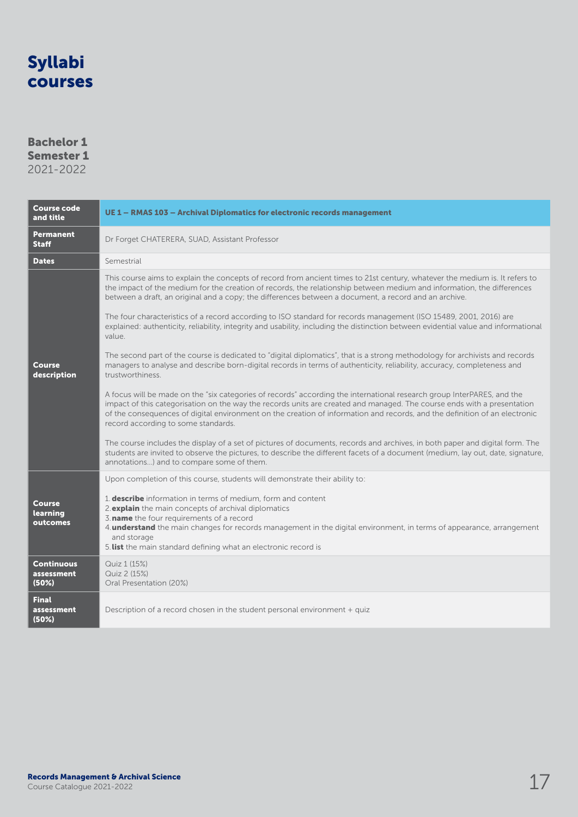### Bachelor 1 Semester 1

|  |  | 2021-2022 |
|--|--|-----------|
|  |  |           |

| Course code<br>and title                 | UE 1 - RMAS 103 - Archival Diplomatics for electronic records management                                                                                                                                                                                                                                                                                                                                               |  |  |
|------------------------------------------|------------------------------------------------------------------------------------------------------------------------------------------------------------------------------------------------------------------------------------------------------------------------------------------------------------------------------------------------------------------------------------------------------------------------|--|--|
| <b>Permanent</b><br><b>Staff</b>         | Dr Forget CHATERERA, SUAD, Assistant Professor                                                                                                                                                                                                                                                                                                                                                                         |  |  |
| <b>Dates</b>                             | Semestrial                                                                                                                                                                                                                                                                                                                                                                                                             |  |  |
|                                          | This course aims to explain the concepts of record from ancient times to 21st century, whatever the medium is. It refers to<br>the impact of the medium for the creation of records, the relationship between medium and information, the differences<br>between a draft, an original and a copy; the differences between a document, a record and an archive.                                                         |  |  |
|                                          | The four characteristics of a record according to ISO standard for records management (ISO 15489, 2001, 2016) are<br>explained: authenticity, reliability, integrity and usability, including the distinction between evidential value and informational<br>value.                                                                                                                                                     |  |  |
| Course<br>description                    | The second part of the course is dedicated to "digital diplomatics", that is a strong methodology for archivists and records<br>managers to analyse and describe born-digital records in terms of authenticity, reliability, accuracy, completeness and<br>trustworthiness.                                                                                                                                            |  |  |
|                                          | A focus will be made on the "six categories of records" according the international research group InterPARES, and the<br>impact of this categorisation on the way the records units are created and managed. The course ends with a presentation<br>of the consequences of digital environment on the creation of information and records, and the definition of an electronic<br>record according to some standards. |  |  |
|                                          | The course includes the display of a set of pictures of documents, records and archives, in both paper and digital form. The<br>students are invited to observe the pictures, to describe the different facets of a document (medium, lay out, date, signature,<br>annotations) and to compare some of them.                                                                                                           |  |  |
|                                          | Upon completion of this course, students will demonstrate their ability to:                                                                                                                                                                                                                                                                                                                                            |  |  |
| <b>Course</b><br>learning<br>outcomes    | 1. describe information in terms of medium, form and content<br>2. explain the main concepts of archival diplomatics<br>3. name the four requirements of a record<br>4. <b>understand</b> the main changes for records management in the digital environment, in terms of appearance, arrangement<br>and storage<br>5. list the main standard defining what an electronic record is                                    |  |  |
| <b>Continuous</b><br>assessment<br>(50%) | Quiz 1 (15%)<br>Quiz 2 (15%)<br>Oral Presentation (20%)                                                                                                                                                                                                                                                                                                                                                                |  |  |
| <b>Final</b><br>assessment<br>(50%)      | Description of a record chosen in the student personal environment + quized                                                                                                                                                                                                                                                                                                                                            |  |  |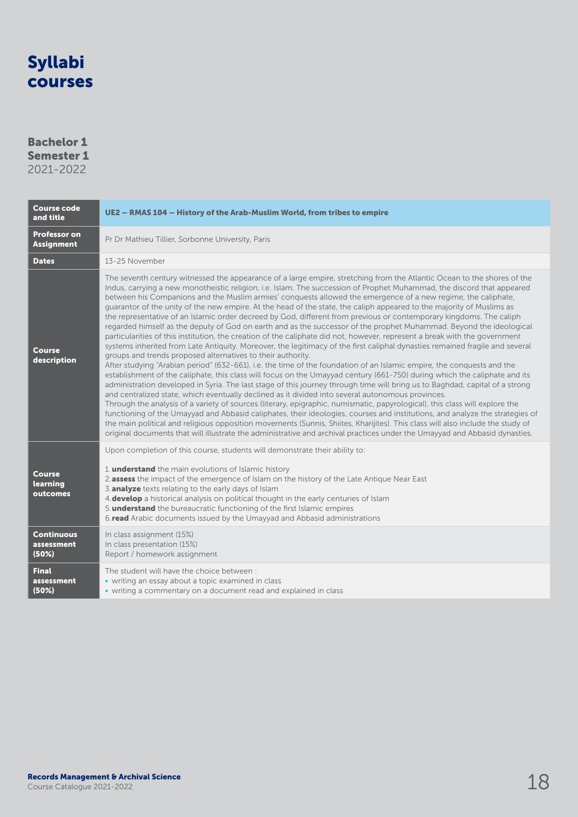### Bachelor 1 Semester 1 2021-2022

| <b>Course code</b><br>and title          | UE2 - RMAS 104 - History of the Arab-Muslim World, from tribes to empire                                                                                                                                                                                                                                                                                                                                                                                                                                                                                                                                                                                                                                                                                                                                                                                                                                                                                                                                                                                                                                                                                                                                                                                                                                                                                                                                                                                                                                                                                                                                                                                                                                                                                                                                                                                                                                                                                                                                                                                                                          |  |  |
|------------------------------------------|---------------------------------------------------------------------------------------------------------------------------------------------------------------------------------------------------------------------------------------------------------------------------------------------------------------------------------------------------------------------------------------------------------------------------------------------------------------------------------------------------------------------------------------------------------------------------------------------------------------------------------------------------------------------------------------------------------------------------------------------------------------------------------------------------------------------------------------------------------------------------------------------------------------------------------------------------------------------------------------------------------------------------------------------------------------------------------------------------------------------------------------------------------------------------------------------------------------------------------------------------------------------------------------------------------------------------------------------------------------------------------------------------------------------------------------------------------------------------------------------------------------------------------------------------------------------------------------------------------------------------------------------------------------------------------------------------------------------------------------------------------------------------------------------------------------------------------------------------------------------------------------------------------------------------------------------------------------------------------------------------------------------------------------------------------------------------------------------------|--|--|
| <b>Professor on</b><br><b>Assignment</b> | Pr Dr Mathieu Tillier, Sorbonne University, Paris                                                                                                                                                                                                                                                                                                                                                                                                                                                                                                                                                                                                                                                                                                                                                                                                                                                                                                                                                                                                                                                                                                                                                                                                                                                                                                                                                                                                                                                                                                                                                                                                                                                                                                                                                                                                                                                                                                                                                                                                                                                 |  |  |
| <b>Dates</b>                             | 13-25 November                                                                                                                                                                                                                                                                                                                                                                                                                                                                                                                                                                                                                                                                                                                                                                                                                                                                                                                                                                                                                                                                                                                                                                                                                                                                                                                                                                                                                                                                                                                                                                                                                                                                                                                                                                                                                                                                                                                                                                                                                                                                                    |  |  |
| <b>Course</b><br>description             | The seventh century witnessed the appearance of a large empire, stretching from the Atlantic Ocean to the shores of the<br>Indus, carrying a new monotheistic religion, i.e. Islam. The succession of Prophet Muhammad, the discord that appeared<br>between his Companions and the Muslim armies' conquests allowed the emergence of a new regime, the caliphate,<br>quarantor of the unity of the new empire. At the head of the state, the caliph appeared to the majority of Muslims as<br>the representative of an Islamic order decreed by God, different from previous or contemporary kingdoms. The caliph<br>regarded himself as the deputy of God on earth and as the successor of the prophet Muhammad. Beyond the ideological<br>particularities of this institution, the creation of the caliphate did not, however, represent a break with the government<br>systems inherited from Late Antiquity. Moreover, the legitimacy of the first caliphal dynasties remained fragile and several<br>groups and trends proposed alternatives to their authority.<br>After studying "Arabian period" (632-661), i.e. the time of the foundation of an Islamic empire, the conquests and the<br>establishment of the caliphate, this class will focus on the Umayyad century (661-750) during which the caliphate and its<br>administration developed in Syria. The last stage of this journey through time will bring us to Baghdad, capital of a strong<br>and centralized state, which eventually declined as it divided into several autonomous provinces.<br>Through the analysis of a variety of sources (literary, epigraphic, numismatic, papyrological), this class will explore the<br>functioning of the Umayyad and Abbasid caliphates, their ideologies, courses and institutions, and analyze the strategies of<br>the main political and religious opposition movements (Sunnis, Shiites, Kharijites). This class will also include the study of<br>original documents that will illustrate the administrative and archival practices under the Umayyad and Abbasid dynasties. |  |  |
| <b>Course</b><br>learning<br>outcomes    | Upon completion of this course, students will demonstrate their ability to:<br>1. <b>understand</b> the main evolutions of Islamic history<br>2.assess the impact of the emergence of Islam on the history of the Late Antique Near East<br>3. analyze texts relating to the early days of Islam<br>4. develop a historical analysis on political thought in the early centuries of Islam<br>5. understand the bureaucratic functioning of the first Islamic empires<br>6.read Arabic documents issued by the Umayyad and Abbasid administrations                                                                                                                                                                                                                                                                                                                                                                                                                                                                                                                                                                                                                                                                                                                                                                                                                                                                                                                                                                                                                                                                                                                                                                                                                                                                                                                                                                                                                                                                                                                                                 |  |  |
| <b>Continuous</b><br>assessment<br>(50%) | In class assignment (15%)<br>In class presentation (15%)<br>Report / homework assignment                                                                                                                                                                                                                                                                                                                                                                                                                                                                                                                                                                                                                                                                                                                                                                                                                                                                                                                                                                                                                                                                                                                                                                                                                                                                                                                                                                                                                                                                                                                                                                                                                                                                                                                                                                                                                                                                                                                                                                                                          |  |  |
| <b>Final</b><br>assessment<br>(50%)      | The student will have the choice between:<br>• writing an essay about a topic examined in class<br>• writing a commentary on a document read and explained in class                                                                                                                                                                                                                                                                                                                                                                                                                                                                                                                                                                                                                                                                                                                                                                                                                                                                                                                                                                                                                                                                                                                                                                                                                                                                                                                                                                                                                                                                                                                                                                                                                                                                                                                                                                                                                                                                                                                               |  |  |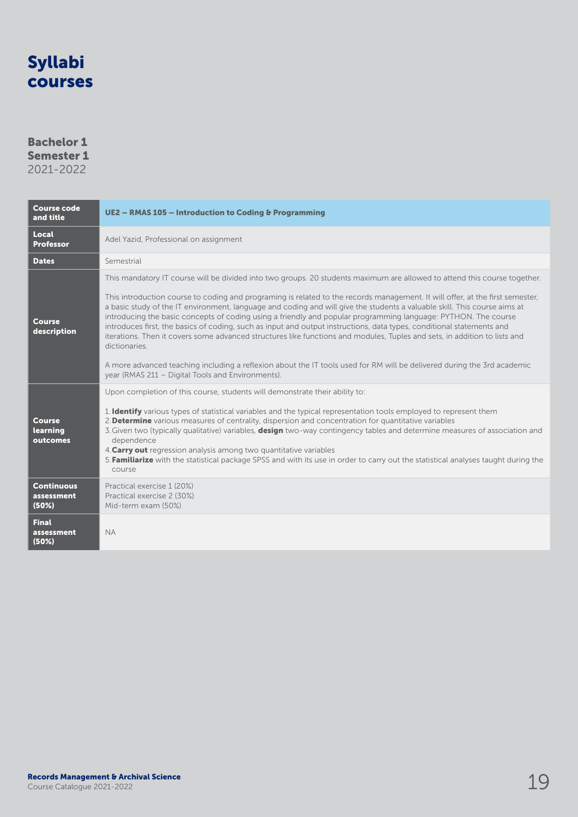### Bachelor 1 Semester 1

| <b>Course code</b><br>and title          | UE2 - RMAS 105 - Introduction to Coding & Programming                                                                                                                                                                                                                                                                                                                                                                                                                                                                                                                                                                                                                                                                                                                                                                                                                                                                                                            |  |  |
|------------------------------------------|------------------------------------------------------------------------------------------------------------------------------------------------------------------------------------------------------------------------------------------------------------------------------------------------------------------------------------------------------------------------------------------------------------------------------------------------------------------------------------------------------------------------------------------------------------------------------------------------------------------------------------------------------------------------------------------------------------------------------------------------------------------------------------------------------------------------------------------------------------------------------------------------------------------------------------------------------------------|--|--|
| Local<br><b>Professor</b>                | Adel Yazid, Professional on assignment                                                                                                                                                                                                                                                                                                                                                                                                                                                                                                                                                                                                                                                                                                                                                                                                                                                                                                                           |  |  |
| <b>Dates</b>                             | Semestrial                                                                                                                                                                                                                                                                                                                                                                                                                                                                                                                                                                                                                                                                                                                                                                                                                                                                                                                                                       |  |  |
| <b>Course</b><br>description             | This mandatory IT course will be divided into two groups. 20 students maximum are allowed to attend this course together.<br>This introduction course to coding and programing is related to the records management. It will offer, at the first semester,<br>a basic study of the IT environment, language and coding and will give the students a valuable skill. This course aims at<br>introducing the basic concepts of coding using a friendly and popular programming language: PYTHON. The course<br>introduces first, the basics of coding, such as input and output instructions, data types, conditional statements and<br>iterations. Then it covers some advanced structures like functions and modules, Tuples and sets, in addition to lists and<br>dictionaries.<br>A more advanced teaching including a reflexion about the IT tools used for RM will be delivered during the 3rd academic<br>year (RMAS 211 - Digital Tools and Environments). |  |  |
| <b>Course</b><br>learning<br>outcomes    | Upon completion of this course, students will demonstrate their ability to:<br>1. <b>Identify</b> various types of statistical variables and the typical representation tools employed to represent them<br>2. Determine various measures of centrality, dispersion and concentration for quantitative variables<br>3. Given two (typically qualitative) variables, design two-way contingency tables and determine measures of association and<br>dependence<br>4. Carry out regression analysis among two quantitative variables<br>5. Familiarize with the statistical package SPSS and with its use in order to carry out the statistical analyses taught during the<br>course                                                                                                                                                                                                                                                                               |  |  |
| <b>Continuous</b><br>assessment<br>(50%) | Practical exercise 1 (20%)<br>Practical exercise 2 (30%)<br>Mid-term exam (50%)                                                                                                                                                                                                                                                                                                                                                                                                                                                                                                                                                                                                                                                                                                                                                                                                                                                                                  |  |  |
| <b>Final</b><br>assessment<br>(50%)      | <b>NA</b>                                                                                                                                                                                                                                                                                                                                                                                                                                                                                                                                                                                                                                                                                                                                                                                                                                                                                                                                                        |  |  |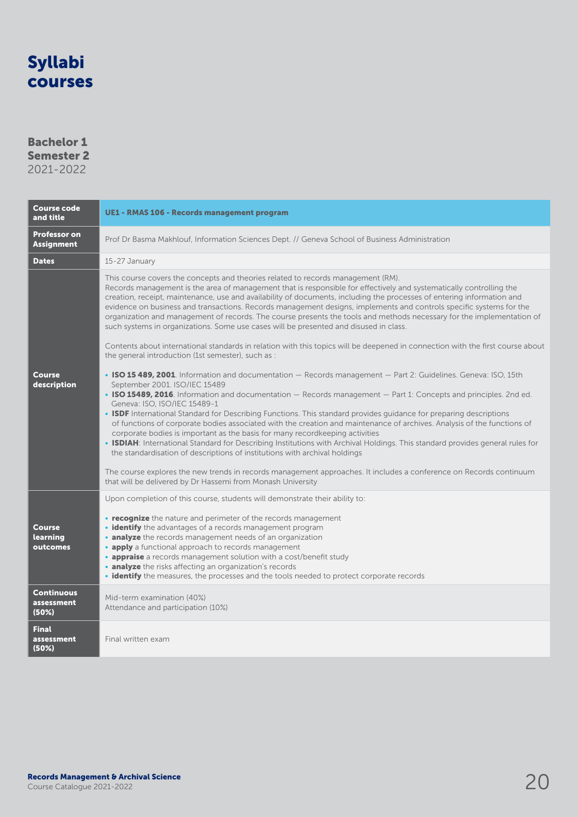### Bachelor 1 Semester 2

| <b>Course code</b><br>and title          | <b>UE1 - RMAS 106 - Records management program</b>                                                                                                                                                                                                                                                                                                                                                                                                                                                                                                                                                                                                                                                                                                                                                                                                                                                                                                                                                                                       |  |  |
|------------------------------------------|------------------------------------------------------------------------------------------------------------------------------------------------------------------------------------------------------------------------------------------------------------------------------------------------------------------------------------------------------------------------------------------------------------------------------------------------------------------------------------------------------------------------------------------------------------------------------------------------------------------------------------------------------------------------------------------------------------------------------------------------------------------------------------------------------------------------------------------------------------------------------------------------------------------------------------------------------------------------------------------------------------------------------------------|--|--|
| <b>Professor on</b><br><b>Assignment</b> | Prof Dr Basma Makhlouf, Information Sciences Dept. // Geneva School of Business Administration                                                                                                                                                                                                                                                                                                                                                                                                                                                                                                                                                                                                                                                                                                                                                                                                                                                                                                                                           |  |  |
| <b>Dates</b>                             | 15-27 January                                                                                                                                                                                                                                                                                                                                                                                                                                                                                                                                                                                                                                                                                                                                                                                                                                                                                                                                                                                                                            |  |  |
|                                          | This course covers the concepts and theories related to records management (RM).<br>Records management is the area of management that is responsible for effectively and systematically controlling the<br>creation, receipt, maintenance, use and availability of documents, including the processes of entering information and<br>evidence on business and transactions. Records management designs, implements and controls specific systems for the<br>organization and management of records. The course presents the tools and methods necessary for the implementation of<br>such systems in organizations. Some use cases will be presented and disused in class.                                                                                                                                                                                                                                                                                                                                                               |  |  |
|                                          | Contents about international standards in relation with this topics will be deepened in connection with the first course about<br>the general introduction (1st semester), such as :                                                                                                                                                                                                                                                                                                                                                                                                                                                                                                                                                                                                                                                                                                                                                                                                                                                     |  |  |
| <b>Course</b><br>description             | • ISO 15 489, 2001. Information and documentation - Records management - Part 2: Guidelines. Geneva: ISO, 15th<br>September 2001. ISO/IEC 15489<br>• ISO 15489, 2016. Information and documentation - Records management - Part 1: Concepts and principles. 2nd ed.<br>Geneva: ISO, ISO/IEC 15489-1<br>• ISDF International Standard for Describing Functions. This standard provides guidance for preparing descriptions<br>of functions of corporate bodies associated with the creation and maintenance of archives. Analysis of the functions of<br>corporate bodies is important as the basis for many recordkeeping activities<br>• ISDIAH: International Standard for Describing Institutions with Archival Holdings. This standard provides general rules for<br>the standardisation of descriptions of institutions with archival holdings<br>The course explores the new trends in records management approaches. It includes a conference on Records continuum<br>that will be delivered by Dr Hassemi from Monash University |  |  |
| <b>Course</b><br>learning<br>outcomes    | Upon completion of this course, students will demonstrate their ability to:<br>• recognize the nature and perimeter of the records management<br>• identify the advantages of a records management program<br>• analyze the records management needs of an organization<br>• apply a functional approach to records management<br>• appraise a records management solution with a cost/benefit study<br>• analyze the risks affecting an organization's records<br>• identify the measures, the processes and the tools needed to protect corporate records                                                                                                                                                                                                                                                                                                                                                                                                                                                                              |  |  |
| <b>Continuous</b><br>assessment<br>(50%) | Mid-term examination (40%)<br>Attendance and participation (10%)                                                                                                                                                                                                                                                                                                                                                                                                                                                                                                                                                                                                                                                                                                                                                                                                                                                                                                                                                                         |  |  |
| <b>Final</b><br>assessment<br>(50%)      | Final written exam                                                                                                                                                                                                                                                                                                                                                                                                                                                                                                                                                                                                                                                                                                                                                                                                                                                                                                                                                                                                                       |  |  |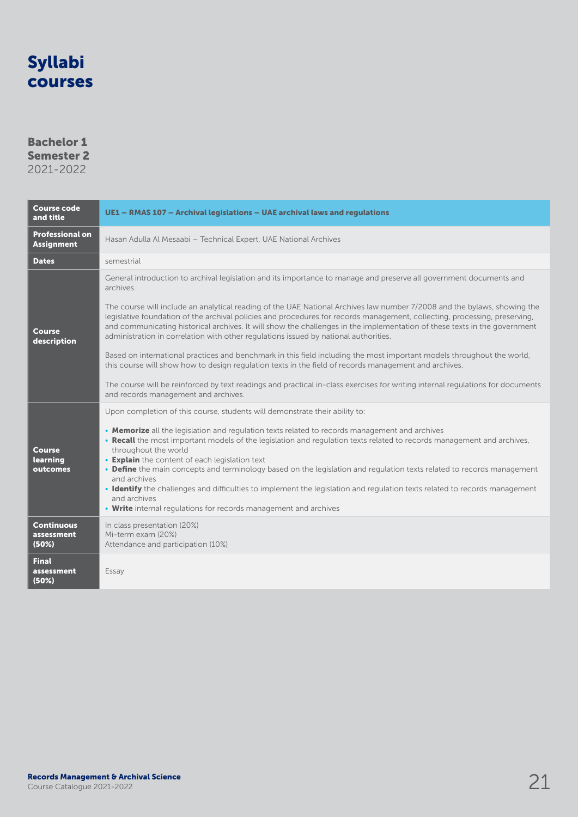### Bachelor 1 Semester 2 2021-2022

| <b>Course code</b><br>and title             | UE1 - RMAS 107 - Archival legislations - UAE archival laws and regulations                                                                                                                                                                                                                                                                                                                                                                                                                                                                                                                                                                                                                                                                                                                                                                                                                                                                                                                                                   |  |  |
|---------------------------------------------|------------------------------------------------------------------------------------------------------------------------------------------------------------------------------------------------------------------------------------------------------------------------------------------------------------------------------------------------------------------------------------------------------------------------------------------------------------------------------------------------------------------------------------------------------------------------------------------------------------------------------------------------------------------------------------------------------------------------------------------------------------------------------------------------------------------------------------------------------------------------------------------------------------------------------------------------------------------------------------------------------------------------------|--|--|
| <b>Professional on</b><br><b>Assignment</b> | Hasan Adulla Al Mesaabi - Technical Expert, UAE National Archives                                                                                                                                                                                                                                                                                                                                                                                                                                                                                                                                                                                                                                                                                                                                                                                                                                                                                                                                                            |  |  |
| <b>Dates</b>                                | semestrial                                                                                                                                                                                                                                                                                                                                                                                                                                                                                                                                                                                                                                                                                                                                                                                                                                                                                                                                                                                                                   |  |  |
| Course<br>description                       | General introduction to archival legislation and its importance to manage and preserve all government documents and<br>archives.<br>The course will include an analytical reading of the UAE National Archives law number 7/2008 and the bylaws, showing the<br>legislative foundation of the archival policies and procedures for records management, collecting, processing, preserving,<br>and communicating historical archives. It will show the challenges in the implementation of these texts in the government<br>administration in correlation with other regulations issued by national authorities.<br>Based on international practices and benchmark in this field including the most important models throughout the world,<br>this course will show how to design regulation texts in the field of records management and archives.<br>The course will be reinforced by text readings and practical in-class exercises for writing internal regulations for documents<br>and records management and archives. |  |  |
| <b>Course</b><br>learning<br>outcomes       | Upon completion of this course, students will demonstrate their ability to:<br>• Memorize all the legislation and regulation texts related to records management and archives<br>• Recall the most important models of the legislation and regulation texts related to records management and archives,<br>throughout the world<br>• Explain the content of each legislation text<br>• Define the main concepts and terminology based on the legislation and regulation texts related to records management<br>and archives<br>• Identify the challenges and difficulties to implement the legislation and regulation texts related to records management<br>and archives<br>• Write internal regulations for records management and archives                                                                                                                                                                                                                                                                                |  |  |
| <b>Continuous</b><br>assessment<br>(50%)    | In class presentation (20%)<br>Mi-term exam (20%)<br>Attendance and participation (10%)                                                                                                                                                                                                                                                                                                                                                                                                                                                                                                                                                                                                                                                                                                                                                                                                                                                                                                                                      |  |  |
| <b>Final</b><br>assessment<br>(50%)         | Essay                                                                                                                                                                                                                                                                                                                                                                                                                                                                                                                                                                                                                                                                                                                                                                                                                                                                                                                                                                                                                        |  |  |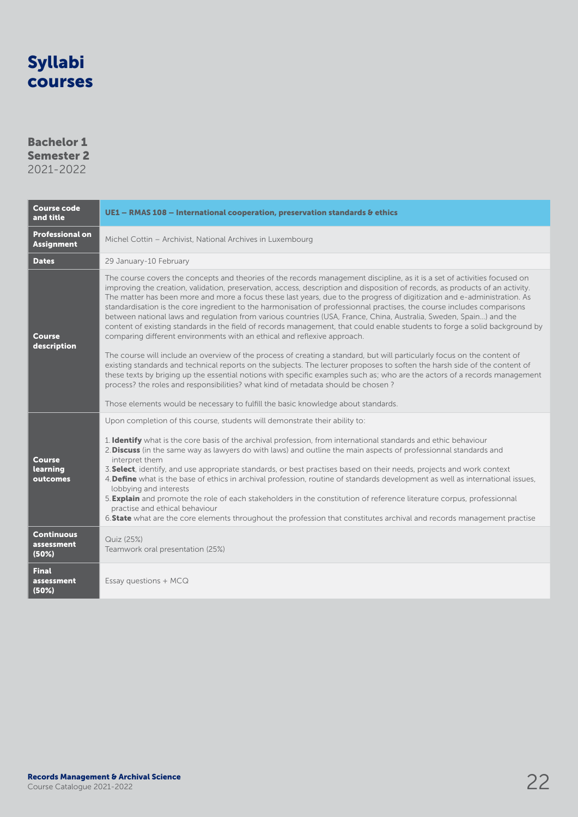### Bachelor 1 Semester 2

| <b>Course code</b><br>and title             | UE1 - RMAS 108 - International cooperation, preservation standards & ethics                                                                                                                                                                                                                                                                                                                                                                                                                                                                                                                                                                                                                                                                                                                                                                                                                                                                                                                                                                                                                                                                                                                                                                                                                                                                                                                                         |  |  |
|---------------------------------------------|---------------------------------------------------------------------------------------------------------------------------------------------------------------------------------------------------------------------------------------------------------------------------------------------------------------------------------------------------------------------------------------------------------------------------------------------------------------------------------------------------------------------------------------------------------------------------------------------------------------------------------------------------------------------------------------------------------------------------------------------------------------------------------------------------------------------------------------------------------------------------------------------------------------------------------------------------------------------------------------------------------------------------------------------------------------------------------------------------------------------------------------------------------------------------------------------------------------------------------------------------------------------------------------------------------------------------------------------------------------------------------------------------------------------|--|--|
| <b>Professional on</b><br><b>Assignment</b> | Michel Cottin - Archivist, National Archives in Luxembourg                                                                                                                                                                                                                                                                                                                                                                                                                                                                                                                                                                                                                                                                                                                                                                                                                                                                                                                                                                                                                                                                                                                                                                                                                                                                                                                                                          |  |  |
| <b>Dates</b>                                | 29 January-10 February                                                                                                                                                                                                                                                                                                                                                                                                                                                                                                                                                                                                                                                                                                                                                                                                                                                                                                                                                                                                                                                                                                                                                                                                                                                                                                                                                                                              |  |  |
| Course<br>description                       | The course covers the concepts and theories of the records management discipline, as it is a set of activities focused on<br>improving the creation, validation, preservation, access, description and disposition of records, as products of an activity.<br>The matter has been more and more a focus these last years, due to the progress of digitization and e-administration. As<br>standardisation is the core ingredient to the harmonisation of professionnal practises, the course includes comparisons<br>between national laws and requlation from various countries (USA, France, China, Australia, Sweden, Spain) and the<br>content of existing standards in the field of records management, that could enable students to forge a solid background by<br>comparing different environments with an ethical and reflexive approach.<br>The course will include an overview of the process of creating a standard, but will particularly focus on the content of<br>existing standards and technical reports on the subjects. The lecturer proposes to soften the harsh side of the content of<br>these texts by briging up the essential notions with specific examples such as; who are the actors of a records management<br>process? the roles and responsibilities? what kind of metadata should be chosen?<br>Those elements would be necessary to fulfill the basic knowledge about standards. |  |  |
| <b>Course</b><br>learning<br>outcomes       | Upon completion of this course, students will demonstrate their ability to:<br>1. Identify what is the core basis of the archival profession, from international standards and ethic behaviour<br>2. Discuss (in the same way as lawyers do with laws) and outline the main aspects of professionnal standards and<br>interpret them<br>3. Select, identify, and use appropriate standards, or best practises based on their needs, projects and work context<br>4. Define what is the base of ethics in archival profession, routine of standards development as well as international issues,<br>lobbying and interests<br>5. Explain and promote the role of each stakeholders in the constitution of reference literature corpus, professionnal<br>practise and ethical behaviour<br>6. State what are the core elements throughout the profession that constitutes archival and records management practise                                                                                                                                                                                                                                                                                                                                                                                                                                                                                                    |  |  |
| <b>Continuous</b><br>assessment<br>(50%)    | Quiz (25%)<br>Teamwork oral presentation (25%)                                                                                                                                                                                                                                                                                                                                                                                                                                                                                                                                                                                                                                                                                                                                                                                                                                                                                                                                                                                                                                                                                                                                                                                                                                                                                                                                                                      |  |  |
| <b>Final</b><br>assessment<br>(50%)         | Essay questions + MCQ                                                                                                                                                                                                                                                                                                                                                                                                                                                                                                                                                                                                                                                                                                                                                                                                                                                                                                                                                                                                                                                                                                                                                                                                                                                                                                                                                                                               |  |  |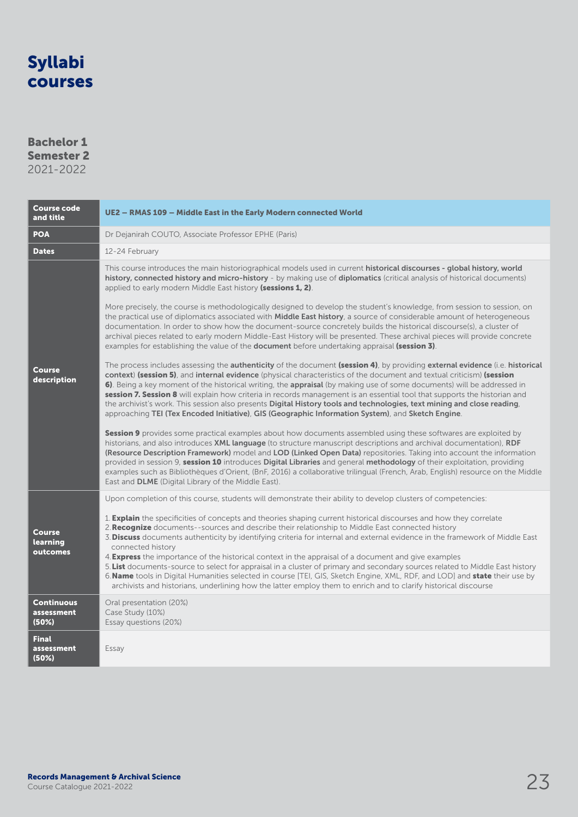### Bachelor 1 Semester 2 2021-2022

| Course code<br>and title                                   | UE2 - RMAS 109 - Middle East in the Early Modern connected World                                                                                                                                                                                                                                                                                                                                                                                                                                                                                                                                                                                                                                                                                                                                                                                                                                                                                                                                                                                                                                                                                                                                                                                                                                                                                                                                                                                                                                                                                                                                                                                                                                                                                                                                                                                                                                                                                                                                                                                                                                                                                                                                                                                                                                                                                                                        |  |  |  |
|------------------------------------------------------------|-----------------------------------------------------------------------------------------------------------------------------------------------------------------------------------------------------------------------------------------------------------------------------------------------------------------------------------------------------------------------------------------------------------------------------------------------------------------------------------------------------------------------------------------------------------------------------------------------------------------------------------------------------------------------------------------------------------------------------------------------------------------------------------------------------------------------------------------------------------------------------------------------------------------------------------------------------------------------------------------------------------------------------------------------------------------------------------------------------------------------------------------------------------------------------------------------------------------------------------------------------------------------------------------------------------------------------------------------------------------------------------------------------------------------------------------------------------------------------------------------------------------------------------------------------------------------------------------------------------------------------------------------------------------------------------------------------------------------------------------------------------------------------------------------------------------------------------------------------------------------------------------------------------------------------------------------------------------------------------------------------------------------------------------------------------------------------------------------------------------------------------------------------------------------------------------------------------------------------------------------------------------------------------------------------------------------------------------------------------------------------------------|--|--|--|
| <b>POA</b>                                                 | Dr Dejanirah COUTO, Associate Professor EPHE (Paris)                                                                                                                                                                                                                                                                                                                                                                                                                                                                                                                                                                                                                                                                                                                                                                                                                                                                                                                                                                                                                                                                                                                                                                                                                                                                                                                                                                                                                                                                                                                                                                                                                                                                                                                                                                                                                                                                                                                                                                                                                                                                                                                                                                                                                                                                                                                                    |  |  |  |
| <b>Dates</b>                                               | 12-24 February                                                                                                                                                                                                                                                                                                                                                                                                                                                                                                                                                                                                                                                                                                                                                                                                                                                                                                                                                                                                                                                                                                                                                                                                                                                                                                                                                                                                                                                                                                                                                                                                                                                                                                                                                                                                                                                                                                                                                                                                                                                                                                                                                                                                                                                                                                                                                                          |  |  |  |
| Course<br>description                                      | This course introduces the main historiographical models used in current historical discourses - global history, world<br>history, connected history and micro-history - by making use of diplomatics (critical analysis of historical documents)<br>applied to early modern Middle East history (sessions 1, 2).<br>More precisely, the course is methodologically designed to develop the student's knowledge, from session to session, on<br>the practical use of diplomatics associated with <b>Middle East history</b> , a source of considerable amount of heterogeneous<br>documentation. In order to show how the document-source concretely builds the historical discourse(s), a cluster of<br>archival pieces related to early modern Middle-East History will be presented. These archival pieces will provide concrete<br>examples for establishing the value of the document before undertaking appraisal (session 3).<br>The process includes assessing the <b>authenticity</b> of the document (session 4), by providing external evidence (i.e. historical<br>context) (session 5), and internal evidence (physical characteristics of the document and textual criticism) (session<br>6). Being a key moment of the historical writing, the appraisal (by making use of some documents) will be addressed in<br>session 7. Session 8 will explain how criteria in records management is an essential tool that supports the historian and<br>the archivist's work. This session also presents Digital History tools and technologies, text mining and close reading,<br>approaching TEI (Tex Encoded Initiative), GIS (Geographic Information System), and Sketch Engine.<br>Session 9 provides some practical examples about how documents assembled using these softwares are exploited by<br>historians, and also introduces XML language (to structure manuscript descriptions and archival documentation), RDF<br>(Resource Description Framework) model and LOD (Linked Open Data) repositories. Taking into account the information<br>provided in session 9, session 10 introduces Digital Libraries and general methodology of their exploitation, providing<br>examples such as Bibliothèques d'Orient, (BnF, 2016) a collaborative trilingual (French, Arab, English) resource on the Middle<br>East and <b>DLME</b> (Digital Library of the Middle East). |  |  |  |
| <b>Course</b><br>learning<br>outcomes<br><b>Continuous</b> | Upon completion of this course, students will demonstrate their ability to develop clusters of competencies:<br>1. <b>Explain</b> the specificities of concepts and theories shaping current historical discourses and how they correlate<br>2. Recognize documents--sources and describe their relationship to Middle East connected history<br>3. Discuss documents authenticity by identifying criteria for internal and external evidence in the framework of Middle East<br>connected history<br>4. <b>Express</b> the importance of the historical context in the appraisal of a document and give examples<br>5. List documents-source to select for appraisal in a cluster of primary and secondary sources related to Middle East history<br>6. Name tools in Digital Humanities selected in course [TEI, GIS, Sketch Engine, XML, RDF, and LOD] and state their use by<br>archivists and historians, underlining how the latter employ them to enrich and to clarify historical discourse<br>Oral presentation (20%)                                                                                                                                                                                                                                                                                                                                                                                                                                                                                                                                                                                                                                                                                                                                                                                                                                                                                                                                                                                                                                                                                                                                                                                                                                                                                                                                                          |  |  |  |
| assessment<br>(50%)                                        | Case Study (10%)<br>Essay questions (20%)                                                                                                                                                                                                                                                                                                                                                                                                                                                                                                                                                                                                                                                                                                                                                                                                                                                                                                                                                                                                                                                                                                                                                                                                                                                                                                                                                                                                                                                                                                                                                                                                                                                                                                                                                                                                                                                                                                                                                                                                                                                                                                                                                                                                                                                                                                                                               |  |  |  |
| <b>Final</b><br>assessment<br>(50%)                        | Essay                                                                                                                                                                                                                                                                                                                                                                                                                                                                                                                                                                                                                                                                                                                                                                                                                                                                                                                                                                                                                                                                                                                                                                                                                                                                                                                                                                                                                                                                                                                                                                                                                                                                                                                                                                                                                                                                                                                                                                                                                                                                                                                                                                                                                                                                                                                                                                                   |  |  |  |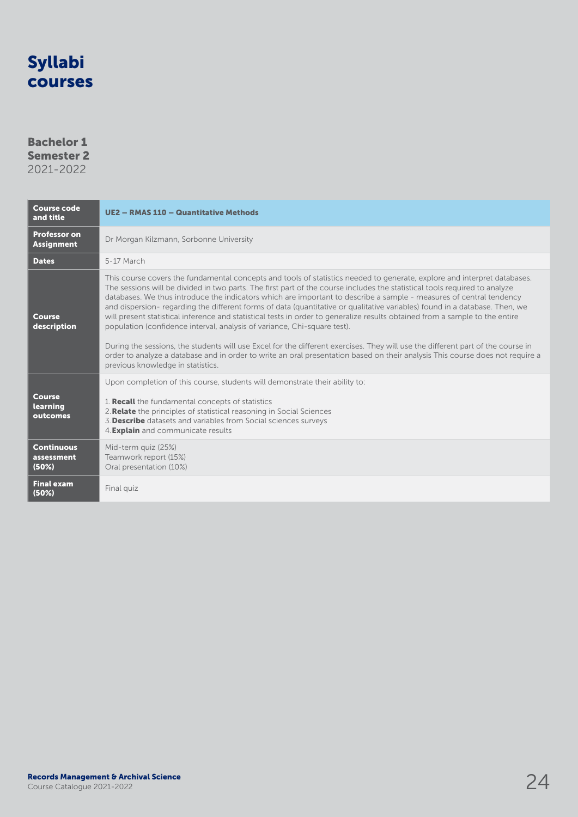#### Bachelor 1 Semester 2 2021-2022

Course code and title UE2 – RMAS 110 – Quantitative Methods Professor on **Professor on**<br>**Assignment** Dr Morgan Kilzmann, Sorbonne University Dates 5-17 March Course description This course covers the fundamental concepts and tools of statistics needed to generate, explore and interpret databases. The sessions will be divided in two parts. The first part of the course includes the statistical tools required to analyze databases. We thus introduce the indicators which are important to describe a sample - measures of central tendency and dispersion- regarding the different forms of data (quantitative or qualitative variables) found in a database. Then, we will present statistical inference and statistical tests in order to generalize results obtained from a sample to the entire population (confidence interval, analysis of variance, Chi-square test). During the sessions, the students will use Excel for the different exercises. They will use the different part of the course in order to analyze a database and in order to write an oral presentation based on their analysis This course does not require a previous knowledge in statistics. Course learning outcomes Upon completion of this course, students will demonstrate their ability to: 1. Recall the fundamental concepts of statistics 2.Relate the principles of statistical reasoning in Social Sciences 3.Describe datasets and variables from Social sciences surveys 4.Explain and communicate results **Continuous** assessment (50%) Mid-term quiz (25%) Teamwork report (15%) Oral presentation (10%) Final exam<br>(50%) Final quiz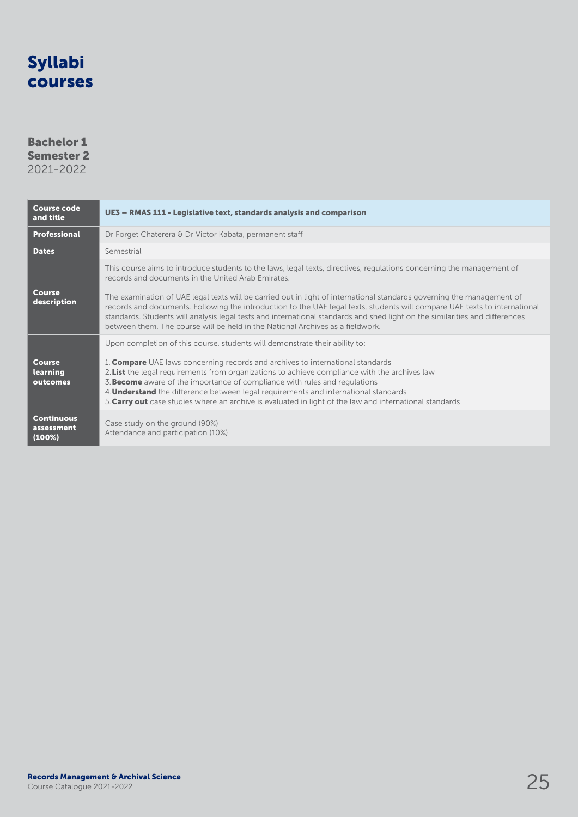### Bachelor 1 Semester 2

| <b>Course code</b><br>and title           | UE3 - RMAS 111 - Legislative text, standards analysis and comparison                                                                                                                                                                                                                                                                                                                                                                                                                                                                                                                                                                                 |  |  |
|-------------------------------------------|------------------------------------------------------------------------------------------------------------------------------------------------------------------------------------------------------------------------------------------------------------------------------------------------------------------------------------------------------------------------------------------------------------------------------------------------------------------------------------------------------------------------------------------------------------------------------------------------------------------------------------------------------|--|--|
| <b>Professional</b>                       | Dr Forget Chaterera & Dr Victor Kabata, permanent staff                                                                                                                                                                                                                                                                                                                                                                                                                                                                                                                                                                                              |  |  |
| <b>Dates</b>                              | Semestrial                                                                                                                                                                                                                                                                                                                                                                                                                                                                                                                                                                                                                                           |  |  |
| Course<br>description                     | This course aims to introduce students to the laws, legal texts, directives, regulations concerning the management of<br>records and documents in the United Arab Emirates.<br>The examination of UAE legal texts will be carried out in light of international standards governing the management of<br>records and documents. Following the introduction to the UAE legal texts, students will compare UAE texts to international<br>standards. Students will analysis legal tests and international standards and shed light on the similarities and differences<br>between them. The course will be held in the National Archives as a fieldwork |  |  |
| <b>Course</b><br>learning<br>outcomes     | Upon completion of this course, students will demonstrate their ability to:<br>1. <b>Compare</b> UAE laws concerning records and archives to international standards<br>2. List the legal requirements from organizations to achieve compliance with the archives law<br>3. <b>Become</b> aware of the importance of compliance with rules and regulations<br>4. <b>Understand</b> the difference between legal requirements and international standards<br>5. Carry out case studies where an archive is evaluated in light of the law and international standards                                                                                  |  |  |
| <b>Continuous</b><br>assessment<br>(100%) | Case study on the ground (90%)<br>Attendance and participation (10%)                                                                                                                                                                                                                                                                                                                                                                                                                                                                                                                                                                                 |  |  |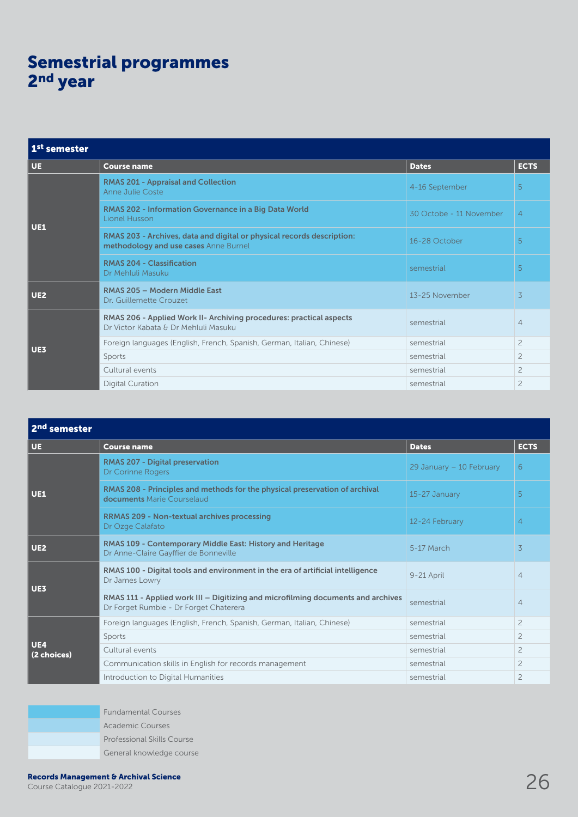## Semestrial programmes 2<sup>nd</sup> year

| 1 <sup>st</sup> semester |                                                                                                                 |                         |                |  |
|--------------------------|-----------------------------------------------------------------------------------------------------------------|-------------------------|----------------|--|
| <b>UE</b>                | <b>Course name</b>                                                                                              | <b>Dates</b>            | <b>ECTS</b>    |  |
| <b>UE1</b>               | <b>RMAS 201 - Appraisal and Collection</b><br>Anne Julie Coste                                                  | 4-16 September          | 5              |  |
|                          | RMAS 202 - Information Governance in a Big Data World<br>Lionel Husson                                          | 30 Octobe - 11 November | $\overline{4}$ |  |
|                          | RMAS 203 - Archives, data and digital or physical records description:<br>methodology and use cases Anne Burnel | 16-28 October           | 5              |  |
|                          | <b>RMAS 204 - Classification</b><br>Dr Mehluli Masuku                                                           | semestrial              | 5              |  |
| <b>UE2</b>               | RMAS 205 - Modern Middle East<br>Dr. Guillemette Crouzet                                                        | 13-25 November          | 3              |  |
| UE3                      | RMAS 206 - Applied Work II- Archiving procedures: practical aspects<br>Dr Victor Kabata & Dr Mehluli Masuku     | semestrial              | $\overline{4}$ |  |
|                          | Foreign languages (English, French, Spanish, German, Italian, Chinese)                                          | semestrial              | $\overline{c}$ |  |
|                          | Sports                                                                                                          | semestrial              | $\overline{c}$ |  |
|                          | Cultural events                                                                                                 | semestrial              | $\overline{c}$ |  |
|                          | <b>Digital Curation</b>                                                                                         | semestrial              | $\overline{c}$ |  |

| 2 <sup>nd</sup> semester  |                                                                                                                            |                          |                |
|---------------------------|----------------------------------------------------------------------------------------------------------------------------|--------------------------|----------------|
| <b>UE</b>                 | <b>Course name</b>                                                                                                         | <b>Dates</b>             | <b>ECTS</b>    |
| UE1                       | <b>RMAS 207 - Digital preservation</b><br>Dr Corinne Rogers                                                                | 29 January - 10 February | 6              |
|                           | RMAS 208 - Principles and methods for the physical preservation of archival<br>documents Marie Courselaud                  | 15-27 January            | 5              |
|                           | <b>RRMAS 209 - Non-textual archives processing</b><br>Dr Ozge Calafato                                                     | 12-24 February           | $\overline{4}$ |
| <b>UE2</b>                | RMAS 109 - Contemporary Middle East: History and Heritage<br>Dr Anne-Claire Gayffier de Bonneville                         | 5-17 March               | $\overline{3}$ |
| <b>UE3</b>                | RMAS 100 - Digital tools and environment in the era of artificial intelligence<br>Dr James Lowry                           | 9-21 April               | $\overline{4}$ |
|                           | RMAS 111 - Applied work III - Digitizing and microfilming documents and archives<br>Dr Forget Rumbie - Dr Forget Chaterera | semestrial               | $\overline{4}$ |
|                           | Foreign languages (English, French, Spanish, German, Italian, Chinese)                                                     | semestrial               | $\overline{2}$ |
| <b>UE4</b><br>(2 choices) | Sports                                                                                                                     | semestrial               | $\overline{2}$ |
|                           | Cultural events                                                                                                            | semestrial               | $\overline{c}$ |
|                           | Communication skills in English for records management                                                                     | semestrial               | $\overline{c}$ |
|                           | Introduction to Digital Humanities                                                                                         | semestrial               | $\overline{c}$ |

Fundamental Courses Academic Courses Professional Skills Course General knowledge course

Records Management & Archival Science<br>Course Catalogue 2021-2022 26 Archival Science 26 Archives 26 Archives 26 Archives 26 Archives 26 Archives 26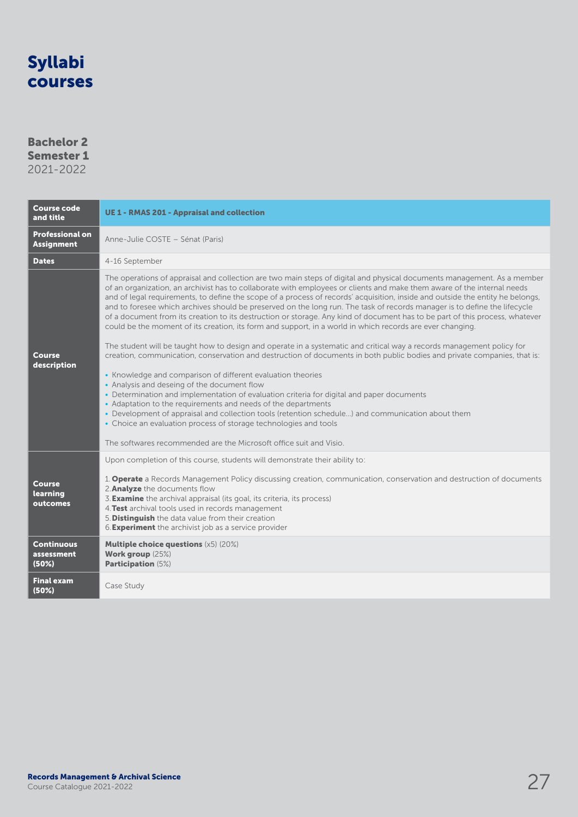### Bachelor 2 Semester 1

| <b>Course code</b><br>and title                     | <b>UE 1 - RMAS 201 - Appraisal and collection</b>                                                                                                                                                                                                                                                                                                                                                                                                                                                                                                                                                                                                                                                                                                                                                                                                                                                                                                                                                                                                                                                                                                                                                                                                                                                                                                                                                                                                                                                                                              |
|-----------------------------------------------------|------------------------------------------------------------------------------------------------------------------------------------------------------------------------------------------------------------------------------------------------------------------------------------------------------------------------------------------------------------------------------------------------------------------------------------------------------------------------------------------------------------------------------------------------------------------------------------------------------------------------------------------------------------------------------------------------------------------------------------------------------------------------------------------------------------------------------------------------------------------------------------------------------------------------------------------------------------------------------------------------------------------------------------------------------------------------------------------------------------------------------------------------------------------------------------------------------------------------------------------------------------------------------------------------------------------------------------------------------------------------------------------------------------------------------------------------------------------------------------------------------------------------------------------------|
| <b>Professional on</b><br><b>Assignment</b>         | Anne-Julie COSTE - Sénat (Paris)                                                                                                                                                                                                                                                                                                                                                                                                                                                                                                                                                                                                                                                                                                                                                                                                                                                                                                                                                                                                                                                                                                                                                                                                                                                                                                                                                                                                                                                                                                               |
| <b>Dates</b>                                        | 4-16 September                                                                                                                                                                                                                                                                                                                                                                                                                                                                                                                                                                                                                                                                                                                                                                                                                                                                                                                                                                                                                                                                                                                                                                                                                                                                                                                                                                                                                                                                                                                                 |
| <b>Course</b><br>description                        | The operations of appraisal and collection are two main steps of digital and physical documents management. As a member<br>of an organization, an archivist has to collaborate with employees or clients and make them aware of the internal needs<br>and of legal requirements, to define the scope of a process of records' acquisition, inside and outside the entity he belongs,<br>and to foresee which archives should be preserved on the long run. The task of records manager is to define the lifecycle<br>of a document from its creation to its destruction or storage. Any kind of document has to be part of this process, whatever<br>could be the moment of its creation, its form and support, in a world in which records are ever changing.<br>The student will be taught how to design and operate in a systematic and critical way a records management policy for<br>creation, communication, conservation and destruction of documents in both public bodies and private companies, that is:<br>• Knowledge and comparison of different evaluation theories<br>• Analysis and deseing of the document flow<br>• Determination and implementation of evaluation criteria for digital and paper documents<br>• Adaptation to the requirements and needs of the departments<br>• Development of appraisal and collection tools (retention schedule) and communication about them<br>• Choice an evaluation process of storage technologies and tools<br>The softwares recommended are the Microsoft office suit and Visio. |
| Course<br>learning<br>outcomes<br><b>Continuous</b> | Upon completion of this course, students will demonstrate their ability to:<br>1. <b>Operate</b> a Records Management Policy discussing creation, communication, conservation and destruction of documents<br>2. Analyze the documents flow<br>3. Examine the archival appraisal (its goal, its criteria, its process)<br>4. Test archival tools used in records management<br>5. Distinguish the data value from their creation<br>6. <b>Experiment</b> the archivist job as a service provider<br><b>Multiple choice questions (x5) (20%)</b>                                                                                                                                                                                                                                                                                                                                                                                                                                                                                                                                                                                                                                                                                                                                                                                                                                                                                                                                                                                                |
| assessment<br>(50%)                                 | Work group (25%)<br><b>Participation (5%)</b>                                                                                                                                                                                                                                                                                                                                                                                                                                                                                                                                                                                                                                                                                                                                                                                                                                                                                                                                                                                                                                                                                                                                                                                                                                                                                                                                                                                                                                                                                                  |
| <b>Final exam</b><br>(50%)                          | Case Study                                                                                                                                                                                                                                                                                                                                                                                                                                                                                                                                                                                                                                                                                                                                                                                                                                                                                                                                                                                                                                                                                                                                                                                                                                                                                                                                                                                                                                                                                                                                     |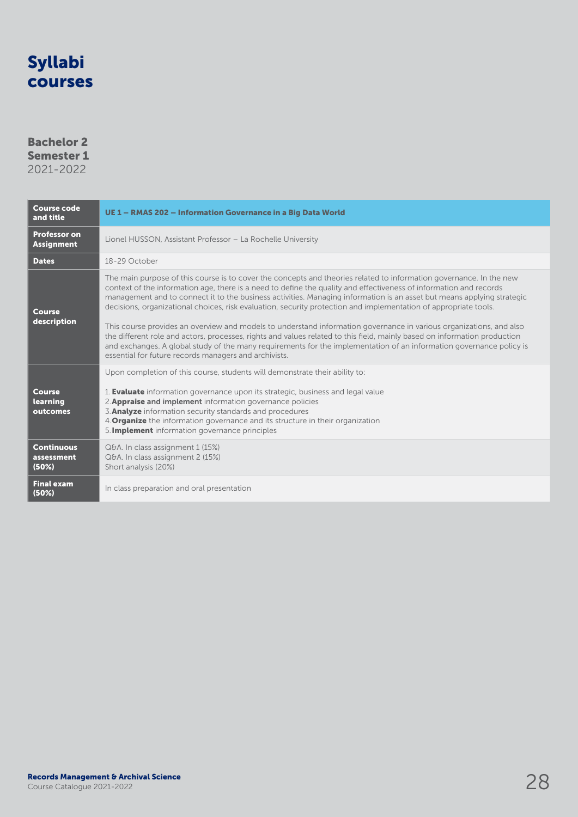### Bachelor 2 Semester 1

| <b>Course code</b><br>and title          | UE 1 - RMAS 202 - Information Governance in a Big Data World                                                                                                                                                                                                                                                                                                                                                                                                                                                                                                                                                                                                                                                                                                                                                                                                                                                                 |
|------------------------------------------|------------------------------------------------------------------------------------------------------------------------------------------------------------------------------------------------------------------------------------------------------------------------------------------------------------------------------------------------------------------------------------------------------------------------------------------------------------------------------------------------------------------------------------------------------------------------------------------------------------------------------------------------------------------------------------------------------------------------------------------------------------------------------------------------------------------------------------------------------------------------------------------------------------------------------|
| <b>Professor on</b><br><b>Assignment</b> | Lionel HUSSON, Assistant Professor - La Rochelle University                                                                                                                                                                                                                                                                                                                                                                                                                                                                                                                                                                                                                                                                                                                                                                                                                                                                  |
| <b>Dates</b>                             | 18-29 October                                                                                                                                                                                                                                                                                                                                                                                                                                                                                                                                                                                                                                                                                                                                                                                                                                                                                                                |
| <b>Course</b><br>description             | The main purpose of this course is to cover the concepts and theories related to information governance. In the new<br>context of the information age, there is a need to define the quality and effectiveness of information and records<br>management and to connect it to the business activities. Managing information is an asset but means applying strategic<br>decisions, organizational choices, risk evaluation, security protection and implementation of appropriate tools.<br>This course provides an overview and models to understand information governance in various organizations, and also<br>the different role and actors, processes, rights and values related to this field, mainly based on information production<br>and exchanges. A global study of the many requirements for the implementation of an information governance policy is<br>essential for future records managers and archivists. |
| <b>Course</b><br>learning<br>outcomes    | Upon completion of this course, students will demonstrate their ability to:<br>1. <b>Evaluate</b> information governance upon its strategic, business and legal value<br>2. Appraise and implement information governance policies<br>3. Analyze information security standards and procedures<br>4. <b>Organize</b> the information governance and its structure in their organization<br>5. <b>Implement</b> information governance principles                                                                                                                                                                                                                                                                                                                                                                                                                                                                             |
| <b>Continuous</b><br>assessment<br>(50%) | Q&A. In class assignment 1 (15%)<br>Q&A. In class assignment 2 (15%)<br>Short analysis (20%)                                                                                                                                                                                                                                                                                                                                                                                                                                                                                                                                                                                                                                                                                                                                                                                                                                 |
| <b>Final exam</b><br>(50%)               | In class preparation and oral presentation                                                                                                                                                                                                                                                                                                                                                                                                                                                                                                                                                                                                                                                                                                                                                                                                                                                                                   |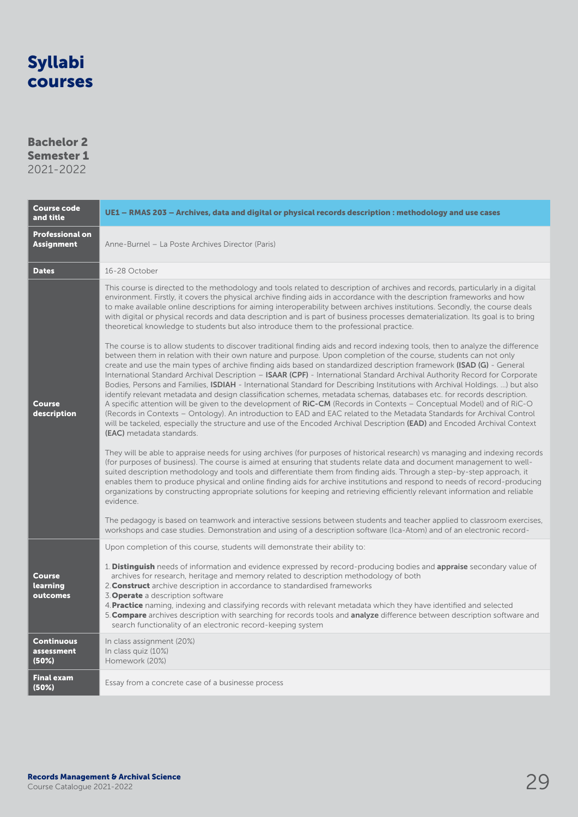### Bachelor 2 Semester 1

| <b>Course code</b><br>and title             | UE1 - RMAS 203 - Archives, data and digital or physical records description : methodology and use cases                                                                                                                                                                                                                                                                                                                                                                                                                                                                                                                                                                                                                                                                                                                                                                                                                                                                                                                                                                                                                                                                                                                                                                                                                                                                                                                                                                                                                 |
|---------------------------------------------|-------------------------------------------------------------------------------------------------------------------------------------------------------------------------------------------------------------------------------------------------------------------------------------------------------------------------------------------------------------------------------------------------------------------------------------------------------------------------------------------------------------------------------------------------------------------------------------------------------------------------------------------------------------------------------------------------------------------------------------------------------------------------------------------------------------------------------------------------------------------------------------------------------------------------------------------------------------------------------------------------------------------------------------------------------------------------------------------------------------------------------------------------------------------------------------------------------------------------------------------------------------------------------------------------------------------------------------------------------------------------------------------------------------------------------------------------------------------------------------------------------------------------|
| <b>Professional on</b><br><b>Assignment</b> | Anne-Burnel - La Poste Archives Director (Paris)                                                                                                                                                                                                                                                                                                                                                                                                                                                                                                                                                                                                                                                                                                                                                                                                                                                                                                                                                                                                                                                                                                                                                                                                                                                                                                                                                                                                                                                                        |
| <b>Dates</b>                                | 16-28 October                                                                                                                                                                                                                                                                                                                                                                                                                                                                                                                                                                                                                                                                                                                                                                                                                                                                                                                                                                                                                                                                                                                                                                                                                                                                                                                                                                                                                                                                                                           |
| <b>Course</b><br>description                | This course is directed to the methodology and tools related to description of archives and records, particularly in a digital<br>environment. Firstly, it covers the physical archive finding aids in accordance with the description frameworks and how<br>to make available online descriptions for aiming interoperability between archives institutions. Secondly, the course deals<br>with digital or physical records and data description and is part of business processes dematerialization. Its goal is to bring<br>theoretical knowledge to students but also introduce them to the professional practice.<br>The course is to allow students to discover traditional finding aids and record indexing tools, then to analyze the difference<br>between them in relation with their own nature and purpose. Upon completion of the course, students can not only<br>create and use the main types of archive finding aids based on standardized description framework (ISAD (G) - General<br>International Standard Archival Description - ISAAR (CPF) - International Standard Archival Authority Record for Corporate<br>Bodies, Persons and Families, ISDIAH - International Standard for Describing Institutions with Archival Holdings. ) but also<br>identify relevant metadata and design classification schemes, metadata schemas, databases etc. for records description.<br>A specific attention will be given to the development of RiC-CM (Records in Contexts – Conceptual Model) and of RiC-O |
|                                             | (Records in Contexts - Ontology). An introduction to EAD and EAC related to the Metadata Standards for Archival Control<br>will be tackeled, especially the structure and use of the Encoded Archival Description (EAD) and Encoded Archival Context<br>(EAC) metadata standards.<br>They will be able to appraise needs for using archives (for purposes of historical research) vs managing and indexing records<br>(for purposes of business). The course is aimed at ensuring that students relate data and document management to well-<br>suited description methodology and tools and differentiate them from finding aids. Through a step-by-step approach, it<br>enables them to produce physical and online finding aids for archive institutions and respond to needs of record-producing<br>organizations by constructing appropriate solutions for keeping and retrieving efficiently relevant information and reliable<br>evidence.<br>The pedagogy is based on teamwork and interactive sessions between students and teacher applied to classroom exercises,<br>workshops and case studies. Demonstration and using of a description software (Ica-Atom) and of an electronic record-                                                                                                                                                                                                                                                                                                                   |
| <b>Course</b><br>learning<br>outcomes       | Upon completion of this course, students will demonstrate their ability to:<br>1. Distinguish needs of information and evidence expressed by record-producing bodies and appraise secondary value of<br>archives for research, heritage and memory related to description methodology of both<br>2. Construct archive description in accordance to standardised frameworks<br>3. Operate a description software<br>4. Practice naming, indexing and classifying records with relevant metadata which they have identified and selected<br>5. Compare archives description with searching for records tools and analyze difference between description software and<br>search functionality of an electronic record-keeping system                                                                                                                                                                                                                                                                                                                                                                                                                                                                                                                                                                                                                                                                                                                                                                                       |
| <b>Continuous</b><br>assessment<br>(50%)    | In class assignment (20%)<br>In class quiz (10%)<br>Homework (20%)                                                                                                                                                                                                                                                                                                                                                                                                                                                                                                                                                                                                                                                                                                                                                                                                                                                                                                                                                                                                                                                                                                                                                                                                                                                                                                                                                                                                                                                      |
| <b>Final exam</b><br>(50%)                  | Essay from a concrete case of a businesse process                                                                                                                                                                                                                                                                                                                                                                                                                                                                                                                                                                                                                                                                                                                                                                                                                                                                                                                                                                                                                                                                                                                                                                                                                                                                                                                                                                                                                                                                       |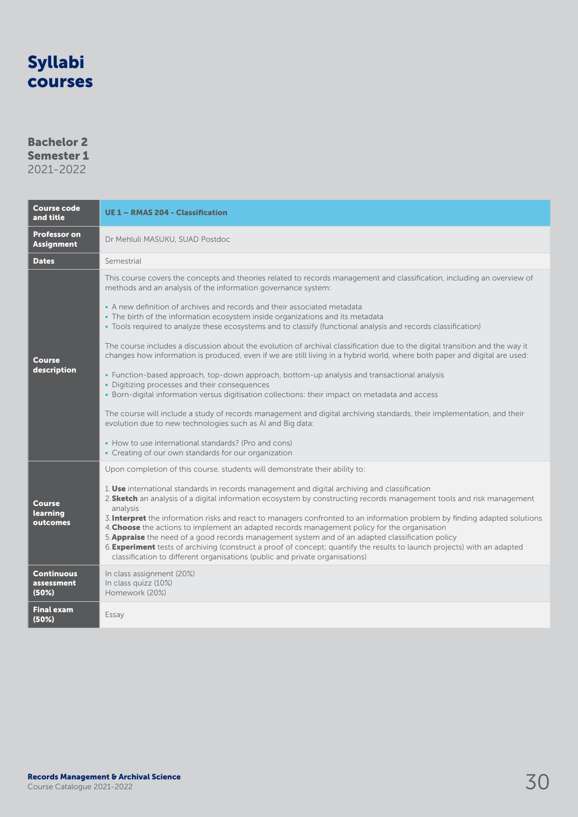### Bachelor 2 Semester 1

| <b>Course code</b><br>and title                                          | <b>UE 1 - RMAS 204 - Classification</b>                                                                                                                                                                                                                                                                                                                                                                                                                                                                                                                                                                                                                                                                                                                                                                                                                                                                                                                                                                                                                                                                                                                                                                                                                                                          |
|--------------------------------------------------------------------------|--------------------------------------------------------------------------------------------------------------------------------------------------------------------------------------------------------------------------------------------------------------------------------------------------------------------------------------------------------------------------------------------------------------------------------------------------------------------------------------------------------------------------------------------------------------------------------------------------------------------------------------------------------------------------------------------------------------------------------------------------------------------------------------------------------------------------------------------------------------------------------------------------------------------------------------------------------------------------------------------------------------------------------------------------------------------------------------------------------------------------------------------------------------------------------------------------------------------------------------------------------------------------------------------------|
| <b>Professor on</b><br><b>Assignment</b>                                 | Dr Mehluli MASUKU, SUAD Postdoc                                                                                                                                                                                                                                                                                                                                                                                                                                                                                                                                                                                                                                                                                                                                                                                                                                                                                                                                                                                                                                                                                                                                                                                                                                                                  |
| <b>Dates</b>                                                             | Semestrial                                                                                                                                                                                                                                                                                                                                                                                                                                                                                                                                                                                                                                                                                                                                                                                                                                                                                                                                                                                                                                                                                                                                                                                                                                                                                       |
| Course<br>description                                                    | This course covers the concepts and theories related to records management and classification, including an overview of<br>methods and an analysis of the information governance system:<br>• A new definition of archives and records and their associated metadata<br>• The birth of the information ecosystem inside organizations and its metadata<br>• Tools required to analyze these ecosystems and to classify (functional analysis and records classification)<br>The course includes a discussion about the evolution of archival classification due to the digital transition and the way it<br>changes how information is produced, even if we are still living in a hybrid world, where both paper and digital are used:<br>• Function-based approach, top-down approach, bottom-up analysis and transactional analysis<br>• Digitizing processes and their consequences<br>• Born-digital information versus digitisation collections: their impact on metadata and access<br>The course will include a study of records management and digital archiving standards, their implementation, and their<br>evolution due to new technologies such as AI and Big data:<br>• How to use international standards? (Pro and cons)<br>• Creating of our own standards for our organization |
| <b>Course</b><br>learning<br>outcomes<br><b>Continuous</b><br>assessment | Upon completion of this course, students will demonstrate their ability to:<br>1. Use international standards in records management and digital archiving and classification<br>2. Sketch an analysis of a digital information ecosystem by constructing records management tools and risk management<br>analysis<br>3. Interpret the information risks and react to managers confronted to an information problem by finding adapted solutions<br>4. Choose the actions to implement an adapted records management policy for the organisation<br>5. Appraise the need of a good records management system and of an adapted classification policy<br>6. Experiment tests of archiving (construct a proof of concept; quantify the results to launch projects) with an adapted<br>classification to different organisations (public and private organisations)<br>In class assignment (20%)<br>In class quizz (10%)                                                                                                                                                                                                                                                                                                                                                                             |
| (50%)<br><b>Final exam</b><br>(50%)                                      | Homework (20%)<br>Essay                                                                                                                                                                                                                                                                                                                                                                                                                                                                                                                                                                                                                                                                                                                                                                                                                                                                                                                                                                                                                                                                                                                                                                                                                                                                          |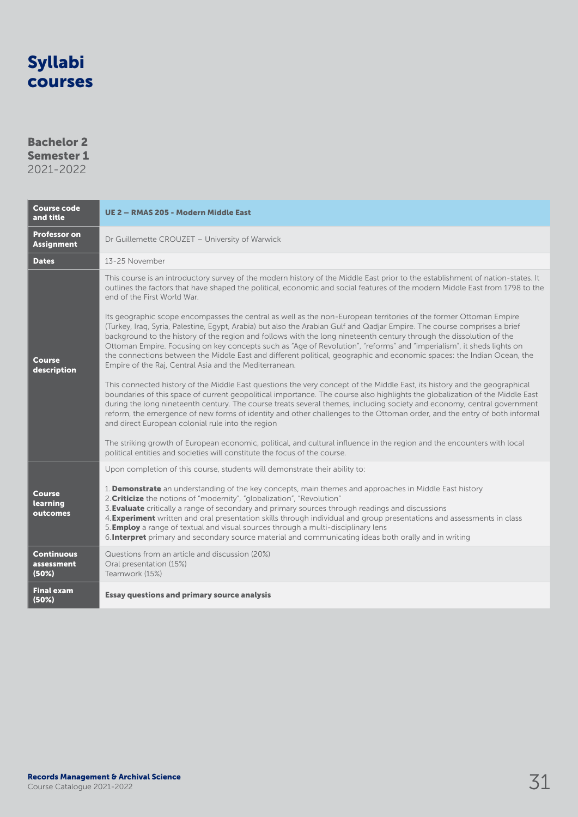### Bachelor 2 Semester 1

| 2021-2022 |  |  |
|-----------|--|--|
|           |  |  |

| <b>Course code</b><br>and title          | UE 2 - RMAS 205 - Modern Middle East                                                                                                                                                                                                                                                                                                                                                                                                                                                                                                                                                                                              |
|------------------------------------------|-----------------------------------------------------------------------------------------------------------------------------------------------------------------------------------------------------------------------------------------------------------------------------------------------------------------------------------------------------------------------------------------------------------------------------------------------------------------------------------------------------------------------------------------------------------------------------------------------------------------------------------|
| <b>Professor on</b><br><b>Assignment</b> | Dr Guillemette CROUZET - University of Warwick                                                                                                                                                                                                                                                                                                                                                                                                                                                                                                                                                                                    |
| <b>Dates</b>                             | 13-25 November                                                                                                                                                                                                                                                                                                                                                                                                                                                                                                                                                                                                                    |
| <b>Course</b><br>description             | This course is an introductory survey of the modern history of the Middle East prior to the establishment of nation-states. It<br>outlines the factors that have shaped the political, economic and social features of the modern Middle East from 1798 to the<br>end of the First World War.<br>Its geographic scope encompasses the central as well as the non-European territories of the former Ottoman Empire<br>(Turkey, Iraq, Syria, Palestine, Egypt, Arabia) but also the Arabian Gulf and Qadjar Empire. The course comprises a brief                                                                                   |
|                                          | background to the history of the region and follows with the long nineteenth century through the dissolution of the<br>Ottoman Empire. Focusing on key concepts such as "Age of Revolution", "reforms" and "imperialism", it sheds lights on<br>the connections between the Middle East and different political, geographic and economic spaces: the Indian Ocean, the<br>Empire of the Raj, Central Asia and the Mediterranean.                                                                                                                                                                                                  |
|                                          | This connected history of the Middle East questions the very concept of the Middle East, its history and the geographical<br>boundaries of this space of current geopolitical importance. The course also highlights the globalization of the Middle East<br>during the long nineteenth century. The course treats several themes, including society and economy, central government<br>reform, the emergence of new forms of identity and other challenges to the Ottoman order, and the entry of both informal<br>and direct European colonial rule into the region                                                             |
|                                          | The striking growth of European economic, political, and cultural influence in the region and the encounters with local<br>political entities and societies will constitute the focus of the course.                                                                                                                                                                                                                                                                                                                                                                                                                              |
|                                          | Upon completion of this course, students will demonstrate their ability to:                                                                                                                                                                                                                                                                                                                                                                                                                                                                                                                                                       |
| <b>Course</b><br>learning<br>outcomes    | 1. Demonstrate an understanding of the key concepts, main themes and approaches in Middle East history<br>2. Criticize the notions of "modernity", "globalization", "Revolution"<br>3. <b>Evaluate</b> critically a range of secondary and primary sources through readings and discussions<br>4. <b>Experiment</b> written and oral presentation skills through individual and group presentations and assessments in class<br>5. <b>Employ</b> a range of textual and visual sources through a multi-disciplinary lens<br>6. Interpret primary and secondary source material and communicating ideas both orally and in writing |
| <b>Continuous</b><br>assessment<br>(50%) | Questions from an article and discussion (20%)<br>Oral presentation (15%)<br>Teamwork (15%)                                                                                                                                                                                                                                                                                                                                                                                                                                                                                                                                       |
| <b>Final exam</b><br>(50%)               | <b>Essay questions and primary source analysis</b>                                                                                                                                                                                                                                                                                                                                                                                                                                                                                                                                                                                |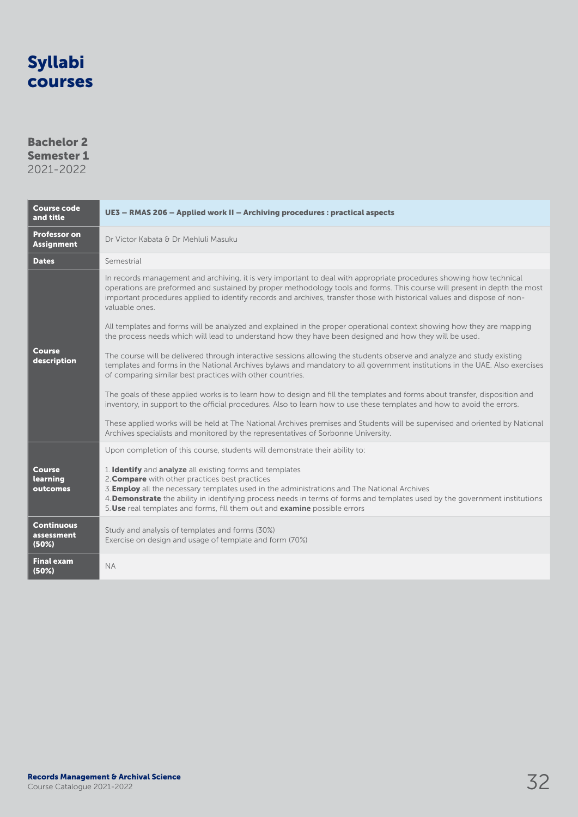### Bachelor 2 Semester 1

| <b>Course code</b><br>and title          | UE3 - RMAS 206 - Applied work II - Archiving procedures : practical aspects                                                                                                                                                                                                                                                                                                                                                   |
|------------------------------------------|-------------------------------------------------------------------------------------------------------------------------------------------------------------------------------------------------------------------------------------------------------------------------------------------------------------------------------------------------------------------------------------------------------------------------------|
| <b>Professor on</b><br><b>Assignment</b> | Dr Victor Kabata & Dr Mehluli Masuku                                                                                                                                                                                                                                                                                                                                                                                          |
| <b>Dates</b>                             | Semestrial                                                                                                                                                                                                                                                                                                                                                                                                                    |
|                                          | In records management and archiving, it is very important to deal with appropriate procedures showing how technical<br>operations are preformed and sustained by proper methodology tools and forms. This course will present in depth the most<br>important procedures applied to identify records and archives, transfer those with historical values and dispose of non-<br>valuable ones.                                 |
|                                          | All templates and forms will be analyzed and explained in the proper operational context showing how they are mapping<br>the process needs which will lead to understand how they have been designed and how they will be used.                                                                                                                                                                                               |
| Course<br>description                    | The course will be delivered through interactive sessions allowing the students observe and analyze and study existing<br>templates and forms in the National Archives bylaws and mandatory to all government institutions in the UAE. Also exercises<br>of comparing similar best practices with other countries.                                                                                                            |
|                                          | The goals of these applied works is to learn how to design and fill the templates and forms about transfer, disposition and<br>inventory, in support to the official procedures. Also to learn how to use these templates and how to avoid the errors.                                                                                                                                                                        |
|                                          | These applied works will be held at The National Archives premises and Students will be supervised and oriented by National<br>Archives specialists and monitored by the representatives of Sorbonne University.                                                                                                                                                                                                              |
|                                          | Upon completion of this course, students will demonstrate their ability to:                                                                                                                                                                                                                                                                                                                                                   |
| Course<br>learning<br>outcomes           | 1. Identify and analyze all existing forms and templates<br>2. Compare with other practices best practices<br>3. <b>Employ</b> all the necessary templates used in the administrations and The National Archives<br>4. Demonstrate the ability in identifying process needs in terms of forms and templates used by the government institutions<br>5. Use real templates and forms, fill them out and examine possible errors |
| <b>Continuous</b><br>assessment<br>(50%) | Study and analysis of templates and forms (30%)<br>Exercise on design and usage of template and form (70%)                                                                                                                                                                                                                                                                                                                    |
| <b>Final exam</b><br>(50%)               | <b>NA</b>                                                                                                                                                                                                                                                                                                                                                                                                                     |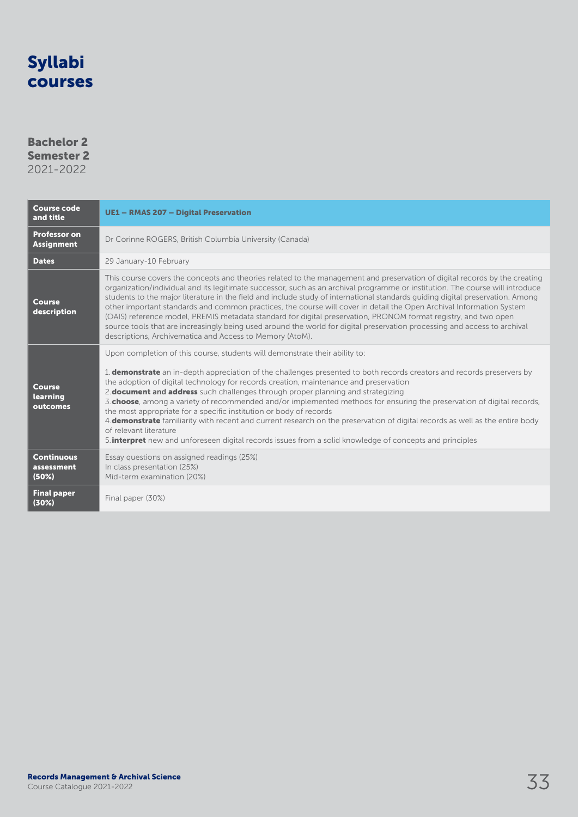### Bachelor 2 Semester 2

| <b>Course code</b><br>and title          | <b>UE1 - RMAS 207 - Digital Preservation</b>                                                                                                                                                                                                                                                                                                                                                                                                                                                                                                                                                                                                                                                                                                                                                                                                                                                  |
|------------------------------------------|-----------------------------------------------------------------------------------------------------------------------------------------------------------------------------------------------------------------------------------------------------------------------------------------------------------------------------------------------------------------------------------------------------------------------------------------------------------------------------------------------------------------------------------------------------------------------------------------------------------------------------------------------------------------------------------------------------------------------------------------------------------------------------------------------------------------------------------------------------------------------------------------------|
| <b>Professor on</b><br><b>Assignment</b> | Dr Corinne ROGERS, British Columbia University (Canada)                                                                                                                                                                                                                                                                                                                                                                                                                                                                                                                                                                                                                                                                                                                                                                                                                                       |
| <b>Dates</b>                             | 29 January-10 February                                                                                                                                                                                                                                                                                                                                                                                                                                                                                                                                                                                                                                                                                                                                                                                                                                                                        |
| <b>Course</b><br>description             | This course covers the concepts and theories related to the management and preservation of digital records by the creating<br>organization/individual and its legitimate successor, such as an archival programme or institution. The course will introduce<br>students to the major literature in the field and include study of international standards quiding digital preservation. Among<br>other important standards and common practices, the course will cover in detail the Open Archival Information System<br>(OAIS) reference model, PREMIS metadata standard for digital preservation, PRONOM format registry, and two open<br>source tools that are increasingly being used around the world for digital preservation processing and access to archival<br>descriptions, Archivematica and Access to Memory (AtoM).                                                             |
| <b>Course</b><br>learning<br>outcomes    | Upon completion of this course, students will demonstrate their ability to:<br>1. <b>demonstrate</b> an in-depth appreciation of the challenges presented to both records creators and records preservers by<br>the adoption of digital technology for records creation, maintenance and preservation<br>2. <b>document and address</b> such challenges through proper planning and strategizing<br>3. <b>choose</b> , among a variety of recommended and/or implemented methods for ensuring the preservation of digital records,<br>the most appropriate for a specific institution or body of records<br>4. <b>demonstrate</b> familiarity with recent and current research on the preservation of digital records as well as the entire body<br>of relevant literature<br>5. <b>interpret</b> new and unforeseen digital records issues from a solid knowledge of concepts and principles |
| <b>Continuous</b><br>assessment<br>(50%) | Essay questions on assigned readings (25%)<br>In class presentation (25%)<br>Mid-term examination (20%)                                                                                                                                                                                                                                                                                                                                                                                                                                                                                                                                                                                                                                                                                                                                                                                       |
| <b>Final paper</b><br>(30%)              | Final paper (30%)                                                                                                                                                                                                                                                                                                                                                                                                                                                                                                                                                                                                                                                                                                                                                                                                                                                                             |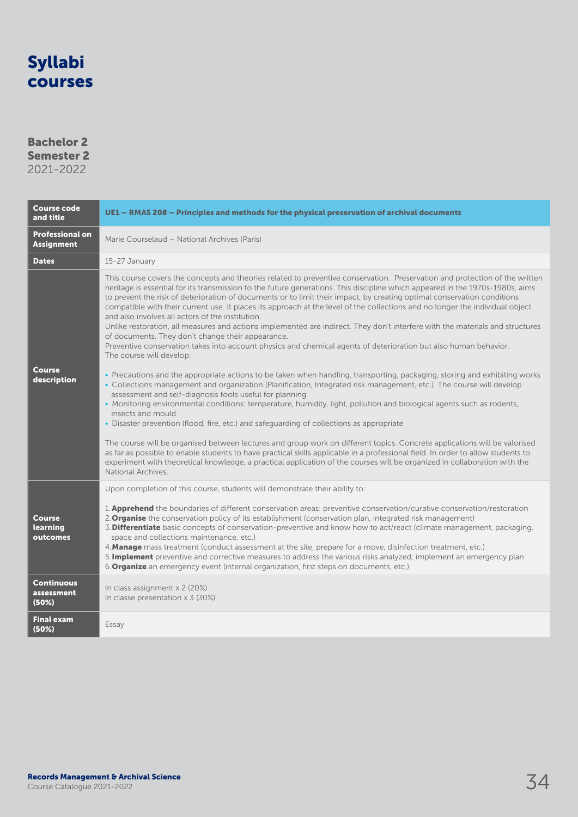### Bachelor 2 Semester 2

| <b>Course code</b><br>and title             | UE1 - RMAS 208 - Principles and methods for the physical preservation of archival documents                                                                                                                                                                                                                                                                                                                                                                                                                                                                                                                                                                                                                                                                                                                                                                                                                                                                                                                                                                                                                                                                                                                                                                                                                                                                                                                                                                                                                                                                                                                                                                                                                                                                                                                                                                                                       |
|---------------------------------------------|---------------------------------------------------------------------------------------------------------------------------------------------------------------------------------------------------------------------------------------------------------------------------------------------------------------------------------------------------------------------------------------------------------------------------------------------------------------------------------------------------------------------------------------------------------------------------------------------------------------------------------------------------------------------------------------------------------------------------------------------------------------------------------------------------------------------------------------------------------------------------------------------------------------------------------------------------------------------------------------------------------------------------------------------------------------------------------------------------------------------------------------------------------------------------------------------------------------------------------------------------------------------------------------------------------------------------------------------------------------------------------------------------------------------------------------------------------------------------------------------------------------------------------------------------------------------------------------------------------------------------------------------------------------------------------------------------------------------------------------------------------------------------------------------------------------------------------------------------------------------------------------------------|
| <b>Professional on</b><br><b>Assignment</b> | Marie Courselaud - National Archives (Paris)                                                                                                                                                                                                                                                                                                                                                                                                                                                                                                                                                                                                                                                                                                                                                                                                                                                                                                                                                                                                                                                                                                                                                                                                                                                                                                                                                                                                                                                                                                                                                                                                                                                                                                                                                                                                                                                      |
| <b>Dates</b>                                | 15-27 January                                                                                                                                                                                                                                                                                                                                                                                                                                                                                                                                                                                                                                                                                                                                                                                                                                                                                                                                                                                                                                                                                                                                                                                                                                                                                                                                                                                                                                                                                                                                                                                                                                                                                                                                                                                                                                                                                     |
| Course<br>description                       | This course covers the concepts and theories related to preventive conservation. Preservation and protection of the written<br>heritage is essential for its transmission to the future generations. This discipline which appeared in the 1970s-1980s, aims<br>to prevent the risk of deterioration of documents or to limit their impact, by creating optimal conservation conditions<br>compatible with their current use. It places its approach at the level of the collections and no longer the individual object<br>and also involves all actors of the institution.<br>Unlike restoration, all measures and actions implemented are indirect. They don't interfere with the materials and structures<br>of documents. They don't change their appearance.<br>Preventive conservation takes into account physics and chemical agents of deterioration but also human behavior.<br>The course will develop:<br>• Precautions and the appropriate actions to be taken when handling, transporting, packaging, storing and exhibiting works<br>· Collections management and organization (Planification, Integrated risk management, etc.). The course will develop<br>assessment and self-diagnosis tools useful for planning<br>• Monitoring environmental conditions: temperature, humidity, light, pollution and biological agents such as rodents,<br>insects and mould<br>• Disaster prevention (flood, fire, etc.) and safeguarding of collections as appropriate<br>The course will be organised between lectures and group work on different topics. Concrete applications will be valorised<br>as far as possible to enable students to have practical skills applicable in a professional field. In order to allow students to<br>experiment with theoretical knowledge, a practical application of the courses will be organized in collaboration with the<br>National Archives. |
| <b>Course</b><br>learning<br>outcomes       | Upon completion of this course, students will demonstrate their ability to:<br>1. <b>Apprehend</b> the boundaries of different conservation areas: preventive conservation/curative conservation/restoration<br>2. Organise the conservation policy of its establishment (conservation plan, integrated risk management)<br>3. Differentiate basic concepts of conservation-preventive and know how to act/react (climate management, packaging,<br>space and collections maintenance, etc.)<br>4. Manage mass treatment (conduct assessment at the site, prepare for a move, disinfection treatment, etc.)<br>5. Implement preventive and corrective measures to address the various risks analyzed; implement an emergency plan<br>6. Organize an emergency event (internal organization, first steps on documents, etc.)                                                                                                                                                                                                                                                                                                                                                                                                                                                                                                                                                                                                                                                                                                                                                                                                                                                                                                                                                                                                                                                                       |
| <b>Continuous</b><br>assessment<br>(50%)    | In class assignment x 2 (20%)<br>In classe presentation $\times$ 3 (30%)                                                                                                                                                                                                                                                                                                                                                                                                                                                                                                                                                                                                                                                                                                                                                                                                                                                                                                                                                                                                                                                                                                                                                                                                                                                                                                                                                                                                                                                                                                                                                                                                                                                                                                                                                                                                                          |
| <b>Final exam</b><br>(50%)                  | Essay                                                                                                                                                                                                                                                                                                                                                                                                                                                                                                                                                                                                                                                                                                                                                                                                                                                                                                                                                                                                                                                                                                                                                                                                                                                                                                                                                                                                                                                                                                                                                                                                                                                                                                                                                                                                                                                                                             |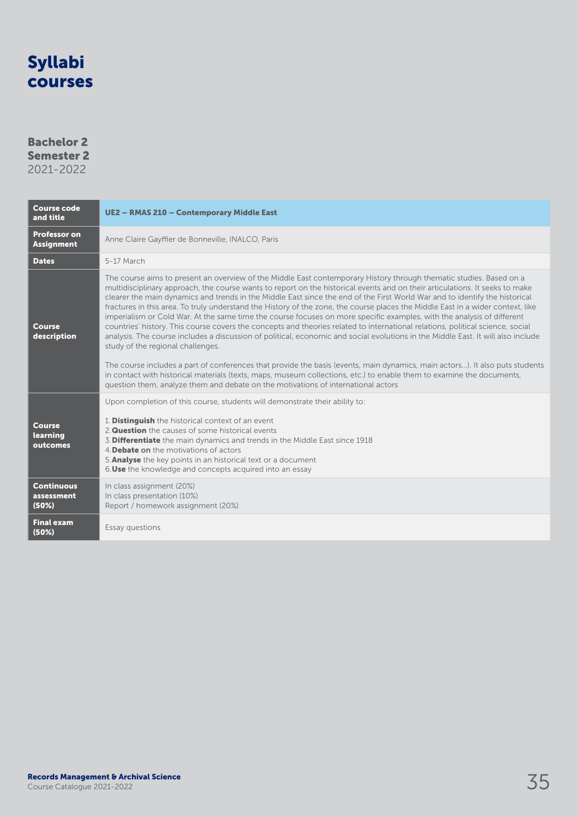### Bachelor 2 Semester 2

| <b>Course code</b><br>and title          | <b>UE2 - RMAS 210 - Contemporary Middle East</b>                                                                                                                                                                                                                                                                                                                                                                                                                                                                                                                                                                                                                                                                                                                                                                                                                                                                                                                                                                                                                                                                                                                                                                                                                                                         |
|------------------------------------------|----------------------------------------------------------------------------------------------------------------------------------------------------------------------------------------------------------------------------------------------------------------------------------------------------------------------------------------------------------------------------------------------------------------------------------------------------------------------------------------------------------------------------------------------------------------------------------------------------------------------------------------------------------------------------------------------------------------------------------------------------------------------------------------------------------------------------------------------------------------------------------------------------------------------------------------------------------------------------------------------------------------------------------------------------------------------------------------------------------------------------------------------------------------------------------------------------------------------------------------------------------------------------------------------------------|
| <b>Professor on</b><br><b>Assignment</b> | Anne Claire Gayffier de Bonneville, INALCO, Paris                                                                                                                                                                                                                                                                                                                                                                                                                                                                                                                                                                                                                                                                                                                                                                                                                                                                                                                                                                                                                                                                                                                                                                                                                                                        |
| <b>Dates</b>                             | 5-17 March                                                                                                                                                                                                                                                                                                                                                                                                                                                                                                                                                                                                                                                                                                                                                                                                                                                                                                                                                                                                                                                                                                                                                                                                                                                                                               |
| <b>Course</b><br>description             | The course aims to present an overview of the Middle East contemporary History through thematic studies. Based on a<br>multidisciplinary approach, the course wants to report on the historical events and on their articulations. It seeks to make<br>clearer the main dynamics and trends in the Middle East since the end of the First World War and to identify the historical<br>fractures in this area. To truly understand the History of the zone, the course places the Middle East in a wider context, like<br>imperialism or Cold War. At the same time the course focuses on more specific examples, with the analysis of different<br>countries' history. This course covers the concepts and theories related to international relations, political science, social<br>analysis. The course includes a discussion of political, economic and social evolutions in the Middle East. It will also include<br>study of the regional challenges.<br>The course includes a part of conferences that provide the basis (events, main dynamics, main actors). It also puts students<br>in contact with historical materials (texts, maps, museum collections, etc.) to enable them to examine the documents,<br>question them, analyze them and debate on the motivations of international actors |
| <b>Course</b><br>learning<br>outcomes    | Upon completion of this course, students will demonstrate their ability to:<br>1. Distinguish the historical context of an event<br>2. Question the causes of some historical events<br>3. Differentiate the main dynamics and trends in the Middle East since 1918<br>4. Debate on the motivations of actors<br>5. Analyse the key points in an historical text or a document<br>6. Use the knowledge and concepts acquired into an essay                                                                                                                                                                                                                                                                                                                                                                                                                                                                                                                                                                                                                                                                                                                                                                                                                                                               |
| <b>Continuous</b><br>assessment<br>(50%) | In class assignment (20%)<br>In class presentation (10%)<br>Report / homework assignment (20%)                                                                                                                                                                                                                                                                                                                                                                                                                                                                                                                                                                                                                                                                                                                                                                                                                                                                                                                                                                                                                                                                                                                                                                                                           |
| <b>Final exam</b><br>(50%)               | Essay questions                                                                                                                                                                                                                                                                                                                                                                                                                                                                                                                                                                                                                                                                                                                                                                                                                                                                                                                                                                                                                                                                                                                                                                                                                                                                                          |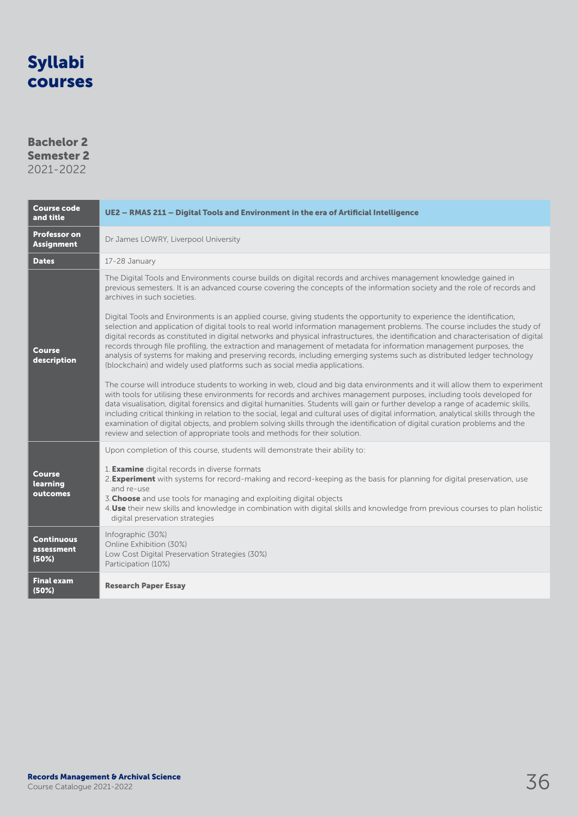### Bachelor 2 Semester 2 2021-2022

| <b>Course code</b><br>and title          | UE2 - RMAS 211 - Digital Tools and Environment in the era of Artificial Intelligence                                                                                                                                                                                                                                                                                                                                                                                                                                                                                                                                                                                                                                                        |
|------------------------------------------|---------------------------------------------------------------------------------------------------------------------------------------------------------------------------------------------------------------------------------------------------------------------------------------------------------------------------------------------------------------------------------------------------------------------------------------------------------------------------------------------------------------------------------------------------------------------------------------------------------------------------------------------------------------------------------------------------------------------------------------------|
| <b>Professor on</b><br><b>Assignment</b> | Dr James LOWRY, Liverpool University                                                                                                                                                                                                                                                                                                                                                                                                                                                                                                                                                                                                                                                                                                        |
| <b>Dates</b>                             | 17-28 January                                                                                                                                                                                                                                                                                                                                                                                                                                                                                                                                                                                                                                                                                                                               |
|                                          | The Digital Tools and Environments course builds on digital records and archives management knowledge gained in<br>previous semesters. It is an advanced course covering the concepts of the information society and the role of records and<br>archives in such societies.                                                                                                                                                                                                                                                                                                                                                                                                                                                                 |
| <b>Course</b><br>description             | Digital Tools and Environments is an applied course, giving students the opportunity to experience the identification,<br>selection and application of digital tools to real world information management problems. The course includes the study of<br>digital records as constituted in digital networks and physical infrastructures, the identification and characterisation of digital<br>records through file profiling, the extraction and management of metadata for information management purposes, the<br>analysis of systems for making and preserving records, including emerging systems such as distributed ledger technology<br>(blockchain) and widely used platforms such as social media applications.                   |
|                                          | The course will introduce students to working in web, cloud and big data environments and it will allow them to experiment<br>with tools for utilising these environments for records and archives management purposes, including tools developed for<br>data visualisation, digital forensics and digital humanities. Students will gain or further develop a range of academic skills,<br>including critical thinking in relation to the social, legal and cultural uses of digital information, analytical skills through the<br>examination of digital objects, and problem solving skills through the identification of digital curation problems and the<br>review and selection of appropriate tools and methods for their solution. |
|                                          | Upon completion of this course, students will demonstrate their ability to:                                                                                                                                                                                                                                                                                                                                                                                                                                                                                                                                                                                                                                                                 |
| <b>Course</b><br>learning<br>outcomes    | 1. <b>Examine</b> digital records in diverse formats<br>2. <b>Experiment</b> with systems for record-making and record-keeping as the basis for planning for digital preservation, use<br>and re-use<br>3. Choose and use tools for managing and exploiting digital objects<br>4. Use their new skills and knowledge in combination with digital skills and knowledge from previous courses to plan holistic<br>digital preservation strategies                                                                                                                                                                                                                                                                                             |
| <b>Continuous</b><br>assessment<br>(50%) | Infographic (30%)<br>Online Exhibition (30%)<br>Low Cost Digital Preservation Strategies (30%)<br>Participation (10%)                                                                                                                                                                                                                                                                                                                                                                                                                                                                                                                                                                                                                       |
| Final exam<br>(50%)                      | <b>Research Paper Essay</b>                                                                                                                                                                                                                                                                                                                                                                                                                                                                                                                                                                                                                                                                                                                 |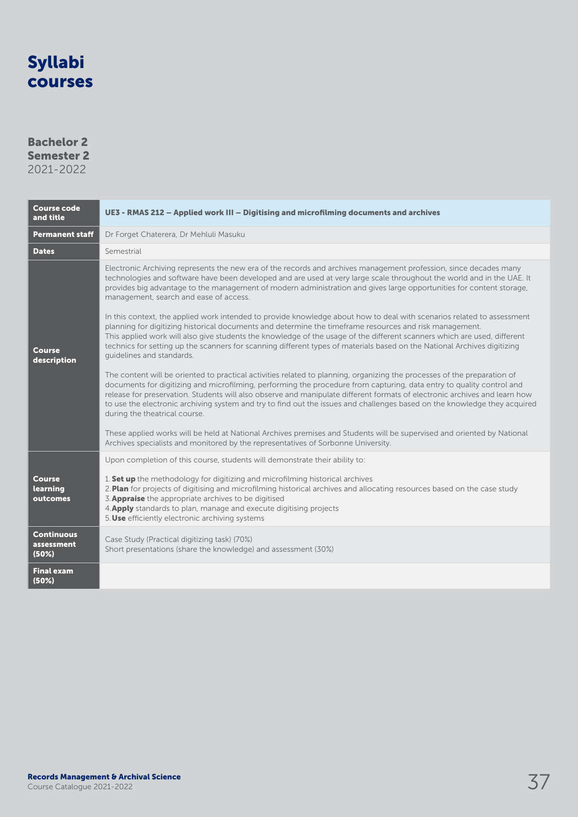### Bachelor 2 Semester 2

| <b>Course code</b><br>and title          | UE3 - RMAS 212 - Applied work III - Digitising and microfilming documents and archives                                                                                                                                                                                                                                                                                                                                                                                                                                                        |
|------------------------------------------|-----------------------------------------------------------------------------------------------------------------------------------------------------------------------------------------------------------------------------------------------------------------------------------------------------------------------------------------------------------------------------------------------------------------------------------------------------------------------------------------------------------------------------------------------|
| <b>Permanent staff</b>                   | Dr Forget Chaterera, Dr Mehluli Masuku                                                                                                                                                                                                                                                                                                                                                                                                                                                                                                        |
| <b>Dates</b>                             | Semestrial                                                                                                                                                                                                                                                                                                                                                                                                                                                                                                                                    |
| Course<br>description                    | Electronic Archiving represents the new era of the records and archives management profession, since decades many<br>technologies and software have been developed and are used at very large scale throughout the world and in the UAE. It<br>provides big advantage to the management of modern administration and gives large opportunities for content storage,<br>management, search and ease of access.                                                                                                                                 |
|                                          | In this context, the applied work intended to provide knowledge about how to deal with scenarios related to assessment<br>planning for digitizing historical documents and determine the timeframe resources and risk management.<br>This applied work will also give students the knowledge of the usage of the different scanners which are used, different<br>technics for setting up the scanners for scanning different types of materials based on the National Archives digitizing<br>guidelines and standards.                        |
|                                          | The content will be oriented to practical activities related to planning, organizing the processes of the preparation of<br>documents for digitizing and microfilming, performing the procedure from capturing, data entry to quality control and<br>release for preservation. Students will also observe and manipulate different formats of electronic archives and learn how<br>to use the electronic archiving system and try to find out the issues and challenges based on the knowledge they acquired<br>during the theatrical course. |
|                                          | These applied works will be held at National Archives premises and Students will be supervised and oriented by National<br>Archives specialists and monitored by the representatives of Sorbonne University.                                                                                                                                                                                                                                                                                                                                  |
|                                          | Upon completion of this course, students will demonstrate their ability to:                                                                                                                                                                                                                                                                                                                                                                                                                                                                   |
| <b>Course</b><br>learning<br>outcomes    | 1. Set up the methodology for digitizing and microfilming historical archives<br>2. Plan for projects of digitising and microfilming historical archives and allocating resources based on the case study<br>3. Appraise the appropriate archives to be digitised<br>4. Apply standards to plan, manage and execute digitising projects<br>5. Use efficiently electronic archiving systems                                                                                                                                                    |
| <b>Continuous</b><br>assessment<br>(50%) | Case Study (Practical digitizing task) (70%)<br>Short presentations (share the knowledge) and assessment (30%)                                                                                                                                                                                                                                                                                                                                                                                                                                |
| <b>Final exam</b><br>(50%)               |                                                                                                                                                                                                                                                                                                                                                                                                                                                                                                                                               |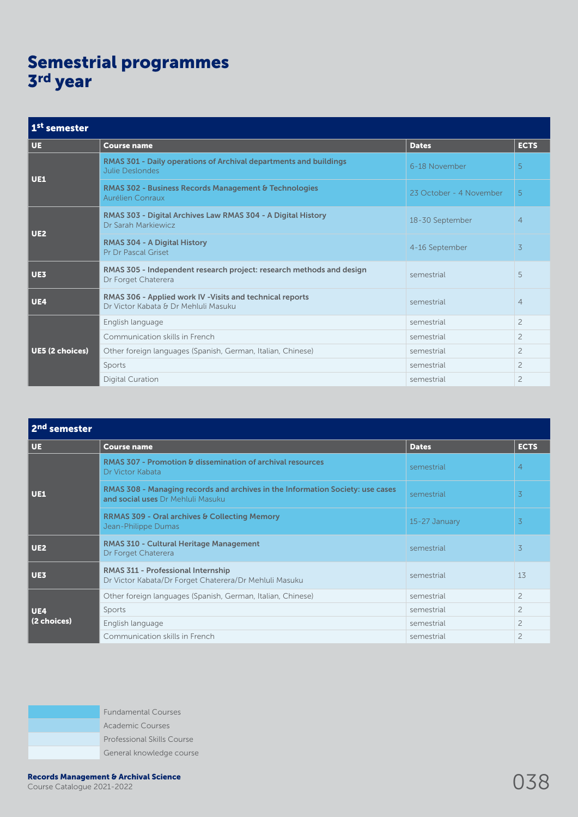## Semestrial programmes 3rd year

| 1 <sup>st</sup> semester |                                                                                                   |                         |                |
|--------------------------|---------------------------------------------------------------------------------------------------|-------------------------|----------------|
| <b>UE</b>                | <b>Course name</b>                                                                                | <b>Dates</b>            | <b>ECTS</b>    |
| UE1                      | RMAS 301 - Daily operations of Archival departments and buildings<br><b>Julie Deslondes</b>       | 6-18 November           | 5              |
|                          | <b>RMAS 302 - Business Records Management &amp; Technologies</b><br>Aurélien Conraux              | 23 October - 4 November | 5              |
| UE <sub>2</sub>          | RMAS 303 - Digital Archives Law RMAS 304 - A Digital History<br>Dr Sarah Markiewicz               | 18-30 September         | $\overline{4}$ |
|                          | <b>RMAS 304 - A Digital History</b><br><b>Pr Dr Pascal Griset</b>                                 | 4-16 September          | 3              |
| UE3                      | RMAS 305 - Independent research project: research methods and design<br>Dr Forget Chaterera       | semestrial              | 5              |
| UE4                      | RMAS 306 - Applied work IV - Visits and technical reports<br>Dr Victor Kabata & Dr Mehluli Masuku | semestrial              | $\overline{4}$ |
| UE5 (2 choices)          | English language                                                                                  | semestrial              | $\overline{c}$ |
|                          | Communication skills in French                                                                    | semestrial              | $\overline{c}$ |
|                          | Other foreign languages (Spanish, German, Italian, Chinese)                                       | semestrial              | $\overline{c}$ |
|                          | Sports                                                                                            | semestrial              | $\overline{c}$ |
|                          | <b>Digital Curation</b>                                                                           | semestrial              | $\overline{c}$ |

| 2 <sup>nd</sup> semester |                                                                                                                     |               |                |
|--------------------------|---------------------------------------------------------------------------------------------------------------------|---------------|----------------|
| UE.                      | <b>Course name</b>                                                                                                  | <b>Dates</b>  | <b>ECTS</b>    |
| UE1                      | <b>RMAS 307 - Promotion &amp; dissemination of archival resources</b><br>Dr Victor Kabata                           | semestrial    | $\overline{4}$ |
|                          | RMAS 308 - Managing records and archives in the Information Society: use cases<br>and social uses Dr Mehluli Masuku | semestrial    | $\overline{3}$ |
|                          | <b>RRMAS 309 - Oral archives &amp; Collecting Memory</b><br>Jean-Philippe Dumas                                     | 15-27 January | $\overline{3}$ |
| UE <sub>2</sub>          | <b>RMAS 310 - Cultural Heritage Management</b><br>Dr Forget Chaterera                                               | semestrial    | 3              |
| UE3                      | RMAS 311 - Professional Internship<br>Dr Victor Kabata/Dr Forget Chaterera/Dr Mehluli Masuku                        | semestrial    | 13             |
| UE4<br>(2 choices)       | Other foreign languages (Spanish, German, Italian, Chinese)                                                         | semestrial    | $\overline{c}$ |
|                          | Sports                                                                                                              | semestrial    | $\overline{c}$ |
|                          | English language                                                                                                    | semestrial    | $\overline{c}$ |
|                          | Communication skills in French                                                                                      | semestrial    | $\overline{c}$ |

Fundamental Courses Academic Courses Professional Skills Course General knowledge course

Records Management & Archival Science<br>Course Catalogue 2021-2022 0388 2021-2022 0388 2011 0388 2012 0388 2012 0388 2013 0388 2014 0388 2014 0388 20<br>Course Catalogue 2021-2022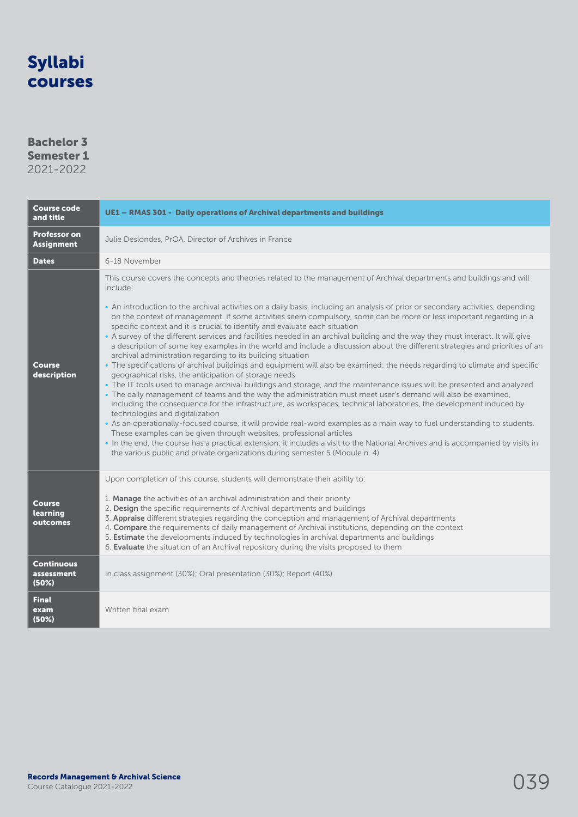### Bachelor 3 Semester 1

| <b>Course code</b><br>and title                            | UE1 - RMAS 301 - Daily operations of Archival departments and buildings                                                                                                                                                                                                                                                                                                                                                                                                                                                                                                                                                                                                                                                                                                                                                                                                                                                                                                                                                                                                                                                                                                                                                                                                                                                                                                                                                                                                                                                                                                                                                                                                                                                                                                                                                            |
|------------------------------------------------------------|------------------------------------------------------------------------------------------------------------------------------------------------------------------------------------------------------------------------------------------------------------------------------------------------------------------------------------------------------------------------------------------------------------------------------------------------------------------------------------------------------------------------------------------------------------------------------------------------------------------------------------------------------------------------------------------------------------------------------------------------------------------------------------------------------------------------------------------------------------------------------------------------------------------------------------------------------------------------------------------------------------------------------------------------------------------------------------------------------------------------------------------------------------------------------------------------------------------------------------------------------------------------------------------------------------------------------------------------------------------------------------------------------------------------------------------------------------------------------------------------------------------------------------------------------------------------------------------------------------------------------------------------------------------------------------------------------------------------------------------------------------------------------------------------------------------------------------|
| <b>Professor on</b><br><b>Assignment</b>                   | Julie Deslondes, PrOA, Director of Archives in France                                                                                                                                                                                                                                                                                                                                                                                                                                                                                                                                                                                                                                                                                                                                                                                                                                                                                                                                                                                                                                                                                                                                                                                                                                                                                                                                                                                                                                                                                                                                                                                                                                                                                                                                                                              |
| <b>Dates</b>                                               | 6-18 November                                                                                                                                                                                                                                                                                                                                                                                                                                                                                                                                                                                                                                                                                                                                                                                                                                                                                                                                                                                                                                                                                                                                                                                                                                                                                                                                                                                                                                                                                                                                                                                                                                                                                                                                                                                                                      |
| Course<br>description                                      | This course covers the concepts and theories related to the management of Archival departments and buildings and will<br>include:<br>• An introduction to the archival activities on a daily basis, including an analysis of prior or secondary activities, depending<br>on the context of management. If some activities seem compulsory, some can be more or less important regarding in a<br>specific context and it is crucial to identify and evaluate each situation<br>• A survey of the different services and facilities needed in an archival building and the way they must interact. It will give<br>a description of some key examples in the world and include a discussion about the different strategies and priorities of an<br>archival administration regarding to its building situation<br>. The specifications of archival buildings and equipment will also be examined: the needs regarding to climate and specific<br>geographical risks, the anticipation of storage needs<br>• The IT tools used to manage archival buildings and storage, and the maintenance issues will be presented and analyzed<br>. The daily management of teams and the way the administration must meet user's demand will also be examined,<br>including the consequence for the infrastructure, as workspaces, technical laboratories, the development induced by<br>technologies and digitalization<br>• As an operationally-focused course, it will provide real-word examples as a main way to fuel understanding to students.<br>These examples can be given through websites, professional articles<br>• In the end, the course has a practical extension: it includes a visit to the National Archives and is accompanied by visits in<br>the various public and private organizations during semester 5 (Module n. 4) |
| <b>Course</b><br>learning<br>outcomes<br><b>Continuous</b> | Upon completion of this course, students will demonstrate their ability to:<br>1. Manage the activities of an archival administration and their priority<br>2. Design the specific requirements of Archival departments and buildings<br>3. Appraise different strategies regarding the conception and management of Archival departments<br>4. Compare the requirements of daily management of Archival institutions, depending on the context<br>5. Estimate the developments induced by technologies in archival departments and buildings<br>6. Evaluate the situation of an Archival repository during the visits proposed to them                                                                                                                                                                                                                                                                                                                                                                                                                                                                                                                                                                                                                                                                                                                                                                                                                                                                                                                                                                                                                                                                                                                                                                                            |
| assessment<br>(50%)                                        | In class assignment (30%); Oral presentation (30%); Report (40%)                                                                                                                                                                                                                                                                                                                                                                                                                                                                                                                                                                                                                                                                                                                                                                                                                                                                                                                                                                                                                                                                                                                                                                                                                                                                                                                                                                                                                                                                                                                                                                                                                                                                                                                                                                   |
| <b>Final</b><br>exam<br>(50%)                              | Written final exam                                                                                                                                                                                                                                                                                                                                                                                                                                                                                                                                                                                                                                                                                                                                                                                                                                                                                                                                                                                                                                                                                                                                                                                                                                                                                                                                                                                                                                                                                                                                                                                                                                                                                                                                                                                                                 |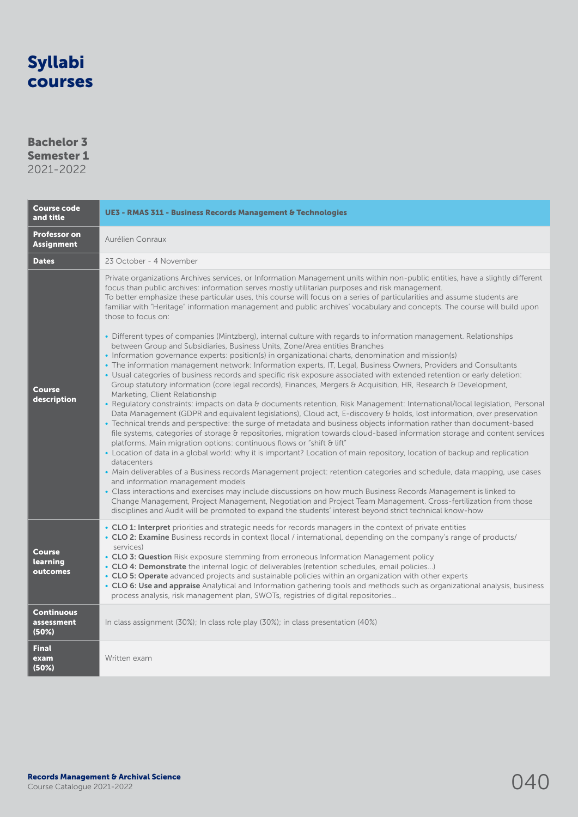### Bachelor 3 Semester 1

| <b>Course code</b><br>and title                            | <b>UE3 - RMAS 311 - Business Records Management &amp; Technologies</b>                                                                                                                                                                                                                                                                                                                                                                                                                                                                                                                                                                                                                                                                                                                                                                                                                                                                                                                                                                                                                                                                                                                                                                                                                                                                                                                                                                                                                                                                                                                                                                                                                                                                                                                                                                                                                                                                                                                                                                                                                                                                                                                                                                                                                                                                                                                                                                                                                  |  |
|------------------------------------------------------------|-----------------------------------------------------------------------------------------------------------------------------------------------------------------------------------------------------------------------------------------------------------------------------------------------------------------------------------------------------------------------------------------------------------------------------------------------------------------------------------------------------------------------------------------------------------------------------------------------------------------------------------------------------------------------------------------------------------------------------------------------------------------------------------------------------------------------------------------------------------------------------------------------------------------------------------------------------------------------------------------------------------------------------------------------------------------------------------------------------------------------------------------------------------------------------------------------------------------------------------------------------------------------------------------------------------------------------------------------------------------------------------------------------------------------------------------------------------------------------------------------------------------------------------------------------------------------------------------------------------------------------------------------------------------------------------------------------------------------------------------------------------------------------------------------------------------------------------------------------------------------------------------------------------------------------------------------------------------------------------------------------------------------------------------------------------------------------------------------------------------------------------------------------------------------------------------------------------------------------------------------------------------------------------------------------------------------------------------------------------------------------------------------------------------------------------------------------------------------------------------|--|
| <b>Professor on</b><br><b>Assignment</b>                   | Aurélien Conraux                                                                                                                                                                                                                                                                                                                                                                                                                                                                                                                                                                                                                                                                                                                                                                                                                                                                                                                                                                                                                                                                                                                                                                                                                                                                                                                                                                                                                                                                                                                                                                                                                                                                                                                                                                                                                                                                                                                                                                                                                                                                                                                                                                                                                                                                                                                                                                                                                                                                        |  |
| <b>Dates</b>                                               | 23 October - 4 November                                                                                                                                                                                                                                                                                                                                                                                                                                                                                                                                                                                                                                                                                                                                                                                                                                                                                                                                                                                                                                                                                                                                                                                                                                                                                                                                                                                                                                                                                                                                                                                                                                                                                                                                                                                                                                                                                                                                                                                                                                                                                                                                                                                                                                                                                                                                                                                                                                                                 |  |
| Course<br>description                                      | Private organizations Archives services, or Information Management units within non-public entities, have a slightly different<br>focus than public archives: information serves mostly utilitarian purposes and risk management.<br>To better emphasize these particular uses, this course will focus on a series of particularities and assume students are<br>familiar with "Heritage" information management and public archives' vocabulary and concepts. The course will build upon<br>those to focus on:<br>• Different types of companies (Mintzberg), internal culture with regards to information management. Relationships<br>between Group and Subsidiaries, Business Units, Zone/Area entities Branches<br>• Information governance experts: position(s) in organizational charts, denomination and mission(s)<br>· The information management network: Information experts, IT, Legal, Business Owners, Providers and Consultants<br>. Usual categories of business records and specific risk exposure associated with extended retention or early deletion:<br>Group statutory information (core legal records), Finances, Mergers & Acquisition, HR, Research & Development,<br>Marketing, Client Relationship<br>• Regulatory constraints: impacts on data & documents retention, Risk Management: International/local legislation, Personal<br>Data Management (GDPR and equivalent legislations), Cloud act, E-discovery & holds, lost information, over preservation<br>• Technical trends and perspective: the surge of metadata and business objects information rather than document-based<br>file systems, categories of storage & repositories, migration towards cloud-based information storage and content services<br>platforms. Main migration options: continuous flows or "shift & lift"<br>• Location of data in a global world: why it is important? Location of main repository, location of backup and replication<br>datacenters<br>• Main deliverables of a Business records Management project: retention categories and schedule, data mapping, use cases<br>and information management models<br>• Class interactions and exercises may include discussions on how much Business Records Management is linked to<br>Change Management, Project Management, Negotiation and Project Team Management. Cross-fertilization from those<br>disciplines and Audit will be promoted to expand the students' interest beyond strict technical know-how |  |
| <b>Course</b><br>learning<br>outcomes<br><b>Continuous</b> | • CLO 1: Interpret priorities and strategic needs for records managers in the context of private entities<br>. CLO 2: Examine Business records in context (local / international, depending on the company's range of products/<br>services)<br>• CLO 3: Question Risk exposure stemming from erroneous Information Management policy<br>• CLO 4: Demonstrate the internal logic of deliverables (retention schedules, email policies)<br>• CLO 5: Operate advanced projects and sustainable policies within an organization with other experts<br>. CLO 6: Use and appraise Analytical and Information gathering tools and methods such as organizational analysis, business<br>process analysis, risk management plan, SWOTs, registries of digital repositories                                                                                                                                                                                                                                                                                                                                                                                                                                                                                                                                                                                                                                                                                                                                                                                                                                                                                                                                                                                                                                                                                                                                                                                                                                                                                                                                                                                                                                                                                                                                                                                                                                                                                                                      |  |
| assessment<br>(50%)                                        | In class assignment (30%); In class role play (30%); in class presentation (40%)                                                                                                                                                                                                                                                                                                                                                                                                                                                                                                                                                                                                                                                                                                                                                                                                                                                                                                                                                                                                                                                                                                                                                                                                                                                                                                                                                                                                                                                                                                                                                                                                                                                                                                                                                                                                                                                                                                                                                                                                                                                                                                                                                                                                                                                                                                                                                                                                        |  |
| <b>Final</b><br>exam<br>(50%)                              | Written exam                                                                                                                                                                                                                                                                                                                                                                                                                                                                                                                                                                                                                                                                                                                                                                                                                                                                                                                                                                                                                                                                                                                                                                                                                                                                                                                                                                                                                                                                                                                                                                                                                                                                                                                                                                                                                                                                                                                                                                                                                                                                                                                                                                                                                                                                                                                                                                                                                                                                            |  |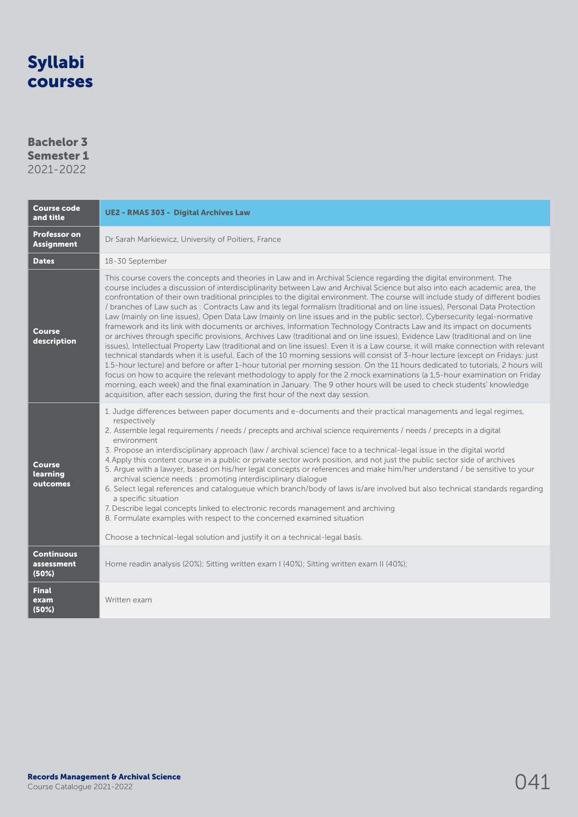### Bachelor 3 Semester 1

| <b>Course code</b><br>and title          | <b>UE2 - RMAS 303 - Digital Archives Law</b>                                                                                                                                                                                                                                                                                                                                                                                                                                                                                                                                                                                                                                                                                                                                                                                                                                                                                                                                                                                                                                                                                                                                                                                                                                                                                                                                                                                                                                                                                                                                                                                                                |  |
|------------------------------------------|-------------------------------------------------------------------------------------------------------------------------------------------------------------------------------------------------------------------------------------------------------------------------------------------------------------------------------------------------------------------------------------------------------------------------------------------------------------------------------------------------------------------------------------------------------------------------------------------------------------------------------------------------------------------------------------------------------------------------------------------------------------------------------------------------------------------------------------------------------------------------------------------------------------------------------------------------------------------------------------------------------------------------------------------------------------------------------------------------------------------------------------------------------------------------------------------------------------------------------------------------------------------------------------------------------------------------------------------------------------------------------------------------------------------------------------------------------------------------------------------------------------------------------------------------------------------------------------------------------------------------------------------------------------|--|
| <b>Professor on</b><br><b>Assignment</b> | Dr Sarah Markiewicz, University of Poitiers, France                                                                                                                                                                                                                                                                                                                                                                                                                                                                                                                                                                                                                                                                                                                                                                                                                                                                                                                                                                                                                                                                                                                                                                                                                                                                                                                                                                                                                                                                                                                                                                                                         |  |
| <b>Dates</b>                             | 18-30 September                                                                                                                                                                                                                                                                                                                                                                                                                                                                                                                                                                                                                                                                                                                                                                                                                                                                                                                                                                                                                                                                                                                                                                                                                                                                                                                                                                                                                                                                                                                                                                                                                                             |  |
| <b>Course</b><br>description             | This course covers the concepts and theories in Law and in Archival Science regarding the digital environment. The<br>course includes a discussion of interdisciplinarity between Law and Archival Science but also into each academic area, the<br>confrontation of their own traditional principles to the digital environment. The course will include study of different bodies<br>/ branches of Law such as: Contracts Law and its legal formalism (traditional and on line issues), Personal Data Protection<br>Law (mainly on line issues), Open Data Law (mainly on line issues and in the public sector), Cybersecurity legal-normative<br>framework and its link with documents or archives, Information Technology Contracts Law and its impact on documents<br>or archives through specific provisions, Archives Law (traditional and on line issues), Evidence Law (traditional and on line<br>issues), Intellectual Property Law (traditional and on line issues). Even it is a Law course, it will make connection with relevant<br>technical standards when it is useful. Each of the 10 morning sessions will consist of 3-hour lecture (except on Fridays: just<br>1.5-hour lecture) and before or after 1-hour tutorial per morning session. On the 11 hours dedicated to tutorials, 2 hours will<br>focus on how to acquire the relevant methodology to apply for the 2 mock examinations (a 1,5-hour examination on Friday<br>morning, each week) and the final examination in January. The 9 other hours will be used to check students' knowledge<br>acquisition, after each session, during the first hour of the next day session. |  |
| <b>Course</b><br>learning<br>outcomes    | 1. Judge differences between paper documents and e-documents and their practical managements and legal regimes,<br>respectively<br>2. Assemble legal requirements / needs / precepts and archival science requirements / needs / precepts in a digital<br>environment<br>3. Propose an interdisciplinary approach (law / archival science) face to a technical-legal issue in the digital world<br>4. Apply this content course in a public or private sector work position, and not just the public sector side of archives<br>5. Argue with a lawyer, based on his/her legal concepts or references and make him/her understand / be sensitive to your<br>archival science needs : promoting interdisciplinary dialogue<br>6. Select legal references and catalogueue which branch/body of laws is/are involved but also technical standards regarding<br>a specific situation<br>7. Describe legal concepts linked to electronic records management and archiving<br>8. Formulate examples with respect to the concerned examined situation<br>Choose a technical-legal solution and justify it on a technical-legal basis.                                                                                                                                                                                                                                                                                                                                                                                                                                                                                                                              |  |
| <b>Continuous</b><br>assessment<br>(50%) | Home readin analysis (20%); Sitting written exam I (40%); Sitting written exam II (40%);                                                                                                                                                                                                                                                                                                                                                                                                                                                                                                                                                                                                                                                                                                                                                                                                                                                                                                                                                                                                                                                                                                                                                                                                                                                                                                                                                                                                                                                                                                                                                                    |  |
| <b>Final</b><br>exam<br>(50%)            | Written exam                                                                                                                                                                                                                                                                                                                                                                                                                                                                                                                                                                                                                                                                                                                                                                                                                                                                                                                                                                                                                                                                                                                                                                                                                                                                                                                                                                                                                                                                                                                                                                                                                                                |  |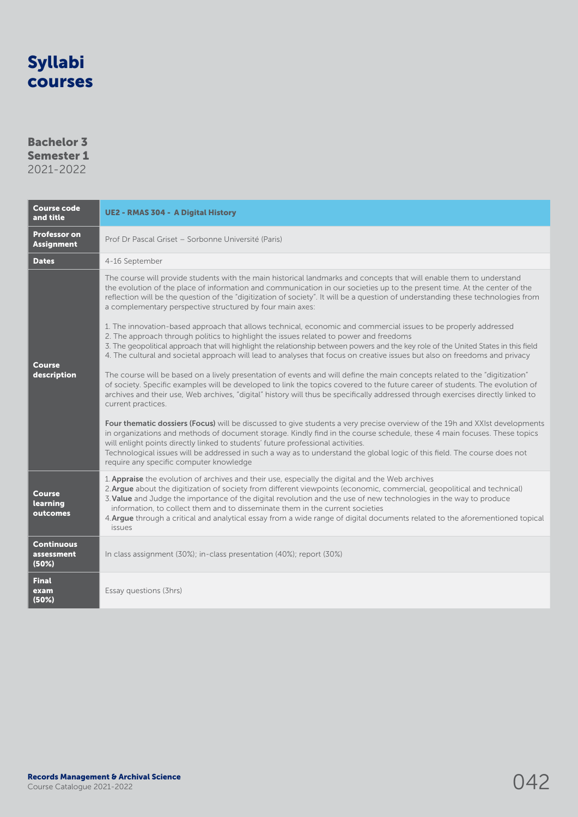### Bachelor 3 Semester 1

| <b>Course code</b><br>and title          | <b>UE2 - RMAS 304 - A Digital History</b>                                                                                                                                                                                                                                                                                                                                                                                                                                                                                                                                           |  |
|------------------------------------------|-------------------------------------------------------------------------------------------------------------------------------------------------------------------------------------------------------------------------------------------------------------------------------------------------------------------------------------------------------------------------------------------------------------------------------------------------------------------------------------------------------------------------------------------------------------------------------------|--|
| <b>Professor on</b><br><b>Assignment</b> | Prof Dr Pascal Griset – Sorbonne Université (Paris)                                                                                                                                                                                                                                                                                                                                                                                                                                                                                                                                 |  |
| <b>Dates</b>                             | 4-16 September                                                                                                                                                                                                                                                                                                                                                                                                                                                                                                                                                                      |  |
| Course<br>description                    | The course will provide students with the main historical landmarks and concepts that will enable them to understand<br>the evolution of the place of information and communication in our societies up to the present time. At the center of the<br>reflection will be the question of the "digitization of society". It will be a question of understanding these technologies from<br>a complementary perspective structured by four main axes:                                                                                                                                  |  |
|                                          | 1. The innovation-based approach that allows technical, economic and commercial issues to be properly addressed<br>2. The approach through politics to highlight the issues related to power and freedoms<br>3. The geopolitical approach that will highlight the relationship between powers and the key role of the United States in this field<br>4. The cultural and societal approach will lead to analyses that focus on creative issues but also on freedoms and privacy                                                                                                     |  |
|                                          | The course will be based on a lively presentation of events and will define the main concepts related to the "digitization"<br>of society. Specific examples will be developed to link the topics covered to the future career of students. The evolution of<br>archives and their use, Web archives, "digital" history will thus be specifically addressed through exercises directly linked to<br>current practices.                                                                                                                                                              |  |
|                                          | Four thematic dossiers (Focus) will be discussed to give students a very precise overview of the 19h and XXIst developments<br>in organizations and methods of document storage. Kindly find in the course schedule, these 4 main focuses. These topics<br>will enlight points directly linked to students' future professional activities.<br>Technological issues will be addressed in such a way as to understand the global logic of this field. The course does not<br>require any specific computer knowledge                                                                 |  |
| <b>Course</b><br>learning<br>outcomes    | 1. Appraise the evolution of archives and their use, especially the digital and the Web archives<br>2. Argue about the digitization of society from different viewpoints (economic, commercial, geopolitical and technical)<br>3. Value and Judge the importance of the digital revolution and the use of new technologies in the way to produce<br>information, to collect them and to disseminate them in the current societies<br>4. Argue through a critical and analytical essay from a wide range of digital documents related to the aforementioned topical<br><i>issues</i> |  |
| <b>Continuous</b><br>assessment<br>(50%) | In class assignment (30%); in-class presentation (40%); report (30%)                                                                                                                                                                                                                                                                                                                                                                                                                                                                                                                |  |
| <b>Final</b><br>exam<br>(50%)            | Essay questions (3hrs)                                                                                                                                                                                                                                                                                                                                                                                                                                                                                                                                                              |  |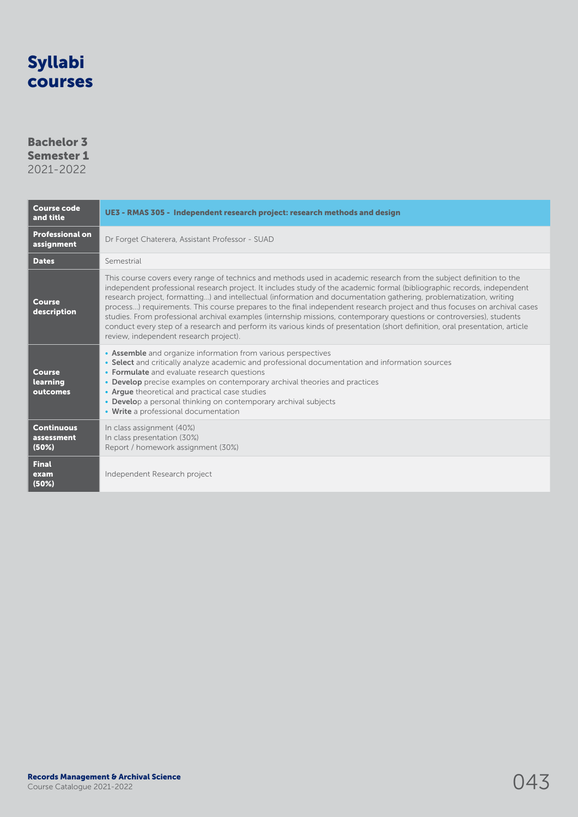### Bachelor 3 Semester 1

| <b>Course code</b><br>and title          | UE3 - RMAS 305 - Independent research project: research methods and design                                                                                                                                                                                                                                                                                                                                                                                                                                                                                                                                                                                                                                                                                                                          |  |
|------------------------------------------|-----------------------------------------------------------------------------------------------------------------------------------------------------------------------------------------------------------------------------------------------------------------------------------------------------------------------------------------------------------------------------------------------------------------------------------------------------------------------------------------------------------------------------------------------------------------------------------------------------------------------------------------------------------------------------------------------------------------------------------------------------------------------------------------------------|--|
| <b>Professional on</b><br>assignment     | Dr Forget Chaterera, Assistant Professor - SUAD                                                                                                                                                                                                                                                                                                                                                                                                                                                                                                                                                                                                                                                                                                                                                     |  |
| <b>Dates</b>                             | Semestrial                                                                                                                                                                                                                                                                                                                                                                                                                                                                                                                                                                                                                                                                                                                                                                                          |  |
| <b>Course</b><br>description             | This course covers every range of technics and methods used in academic research from the subject definition to the<br>independent professional research project. It includes study of the academic formal (bibliographic records, independent<br>research project, formatting) and intellectual (information and documentation gathering, problematization, writing<br>process) requirements. This course prepares to the final independent research project and thus focuses on archival cases<br>studies. From professional archival examples (internship missions, contemporary questions or controversies), students<br>conduct every step of a research and perform its various kinds of presentation (short definition, oral presentation, article<br>review, independent research project). |  |
| <b>Course</b><br>learning<br>outcomes    | • Assemble and organize information from various perspectives<br>• Select and critically analyze academic and professional documentation and information sources<br>• Formulate and evaluate research questions<br>• Develop precise examples on contemporary archival theories and practices<br>• Arque theoretical and practical case studies<br>• Develop a personal thinking on contemporary archival subjects<br>• Write a professional documentation                                                                                                                                                                                                                                                                                                                                          |  |
| <b>Continuous</b><br>assessment<br>(50%) | In class assignment (40%)<br>In class presentation (30%)<br>Report / homework assignment (30%)                                                                                                                                                                                                                                                                                                                                                                                                                                                                                                                                                                                                                                                                                                      |  |
| <b>Final</b><br>exam<br>(50%)            | Independent Research project                                                                                                                                                                                                                                                                                                                                                                                                                                                                                                                                                                                                                                                                                                                                                                        |  |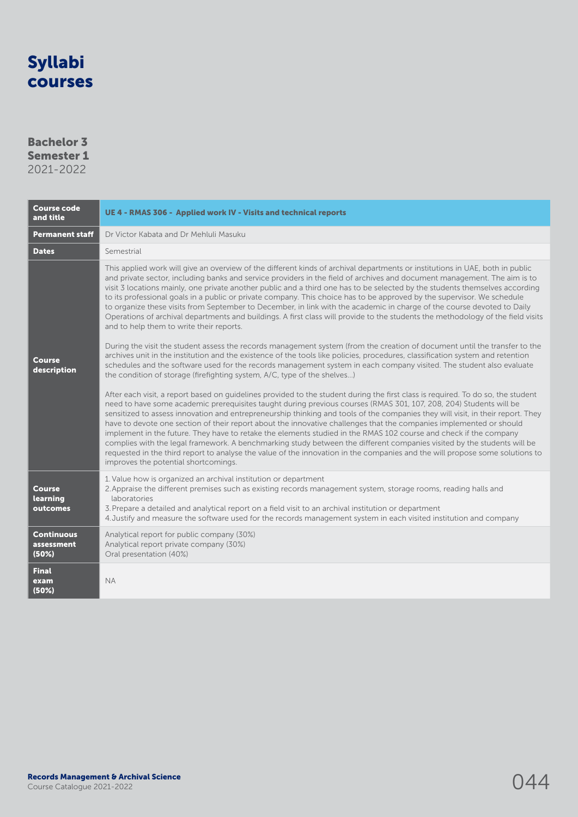### Bachelor 3 Semester 1 2021-2022

| <b>Course code</b><br>and title          | UE 4 - RMAS 306 - Applied work IV - Visits and technical reports                                                                                                                                                                                                                                                                                                                                                                                                                                                                                                                                                                                                                                                                                                                                                                                                                                                                                                                                                                                                                                                                             |  |
|------------------------------------------|----------------------------------------------------------------------------------------------------------------------------------------------------------------------------------------------------------------------------------------------------------------------------------------------------------------------------------------------------------------------------------------------------------------------------------------------------------------------------------------------------------------------------------------------------------------------------------------------------------------------------------------------------------------------------------------------------------------------------------------------------------------------------------------------------------------------------------------------------------------------------------------------------------------------------------------------------------------------------------------------------------------------------------------------------------------------------------------------------------------------------------------------|--|
| <b>Permanent staff</b>                   | Dr Victor Kabata and Dr Mehluli Masuku                                                                                                                                                                                                                                                                                                                                                                                                                                                                                                                                                                                                                                                                                                                                                                                                                                                                                                                                                                                                                                                                                                       |  |
| <b>Dates</b>                             | Semestrial                                                                                                                                                                                                                                                                                                                                                                                                                                                                                                                                                                                                                                                                                                                                                                                                                                                                                                                                                                                                                                                                                                                                   |  |
| <b>Course</b>                            | This applied work will give an overview of the different kinds of archival departments or institutions in UAE, both in public<br>and private sector, including banks and service providers in the field of archives and document management. The aim is to<br>visit 3 locations mainly, one private another public and a third one has to be selected by the students themselves according<br>to its professional goals in a public or private company. This choice has to be approved by the supervisor. We schedule<br>to organize these visits from September to December, in link with the academic in charge of the course devoted to Daily<br>Operations of archival departments and buildings. A first class will provide to the students the methodology of the field visits<br>and to help them to write their reports.<br>During the visit the student assess the records management system (from the creation of document until the transfer to the<br>archives unit in the institution and the existence of the tools like policies, procedures, classification system and retention                                             |  |
| description                              | schedules and the software used for the records management system in each company visited. The student also evaluate<br>the condition of storage (firefighting system, A/C, type of the shelves)<br>After each visit, a report based on quidelines provided to the student during the first class is required. To do so, the student<br>need to have some academic prerequisites taught during previous courses (RMAS 301, 107, 208, 204) Students will be<br>sensitized to assess innovation and entrepreneurship thinking and tools of the companies they will visit, in their report. They<br>have to devote one section of their report about the innovative challenges that the companies implemented or should<br>implement in the future. They have to retake the elements studied in the RMAS 102 course and check if the company<br>complies with the legal framework. A benchmarking study between the different companies visited by the students will be<br>requested in the third report to analyse the value of the innovation in the companies and the will propose some solutions to<br>improves the potential shortcomings. |  |
| <b>Course</b><br>learning<br>outcomes    | 1. Value how is organized an archival institution or department<br>2. Appraise the different premises such as existing records management system, storage rooms, reading halls and<br>laboratories<br>3. Prepare a detailed and analytical report on a field visit to an archival institution or department<br>4. Justify and measure the software used for the records management system in each visited institution and company                                                                                                                                                                                                                                                                                                                                                                                                                                                                                                                                                                                                                                                                                                            |  |
| <b>Continuous</b><br>assessment<br>(50%) | Analytical report for public company (30%)<br>Analytical report private company (30%)<br>Oral presentation (40%)                                                                                                                                                                                                                                                                                                                                                                                                                                                                                                                                                                                                                                                                                                                                                                                                                                                                                                                                                                                                                             |  |
| <b>Final</b><br>exam<br>(50%)            | <b>NA</b>                                                                                                                                                                                                                                                                                                                                                                                                                                                                                                                                                                                                                                                                                                                                                                                                                                                                                                                                                                                                                                                                                                                                    |  |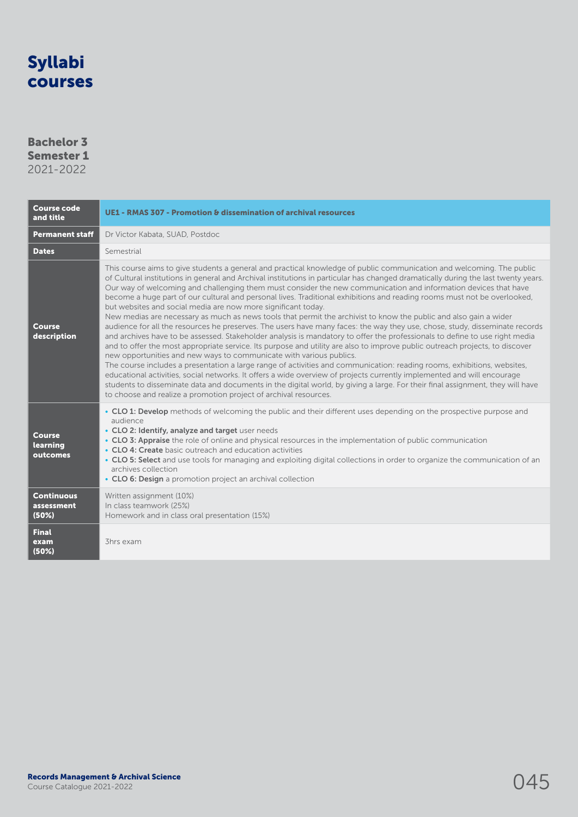### Bachelor 3 Semester 1

| <b>Course code</b><br>and title          | UE1 - RMAS 307 - Promotion & dissemination of archival resources                                                                                                                                                                                                                                                                                                                                                                                                                                                                                                                                                                                                                                                                                                                                                                                                                                                                                                                                                                                                                                                                                                                                                                                                                                                                                                                                                                                                                                                                                                                                                                  |  |
|------------------------------------------|-----------------------------------------------------------------------------------------------------------------------------------------------------------------------------------------------------------------------------------------------------------------------------------------------------------------------------------------------------------------------------------------------------------------------------------------------------------------------------------------------------------------------------------------------------------------------------------------------------------------------------------------------------------------------------------------------------------------------------------------------------------------------------------------------------------------------------------------------------------------------------------------------------------------------------------------------------------------------------------------------------------------------------------------------------------------------------------------------------------------------------------------------------------------------------------------------------------------------------------------------------------------------------------------------------------------------------------------------------------------------------------------------------------------------------------------------------------------------------------------------------------------------------------------------------------------------------------------------------------------------------------|--|
| <b>Permanent staff</b>                   | Dr Victor Kabata, SUAD, Postdoc                                                                                                                                                                                                                                                                                                                                                                                                                                                                                                                                                                                                                                                                                                                                                                                                                                                                                                                                                                                                                                                                                                                                                                                                                                                                                                                                                                                                                                                                                                                                                                                                   |  |
| <b>Dates</b>                             | Semestrial                                                                                                                                                                                                                                                                                                                                                                                                                                                                                                                                                                                                                                                                                                                                                                                                                                                                                                                                                                                                                                                                                                                                                                                                                                                                                                                                                                                                                                                                                                                                                                                                                        |  |
| <b>Course</b><br>description             | This course aims to give students a general and practical knowledge of public communication and welcoming. The public<br>of Cultural institutions in general and Archival institutions in particular has changed dramatically during the last twenty years.<br>Our way of welcoming and challenging them must consider the new communication and information devices that have<br>become a huge part of our cultural and personal lives. Traditional exhibitions and reading rooms must not be overlooked,<br>but websites and social media are now more significant today.<br>New medias are necessary as much as news tools that permit the archivist to know the public and also gain a wider<br>audience for all the resources he preserves. The users have many faces: the way they use, chose, study, disseminate records<br>and archives have to be assessed. Stakeholder analysis is mandatory to offer the professionals to define to use right media<br>and to offer the most appropriate service. Its purpose and utility are also to improve public outreach projects, to discover<br>new opportunities and new ways to communicate with various publics.<br>The course includes a presentation a large range of activities and communication: reading rooms, exhibitions, websites,<br>educational activities, social networks. It offers a wide overview of projects currently implemented and will encourage<br>students to disseminate data and documents in the digital world, by giving a large. For their final assignment, they will have<br>to choose and realize a promotion project of archival resources. |  |
| <b>Course</b><br>learning<br>outcomes    | • CLO 1: Develop methods of welcoming the public and their different uses depending on the prospective purpose and<br>audience<br>• CLO 2: Identify, analyze and target user needs<br>• CLO 3: Appraise the role of online and physical resources in the implementation of public communication<br>• CLO 4: Create basic outreach and education activities<br>• CLO 5: Select and use tools for managing and exploiting digital collections in order to organize the communication of an<br>archives collection<br>• CLO 6: Design a promotion project an archival collection                                                                                                                                                                                                                                                                                                                                                                                                                                                                                                                                                                                                                                                                                                                                                                                                                                                                                                                                                                                                                                                     |  |
| <b>Continuous</b><br>assessment<br>(50%) | Written assignment (10%)<br>In class teamwork (25%)<br>Homework and in class oral presentation (15%)                                                                                                                                                                                                                                                                                                                                                                                                                                                                                                                                                                                                                                                                                                                                                                                                                                                                                                                                                                                                                                                                                                                                                                                                                                                                                                                                                                                                                                                                                                                              |  |
| <b>Final</b><br>exam<br>(50%)            | 3hrs exam                                                                                                                                                                                                                                                                                                                                                                                                                                                                                                                                                                                                                                                                                                                                                                                                                                                                                                                                                                                                                                                                                                                                                                                                                                                                                                                                                                                                                                                                                                                                                                                                                         |  |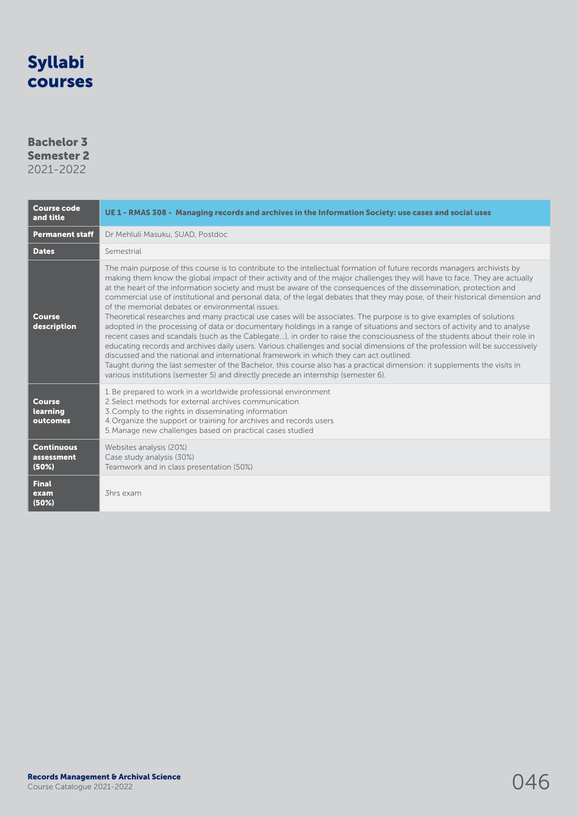### Bachelor 3 Semester 2

| <b>Course code</b><br>and title          | UE 1 - RMAS 308 - Managing records and archives in the Information Society: use cases and social uses                                                                                                                                                                                                                                                                                                                                                                                                                                                                                                                                                                                                                                                                                                                                                                                                                                                                                                                                                                                                                                                                                                                                                                                                                                                                                           |  |
|------------------------------------------|-------------------------------------------------------------------------------------------------------------------------------------------------------------------------------------------------------------------------------------------------------------------------------------------------------------------------------------------------------------------------------------------------------------------------------------------------------------------------------------------------------------------------------------------------------------------------------------------------------------------------------------------------------------------------------------------------------------------------------------------------------------------------------------------------------------------------------------------------------------------------------------------------------------------------------------------------------------------------------------------------------------------------------------------------------------------------------------------------------------------------------------------------------------------------------------------------------------------------------------------------------------------------------------------------------------------------------------------------------------------------------------------------|--|
| <b>Permanent staff</b>                   | Dr Mehluli Masuku, SUAD, Postdoc                                                                                                                                                                                                                                                                                                                                                                                                                                                                                                                                                                                                                                                                                                                                                                                                                                                                                                                                                                                                                                                                                                                                                                                                                                                                                                                                                                |  |
| <b>Dates</b>                             | Semestrial                                                                                                                                                                                                                                                                                                                                                                                                                                                                                                                                                                                                                                                                                                                                                                                                                                                                                                                                                                                                                                                                                                                                                                                                                                                                                                                                                                                      |  |
| <b>Course</b><br>description             | The main purpose of this course is to contribute to the intellectual formation of future records managers archivists by<br>making them know the global impact of their activity and of the major challenges they will have to face. They are actually<br>at the heart of the information society and must be aware of the consequences of the dissemination, protection and<br>commercial use of institutional and personal data, of the legal debates that they may pose, of their historical dimension and<br>of the memorial debates or environmental issues.<br>Theoretical researches and many practical use cases will be associates. The purpose is to give examples of solutions<br>adopted in the processing of data or documentary holdings in a range of situations and sectors of activity and to analyse<br>recent cases and scandals (such as the Cablegate), in order to raise the consciousness of the students about their role in<br>educating records and archives daily users. Various challenges and social dimensions of the profession will be successively<br>discussed and the national and international framework in which they can act outlined.<br>Taught during the last semester of the Bachelor, this course also has a practical dimension: it supplements the visits in<br>various institutions (semester 5) and directly precede an internship (semester 6). |  |
| <b>Course</b><br>learning<br>outcomes    | 1. Be prepared to work in a worldwide professional environment<br>2. Select methods for external archives communication<br>3. Comply to the rights in disseminating information<br>4. Organize the support or training for archives and records users<br>5. Manage new challenges based on practical cases studied                                                                                                                                                                                                                                                                                                                                                                                                                                                                                                                                                                                                                                                                                                                                                                                                                                                                                                                                                                                                                                                                              |  |
| <b>Continuous</b><br>assessment<br>(50%) | Websites analysis (20%)<br>Case study analysis (30%)<br>Teamwork and in class presentation (50%)                                                                                                                                                                                                                                                                                                                                                                                                                                                                                                                                                                                                                                                                                                                                                                                                                                                                                                                                                                                                                                                                                                                                                                                                                                                                                                |  |
| <b>Final</b><br>exam<br>(50%)            | 3hrs exam                                                                                                                                                                                                                                                                                                                                                                                                                                                                                                                                                                                                                                                                                                                                                                                                                                                                                                                                                                                                                                                                                                                                                                                                                                                                                                                                                                                       |  |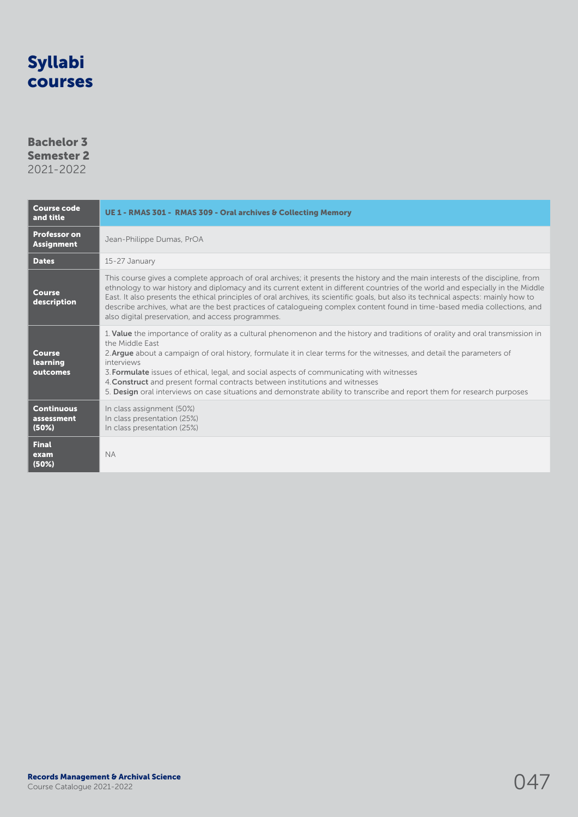### Bachelor 3 Semester 2

| <b>Course code</b><br>and title          | UE 1 - RMAS 301 - RMAS 309 - Oral archives & Collecting Memory                                                                                                                                                                                                                                                                                                                                                                                                                                                                                                                                     |
|------------------------------------------|----------------------------------------------------------------------------------------------------------------------------------------------------------------------------------------------------------------------------------------------------------------------------------------------------------------------------------------------------------------------------------------------------------------------------------------------------------------------------------------------------------------------------------------------------------------------------------------------------|
| <b>Professor on</b><br><b>Assignment</b> | Jean-Philippe Dumas, PrOA                                                                                                                                                                                                                                                                                                                                                                                                                                                                                                                                                                          |
| <b>Dates</b>                             | 15-27 January                                                                                                                                                                                                                                                                                                                                                                                                                                                                                                                                                                                      |
| Course<br>description                    | This course gives a complete approach of oral archives; it presents the history and the main interests of the discipline, from<br>ethnology to war history and diplomacy and its current extent in different countries of the world and especially in the Middle<br>East. It also presents the ethical principles of oral archives, its scientific goals, but also its technical aspects: mainly how to<br>describe archives, what are the best practices of catalogueing complex content found in time-based media collections, and<br>also digital preservation, and access programmes.          |
| <b>Course</b><br>learning<br>outcomes    | 1. Value the importance of orality as a cultural phenomenon and the history and traditions of orality and oral transmission in<br>the Middle East<br>2. Argue about a campaign of oral history, formulate it in clear terms for the witnesses, and detail the parameters of<br>interviews<br>3. Formulate issues of ethical, legal, and social aspects of communicating with witnesses<br>4. Construct and present formal contracts between institutions and witnesses<br>5. Design oral interviews on case situations and demonstrate ability to transcribe and report them for research purposes |
| <b>Continuous</b><br>assessment<br>(50%) | In class assignment (50%)<br>In class presentation (25%)<br>In class presentation (25%)                                                                                                                                                                                                                                                                                                                                                                                                                                                                                                            |
| <b>Final</b><br>exam<br>(50%)            | <b>NA</b>                                                                                                                                                                                                                                                                                                                                                                                                                                                                                                                                                                                          |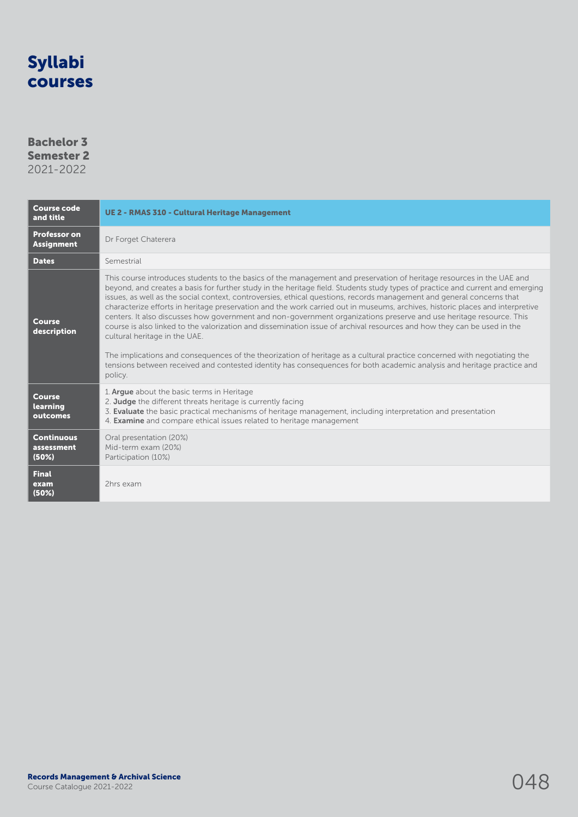### Bachelor 3 Semester 2

| <b>Course code</b><br>and title          | <b>UE 2 - RMAS 310 - Cultural Heritage Management</b>                                                                                                                                                                                                                                                                                                                                                                                                                                                                                                                                                                                                                                                                                                                                                                                                                                                                                                                                                                                                                |  |
|------------------------------------------|----------------------------------------------------------------------------------------------------------------------------------------------------------------------------------------------------------------------------------------------------------------------------------------------------------------------------------------------------------------------------------------------------------------------------------------------------------------------------------------------------------------------------------------------------------------------------------------------------------------------------------------------------------------------------------------------------------------------------------------------------------------------------------------------------------------------------------------------------------------------------------------------------------------------------------------------------------------------------------------------------------------------------------------------------------------------|--|
| <b>Professor on</b><br><b>Assignment</b> | Dr Forget Chaterera                                                                                                                                                                                                                                                                                                                                                                                                                                                                                                                                                                                                                                                                                                                                                                                                                                                                                                                                                                                                                                                  |  |
| <b>Dates</b>                             | Semestrial                                                                                                                                                                                                                                                                                                                                                                                                                                                                                                                                                                                                                                                                                                                                                                                                                                                                                                                                                                                                                                                           |  |
| Course<br>description                    | This course introduces students to the basics of the management and preservation of heritage resources in the UAE and<br>beyond, and creates a basis for further study in the heritage field. Students study types of practice and current and emerging<br>issues, as well as the social context, controversies, ethical questions, records management and general concerns that<br>characterize efforts in heritage preservation and the work carried out in museums, archives, historic places and interpretive<br>centers. It also discusses how government and non-government organizations preserve and use heritage resource. This<br>course is also linked to the valorization and dissemination issue of archival resources and how they can be used in the<br>cultural heritage in the UAE.<br>The implications and consequences of the theorization of heritage as a cultural practice concerned with negotiating the<br>tensions between received and contested identity has consequences for both academic analysis and heritage practice and<br>policy. |  |
| <b>Course</b><br>learning<br>outcomes    | 1. Argue about the basic terms in Heritage<br>2. Judge the different threats heritage is currently facing<br>3. Evaluate the basic practical mechanisms of heritage management, including interpretation and presentation<br>4. <b>Examine</b> and compare ethical issues related to heritage management                                                                                                                                                                                                                                                                                                                                                                                                                                                                                                                                                                                                                                                                                                                                                             |  |
| <b>Continuous</b><br>assessment<br>(50%) | Oral presentation (20%)<br>Mid-term exam (20%)<br>Participation (10%)                                                                                                                                                                                                                                                                                                                                                                                                                                                                                                                                                                                                                                                                                                                                                                                                                                                                                                                                                                                                |  |
| <b>Final</b><br>exam<br>(50%)            | 2hrs exam                                                                                                                                                                                                                                                                                                                                                                                                                                                                                                                                                                                                                                                                                                                                                                                                                                                                                                                                                                                                                                                            |  |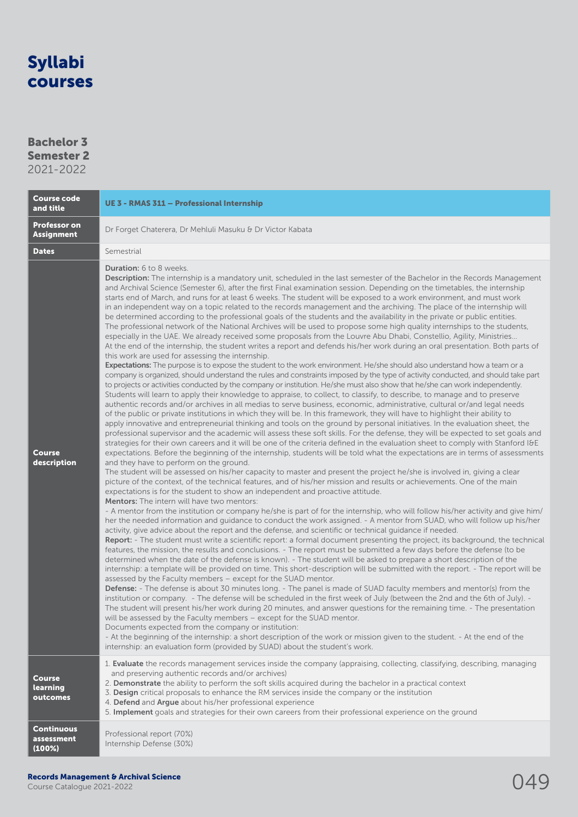### Bachelor 3

Semester 2 2021-2022

| <b>Course code</b><br>and title           | UE 3 - RMAS 311 - Professional Internship                                                                                                                                                                                                                                                                                                                                                                                                                                                                                                                                                                                                                                                                                                                                                                                                                                                                                                                                                                                                                                                                                                                                                                                                                                                                                                                                                                                                                                                                                                                                                                                                                                                                                                                                                                                                                                                                                                                                                                                                                                                                                                                                                                                                                                                                                                                                                                                                                                                                                                                                                                                                                                                                                                                                                                                                                                                                                                                                                                                                                                                                                                                                                                                                                                                                                                                                                                                                                                                                                                                                                                                                                                                                                                                                                                                                                                                                                                                                                                                                                                                                                                                                                                                                                                                                                                                                                                                                                                                                                                                                               |  |
|-------------------------------------------|-----------------------------------------------------------------------------------------------------------------------------------------------------------------------------------------------------------------------------------------------------------------------------------------------------------------------------------------------------------------------------------------------------------------------------------------------------------------------------------------------------------------------------------------------------------------------------------------------------------------------------------------------------------------------------------------------------------------------------------------------------------------------------------------------------------------------------------------------------------------------------------------------------------------------------------------------------------------------------------------------------------------------------------------------------------------------------------------------------------------------------------------------------------------------------------------------------------------------------------------------------------------------------------------------------------------------------------------------------------------------------------------------------------------------------------------------------------------------------------------------------------------------------------------------------------------------------------------------------------------------------------------------------------------------------------------------------------------------------------------------------------------------------------------------------------------------------------------------------------------------------------------------------------------------------------------------------------------------------------------------------------------------------------------------------------------------------------------------------------------------------------------------------------------------------------------------------------------------------------------------------------------------------------------------------------------------------------------------------------------------------------------------------------------------------------------------------------------------------------------------------------------------------------------------------------------------------------------------------------------------------------------------------------------------------------------------------------------------------------------------------------------------------------------------------------------------------------------------------------------------------------------------------------------------------------------------------------------------------------------------------------------------------------------------------------------------------------------------------------------------------------------------------------------------------------------------------------------------------------------------------------------------------------------------------------------------------------------------------------------------------------------------------------------------------------------------------------------------------------------------------------------------------------------------------------------------------------------------------------------------------------------------------------------------------------------------------------------------------------------------------------------------------------------------------------------------------------------------------------------------------------------------------------------------------------------------------------------------------------------------------------------------------------------------------------------------------------------------------------------------------------------------------------------------------------------------------------------------------------------------------------------------------------------------------------------------------------------------------------------------------------------------------------------------------------------------------------------------------------------------------------------------------------------------------------------------------------------|--|
| <b>Professor on</b><br><b>Assignment</b>  | Dr Forget Chaterera, Dr Mehluli Masuku & Dr Victor Kabata                                                                                                                                                                                                                                                                                                                                                                                                                                                                                                                                                                                                                                                                                                                                                                                                                                                                                                                                                                                                                                                                                                                                                                                                                                                                                                                                                                                                                                                                                                                                                                                                                                                                                                                                                                                                                                                                                                                                                                                                                                                                                                                                                                                                                                                                                                                                                                                                                                                                                                                                                                                                                                                                                                                                                                                                                                                                                                                                                                                                                                                                                                                                                                                                                                                                                                                                                                                                                                                                                                                                                                                                                                                                                                                                                                                                                                                                                                                                                                                                                                                                                                                                                                                                                                                                                                                                                                                                                                                                                                                               |  |
| <b>Dates</b>                              | Semestrial                                                                                                                                                                                                                                                                                                                                                                                                                                                                                                                                                                                                                                                                                                                                                                                                                                                                                                                                                                                                                                                                                                                                                                                                                                                                                                                                                                                                                                                                                                                                                                                                                                                                                                                                                                                                                                                                                                                                                                                                                                                                                                                                                                                                                                                                                                                                                                                                                                                                                                                                                                                                                                                                                                                                                                                                                                                                                                                                                                                                                                                                                                                                                                                                                                                                                                                                                                                                                                                                                                                                                                                                                                                                                                                                                                                                                                                                                                                                                                                                                                                                                                                                                                                                                                                                                                                                                                                                                                                                                                                                                                              |  |
| <b>Course</b><br>description              | <b>Duration:</b> 6 to 8 weeks.<br>Description: The internship is a mandatory unit, scheduled in the last semester of the Bachelor in the Records Management<br>and Archival Science (Semester 6), after the first Final examination session. Depending on the timetables, the internship<br>starts end of March, and runs for at least 6 weeks. The student will be exposed to a work environment, and must work<br>in an independent way on a topic related to the records management and the archiving. The place of the internship will<br>be determined according to the professional goals of the students and the availability in the private or public entities.<br>The professional network of the National Archives will be used to propose some high quality internships to the students,<br>especially in the UAE. We already received some proposals from the Louvre Abu Dhabi, Constellio, Agility, Ministries<br>At the end of the internship, the student writes a report and defends his/her work during an oral presentation. Both parts of<br>this work are used for assessing the internship.<br>Expectations: The purpose is to expose the student to the work environment. He/she should also understand how a team or a<br>company is organized, should understand the rules and constraints imposed by the type of activity conducted, and should take part<br>to projects or activities conducted by the company or institution. He/she must also show that he/she can work independently.<br>Students will learn to apply their knowledge to appraise, to collect, to classify, to describe, to manage and to preserve<br>authentic records and/or archives in all medias to serve business, economic, administrative, cultural or/and legal needs<br>of the public or private institutions in which they will be. In this framework, they will have to highlight their ability to<br>apply innovative and entrepreneurial thinking and tools on the ground by personal initiatives. In the evaluation sheet, the<br>professional supervisor and the academic will assess these soft skills. For the defense, they will be expected to set goals and<br>strategies for their own careers and it will be one of the criteria defined in the evaluation sheet to comply with Stanford I&E<br>expectations. Before the beginning of the internship, students will be told what the expectations are in terms of assessments<br>and they have to perform on the ground.<br>The student will be assessed on his/her capacity to master and present the project he/she is involved in, giving a clear<br>picture of the context, of the technical features, and of his/her mission and results or achievements. One of the main<br>expectations is for the student to show an independent and proactive attitude.<br><b>Mentors:</b> The intern will have two mentors:<br>- A mentor from the institution or company he/she is part of for the internship, who will follow his/her activity and give him/<br>her the needed information and guidance to conduct the work assigned. - A mentor from SUAD, who will follow up his/her<br>activity, give advice about the report and the defense, and scientific or technical guidance if needed.<br>Report: - The student must write a scientific report: a formal document presenting the project, its background, the technical<br>features, the mission, the results and conclusions. - The report must be submitted a few days before the defense (to be<br>determined when the date of the defense is known). - The student will be asked to prepare a short description of the<br>internship: a template will be provided on time. This short-description will be submitted with the report. - The report will be<br>assessed by the Faculty members - except for the SUAD mentor.<br>Defense: - The defense is about 30 minutes long. - The panel is made of SUAD faculty members and mentor(s) from the<br>institution or company. - The defense will be scheduled in the first week of July (between the 2nd and the 6th of July). -<br>The student will present his/her work during 20 minutes, and answer questions for the remaining time. - The presentation<br>will be assessed by the Faculty members - except for the SUAD mentor.<br>Documents expected from the company or institution:<br>- At the beginning of the internship: a short description of the work or mission given to the student. - At the end of the<br>internship: an evaluation form (provided by SUAD) about the student's work. |  |
| <b>Course</b><br>learning<br>outcomes     | 1. Evaluate the records management services inside the company (appraising, collecting, classifying, describing, managing<br>and preserving authentic records and/or archives)<br>2. Demonstrate the ability to perform the soft skills acquired during the bachelor in a practical context<br>3. Design critical proposals to enhance the RM services inside the company or the institution<br>4. Defend and Argue about his/her professional experience<br>5. Implement goals and strategies for their own careers from their professional experience on the ground                                                                                                                                                                                                                                                                                                                                                                                                                                                                                                                                                                                                                                                                                                                                                                                                                                                                                                                                                                                                                                                                                                                                                                                                                                                                                                                                                                                                                                                                                                                                                                                                                                                                                                                                                                                                                                                                                                                                                                                                                                                                                                                                                                                                                                                                                                                                                                                                                                                                                                                                                                                                                                                                                                                                                                                                                                                                                                                                                                                                                                                                                                                                                                                                                                                                                                                                                                                                                                                                                                                                                                                                                                                                                                                                                                                                                                                                                                                                                                                                                   |  |
| <b>Continuous</b><br>assessment<br>(100%) | Professional report (70%)<br>Internship Defense (30%)                                                                                                                                                                                                                                                                                                                                                                                                                                                                                                                                                                                                                                                                                                                                                                                                                                                                                                                                                                                                                                                                                                                                                                                                                                                                                                                                                                                                                                                                                                                                                                                                                                                                                                                                                                                                                                                                                                                                                                                                                                                                                                                                                                                                                                                                                                                                                                                                                                                                                                                                                                                                                                                                                                                                                                                                                                                                                                                                                                                                                                                                                                                                                                                                                                                                                                                                                                                                                                                                                                                                                                                                                                                                                                                                                                                                                                                                                                                                                                                                                                                                                                                                                                                                                                                                                                                                                                                                                                                                                                                                   |  |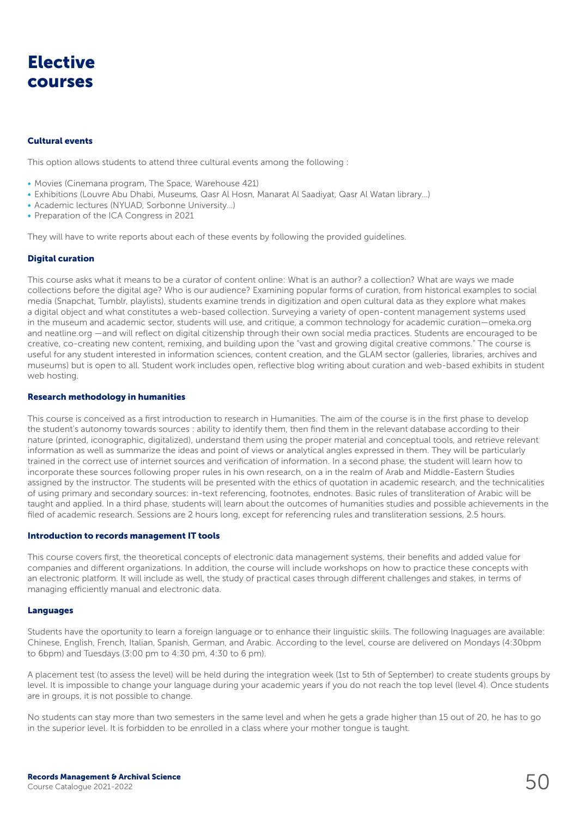## Elective courses

#### Cultural events

This option allows students to attend three cultural events among the following :

- Movies (Cinemana program, The Space, Warehouse 421)
- Exhibitions (Louvre Abu Dhabi, Museums, Qasr Al Hosn, Manarat Al Saadiyat, Qasr Al Watan library…)
- Academic lectures (NYUAD, Sorbonne University…)
- Preparation of the ICA Congress in 2021

They will have to write reports about each of these events by following the provided guidelines.

#### Digital curation

This course asks what it means to be a curator of content online: What is an author? a collection? What are ways we made collections before the digital age? Who is our audience? Examining popular forms of curation, from historical examples to social media (Snapchat, Tumblr, playlists), students examine trends in digitization and open cultural data as they explore what makes a digital object and what constitutes a web-based collection. Surveying a variety of open-content management systems used in the museum and academic sector, students will use, and critique, a common technology for academic curation—omeka.org and neatline.org —and will reflect on digital citizenship through their own social media practices. Students are encouraged to be creative, co-creating new content, remixing, and building upon the "vast and growing digital creative commons." The course is useful for any student interested in information sciences, content creation, and the GLAM sector (galleries, libraries, archives and museums) but is open to all. Student work includes open, reflective blog writing about curation and web-based exhibits in student web hosting.

#### Research methodology in humanities

This course is conceived as a first introduction to research in Humanities. The aim of the course is in the first phase to develop the student's autonomy towards sources : ability to identify them, then find them in the relevant database according to their nature (printed, iconographic, digitalized), understand them using the proper material and conceptual tools, and retrieve relevant information as well as summarize the ideas and point of views or analytical angles expressed in them. They will be particularly trained in the correct use of internet sources and verification of information. In a second phase, the student will learn how to incorporate these sources following proper rules in his own research, on a in the realm of Arab and Middle-Eastern Studies assigned by the instructor. The students will be presented with the ethics of quotation in academic research, and the technicalities of using primary and secondary sources: in-text referencing, footnotes, endnotes. Basic rules of transliteration of Arabic will be taught and applied. In a third phase, students will learn about the outcomes of humanities studies and possible achievements in the filed of academic research. Sessions are 2 hours long, except for referencing rules and transliteration sessions, 2.5 hours.

#### Introduction to records management IT tools

This course covers first, the theoretical concepts of electronic data management systems, their benefits and added value for companies and different organizations. In addition, the course will include workshops on how to practice these concepts with an electronic platform. It will include as well, the study of practical cases through different challenges and stakes, in terms of managing efficiently manual and electronic data.

#### Languages

Students have the oportunity to learn a foreign language or to enhance their linguistic skiils. The following lnaguages are available: Chinese, English, French, Italian, Spanish, German, and Arabic. According to the level, course are delivered on Mondays (4:30bpm to 6bpm) and Tuesdays (3:00 pm to 4:30 pm, 4:30 to 6 pm).

A placement test (to assess the level) will be held during the integration week (1st to 5th of September) to create students groups by level. It is impossible to change your language during your academic years if you do not reach the top level (level 4). Once students are in groups, it is not possible to change.

No students can stay more than two semesters in the same level and when he gets a grade higher than 15 out of 20, he has to go in the superior level. It is forbidden to be enrolled in a class where your mother tongue is taught.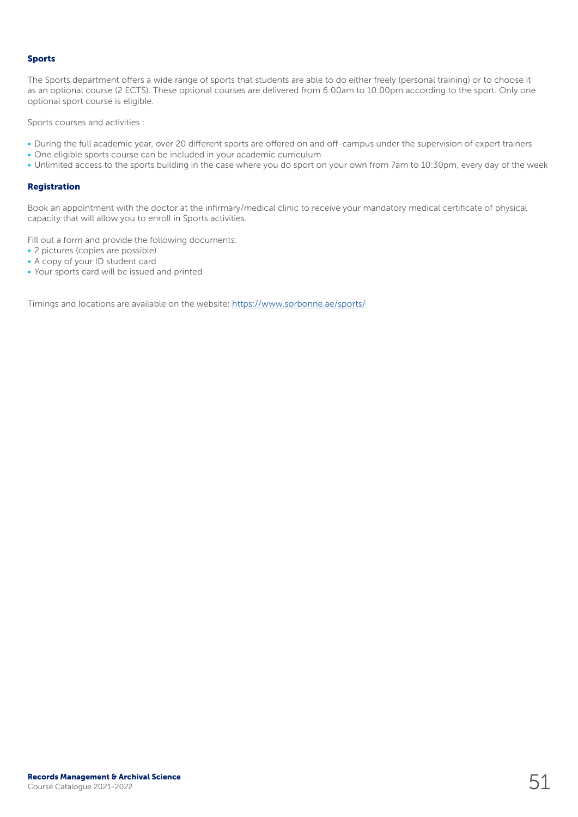#### Sports

The Sports department offers a wide range of sports that students are able to do either freely (personal training) or to choose it as an optional course (2 ECTS). These optional courses are delivered from 6:00am to 10:00pm according to the sport. Only one optional sport course is eligible.

Sports courses and activities :

- During the full academic year, over 20 different sports are offered on and off-campus under the supervision of expert trainers
- One eligible sports course can be included in your academic curriculum
- Unlimited access to the sports building in the case where you do sport on your own from 7am to 10:30pm, every day of the week

#### Registration

Book an appointment with the doctor at the infirmary/medical clinic to receive your mandatory medical certificate of physical capacity that will allow you to enroll in Sports activities.

Fill out a form and provide the following documents:

- 2 pictures (copies are possible)
- A copy of your ID student card
- Your sports card will be issued and printed

Timings and locations are available on the website:<https://www.sorbonne.ae/sports/>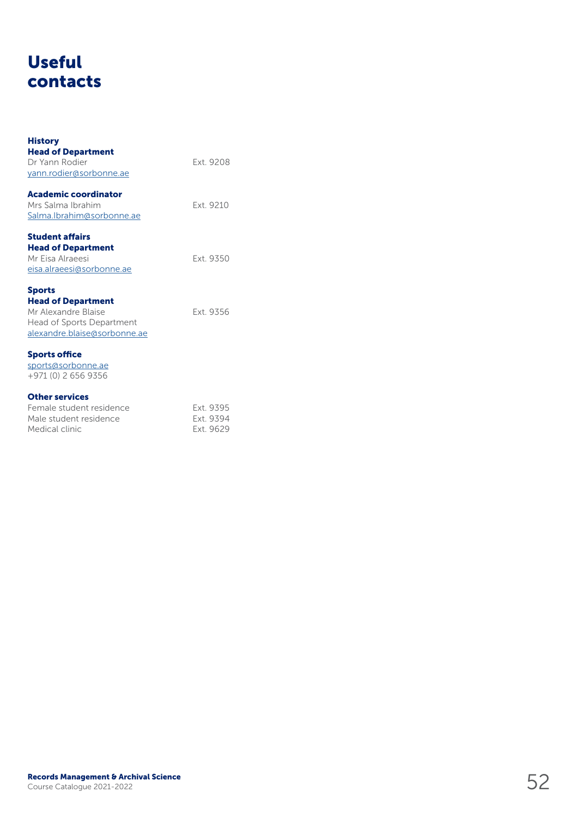## Useful contacts

| <b>History</b><br><b>Head of Department</b><br>Dr Yann Rodier<br>yann.rodier@sorbonne.ae                                       | Fxt 9208                            |
|--------------------------------------------------------------------------------------------------------------------------------|-------------------------------------|
| Academic coordinator<br>Mrs Salma Ibrahim<br>Salma.Ibrahim@sorbonne.ae                                                         | Fxt 9210                            |
| <b>Student affairs</b><br><b>Head of Department</b><br>Mr Eisa Alraeesi<br>eisa.alraeesi@sorbonne.ae                           | Ext. 9350                           |
| <b>Sports</b><br><b>Head of Department</b><br>Mr Alexandre Blaise<br>Head of Sports Department<br>alexandre.blaise@sorbonne.ae | Ext. 9356                           |
| <b>Sports office</b><br>sports@sorbonne.ae<br>+971 (0) 2 656 9356                                                              |                                     |
| <b>Other services</b><br>Female student residence<br>Male student residence<br>Medical clinic                                  | Ext. 9395<br>Ext. 9394<br>Ext. 9629 |